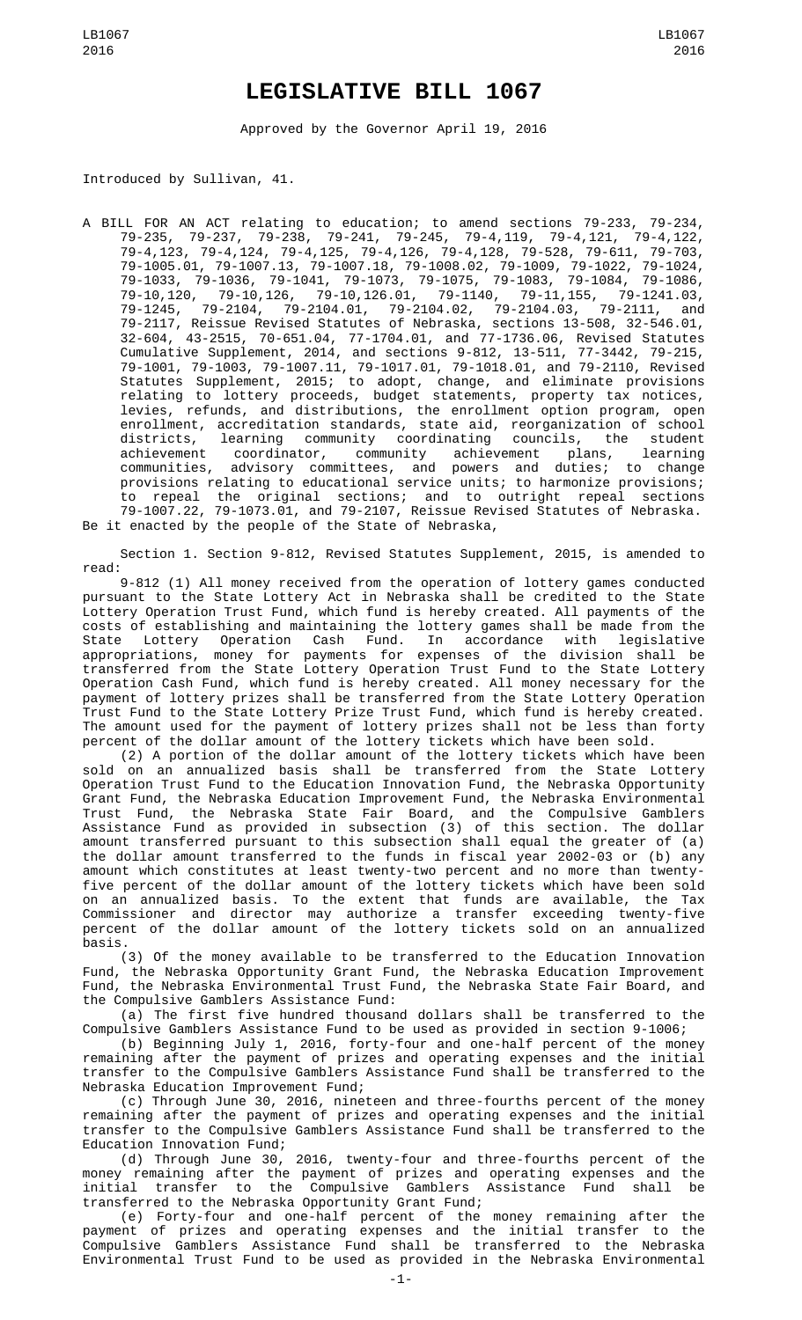## **LEGISLATIVE BILL 1067**

Approved by the Governor April 19, 2016

Introduced by Sullivan, 41.

A BILL FOR AN ACT relating to education; to amend sections 79-233, 79-234, 79-235, 79-237, 79-238, 79-241, 79-245, 79-4,119, 79-4,121, 79-4,122, 79-4,123, 79-4,124, 79-4,125, 79-4,126, 79-4,128, 79-528, 79-611, 79-703, 79-1005.01, 79-1007.13, 79-1007.18, 79-1008.02, 79-1009, 79-1022, 79-1024, 79-1033, 79-1036, 79-1041, 79-1073, 79-1075, 79-1083, 79-1084, 79-1086, 79-10,120, 79-10,126, 79-10,126.01, 79-1140, 79-11,155, 79-1241.03, 79-1245, 79-2104, 79-2104.01, 79-2104.02, 79-2104.03, 79-2111, and 79-2117, Reissue Revised Statutes of Nebraska, sections 13-508, 32-546.01, 32-604, 43-2515, 70-651.04, 77-1704.01, and 77-1736.06, Revised Statutes Cumulative Supplement, 2014, and sections 9-812, 13-511, 77-3442, 79-215, 79-1001, 79-1003, 79-1007.11, 79-1017.01, 79-1018.01, and 79-2110, Revised Statutes Supplement, 2015; to adopt, change, and eliminate provisions relating to lottery proceeds, budget statements, property tax notices, levies, refunds, and distributions, the enrollment option program, open enrollment, accreditation standards, state aid, reorganization of school districts, learning community coordinating councils, the student achievement coordinator, community achievement plans, learning communities, advisory committees, and powers and duties; to change provisions relating to educational service units; to harmonize provisions; to repeal the original sections; and to outright repeal sections 79-1007.22, 79-1073.01, and 79-2107, Reissue Revised Statutes of Nebraska. Be it enacted by the people of the State of Nebraska,

Section 1. Section 9-812, Revised Statutes Supplement, 2015, is amended to read:

9-812 (1) All money received from the operation of lottery games conducted pursuant to the State Lottery Act in Nebraska shall be credited to the State Lottery Operation Trust Fund, which fund is hereby created. All payments of the costs of establishing and maintaining the lottery games shall be made from the State Lottery Operation Cash Fund. In accordance with legislative appropriations, money for payments for expenses of the division shall be transferred from the State Lottery Operation Trust Fund to the State Lottery Operation Cash Fund, which fund is hereby created. All money necessary for the payment of lottery prizes shall be transferred from the State Lottery Operation Trust Fund to the State Lottery Prize Trust Fund, which fund is hereby created. The amount used for the payment of lottery prizes shall not be less than forty percent of the dollar amount of the lottery tickets which have been sold.

(2) A portion of the dollar amount of the lottery tickets which have been sold on an annualized basis shall be transferred from the State Lottery Operation Trust Fund to the Education Innovation Fund, the Nebraska Opportunity Grant Fund, the Nebraska Education Improvement Fund, the Nebraska Environmental Trust Fund, the Nebraska State Fair Board, and the Compulsive Gamblers Assistance Fund as provided in subsection (3) of this section. The dollar amount transferred pursuant to this subsection shall equal the greater of (a) the dollar amount transferred to the funds in fiscal year 2002-03 or (b) any amount which constitutes at least twenty-two percent and no more than twentyfive percent of the dollar amount of the lottery tickets which have been sold on an annualized basis. To the extent that funds are available, the Tax Commissioner and director may authorize a transfer exceeding twenty-five percent of the dollar amount of the lottery tickets sold on an annualized basis.

(3) Of the money available to be transferred to the Education Innovation Fund, the Nebraska Opportunity Grant Fund, the Nebraska Education Improvement Fund, the Nebraska Environmental Trust Fund, the Nebraska State Fair Board, and the Compulsive Gamblers Assistance Fund:

(a) The first five hundred thousand dollars shall be transferred to the Compulsive Gamblers Assistance Fund to be used as provided in section 9-1006;

(b) Beginning July 1, 2016, forty-four and one-half percent of the money remaining after the payment of prizes and operating expenses and the initial transfer to the Compulsive Gamblers Assistance Fund shall be transferred to the Nebraska Education Improvement Fund;

(c) Through June 30, 2016, nineteen and three-fourths percent of the money remaining after the payment of prizes and operating expenses and the initial transfer to the Compulsive Gamblers Assistance Fund shall be transferred to the Education Innovation Fund;

(d) Through June 30, 2016, twenty-four and three-fourths percent of the money remaining after the payment of prizes and operating expenses and the initial transfer to the Compulsive Gamblers Assistance Fund shall be transferred to the Nebraska Opportunity Grant Fund;

(e) Forty-four and one-half percent of the money remaining after the payment of prizes and operating expenses and the initial transfer to the Compulsive Gamblers Assistance Fund shall be transferred to the Nebraska Environmental Trust Fund to be used as provided in the Nebraska Environmental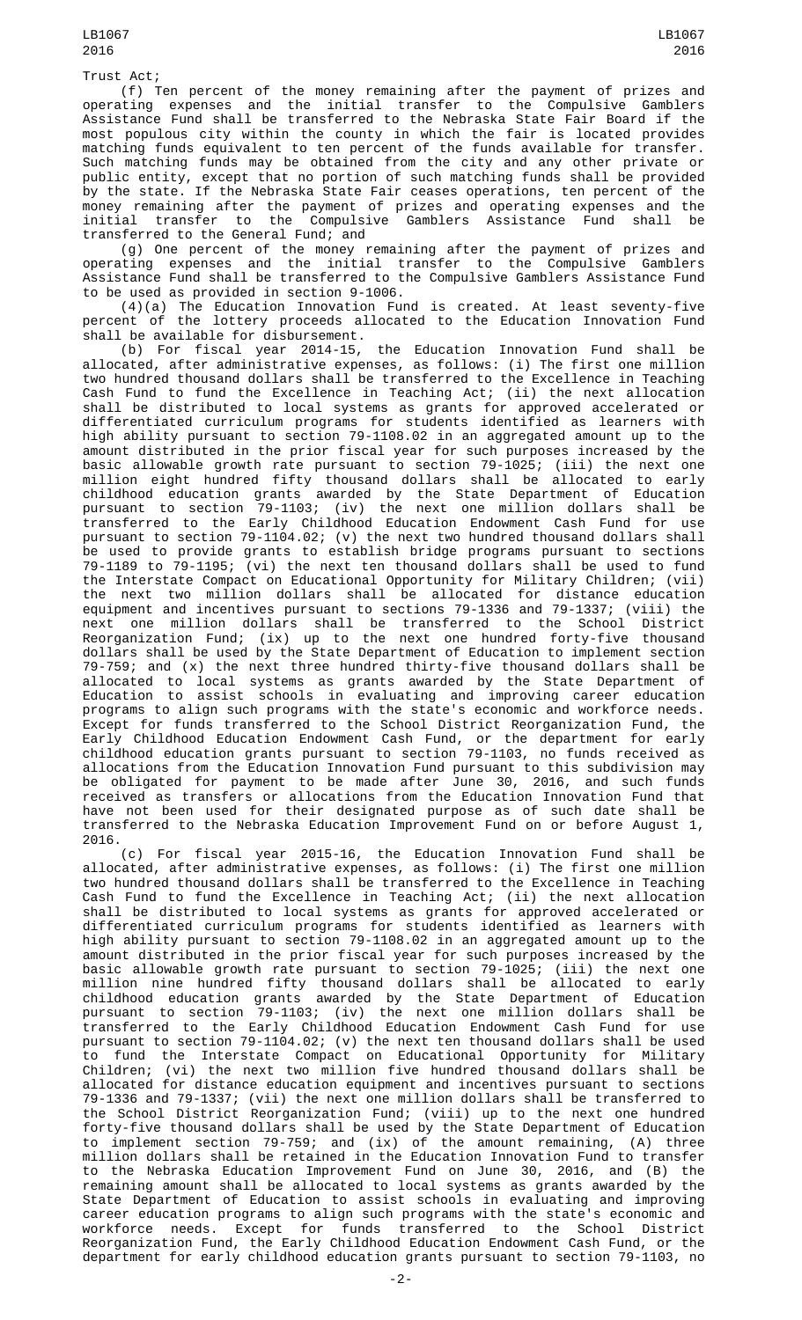Trust Act;

(f) Ten percent of the money remaining after the payment of prizes and operating expenses and the initial transfer to the Compulsive Gamblers Assistance Fund shall be transferred to the Nebraska State Fair Board if the most populous city within the county in which the fair is located provides matching funds equivalent to ten percent of the funds available for transfer. Such matching funds may be obtained from the city and any other private or public entity, except that no portion of such matching funds shall be provided by the state. If the Nebraska State Fair ceases operations, ten percent of the money remaining after the payment of prizes and operating expenses and the initial transfer to the Compulsive Gamblers Assistance Fund shall be transferred to the General Fund; and

(g) One percent of the money remaining after the payment of prizes and operating expenses and the initial transfer to the Compulsive Gamblers Assistance Fund shall be transferred to the Compulsive Gamblers Assistance Fund to be used as provided in section 9-1006.

(4)(a) The Education Innovation Fund is created. At least seventy-five percent of the lottery proceeds allocated to the Education Innovation Fund shall be available for disbursement.

(b) For fiscal year 2014-15, the Education Innovation Fund shall be allocated, after administrative expenses, as follows: (i) The first one million allocated, after administrative expenses, as follows: (i) The first one million two hundred thousand dollars shall be transferred to the Excellence in Teaching Cash Fund to fund the Excellence in Teaching Act; (ii) the next allocation shall be distributed to local systems as grants for approved accelerated or differentiated curriculum programs for students identified as learners with high ability pursuant to section 79-1108.02 in an aggregated amount up to the amount distributed in the prior fiscal year for such purposes increased by the basic allowable growth rate pursuant to section 79-1025; (iii) the next one million eight hundred fifty thousand dollars shall be allocated to early childhood education grants awarded by the State Department of Education pursuant to section 79-1103; (iv) the next one million dollars shall be transferred to the Early Childhood Education Endowment Cash Fund for use pursuant to section 79-1104.02; (v) the next two hundred thousand dollars shall be used to provide grants to establish bridge programs pursuant to sections 79-1189 to 79-1195; (vi) the next ten thousand dollars shall be used to fund the Interstate Compact on Educational Opportunity for Military Children; (vii) the next two million dollars shall be allocated for distance education equipment and incentives pursuant to sections 79-1336 and 79-1337; (viii) the next one million dollars shall be transferred to the School District Reorganization Fund; (ix) up to the next one hundred forty-five thousand dollars shall be used by the State Department of Education to implement section 1991-1991 1992 1993. The State Department of Education to implement section<br>19-759; and (x) the next three hundred thirty-five thousand dollars shall be allocated to local systems as grants awarded by the State Department of Education to assist schools in evaluating and improving career education programs to align such programs with the state's economic and workforce needs. Except for funds transferred to the School District Reorganization Fund, the Early Childhood Education Endowment Cash Fund, or the department for early childhood education grants pursuant to section 79-1103, no funds received as allocations from the Education Innovation Fund pursuant to this subdivision may be obligated for payment to be made after June 30, 2016, and such funds received as transfers or allocations from the Education Innovation Fund that have not been used for their designated purpose as of such date shall be transferred to the Nebraska Education Improvement Fund on or before August 1, 2016.

(c) For fiscal year 2015-16, the Education Innovation Fund shall be allocated, after administrative expenses, as follows: (i) The first one million two hundred thousand dollars shall be transferred to the Excellence in Teaching Cash Fund to fund the Excellence in Teaching Act; (ii) the next allocation shall be distributed to local systems as grants for approved accelerated or differentiated curriculum programs for students identified as learners with high ability pursuant to section 79-1108.02 in an aggregated amount up to the amount distributed in the prior fiscal year for such purposes increased by the basic allowable growth rate pursuant to section 79-1025; (iii) the next one million nine hundred fifty thousand dollars shall be allocated to early childhood education grants awarded by the State Department of Education pursuant to section 79-1103; (iv) the next one million dollars shall be transferred to the Early Childhood Education Endowment Cash Fund for use pursuant to section 79-1104.02; (v) the next ten thousand dollars shall be used to fund the Interstate Compact on Educational Opportunity for Military Children; (vi) the next two million five hundred thousand dollars shall be allocated for distance education equipment and incentives pursuant to sections 79-1336 and 79-1337; (vii) the next one million dollars shall be transferred to the School District Reorganization Fund; (viii) up to the next one hundred forty-five thousand dollars shall be used by the State Department of Education to implement section 79-759; and (ix) of the amount remaining, (A) three million dollars shall be retained in the Education Innovation Fund to transfer to the Nebraska Education Improvement Fund on June 30, 2016, and (B) the remaining amount shall be allocated to local systems as grants awarded by the State Department of Education to assist schools in evaluating and improving career education programs to align such programs with the state's economic and workforce needs. Except for funds transferred to the School District Reorganization Fund, the Early Childhood Education Endowment Cash Fund, or the department for early childhood education grants pursuant to section 79-1103, no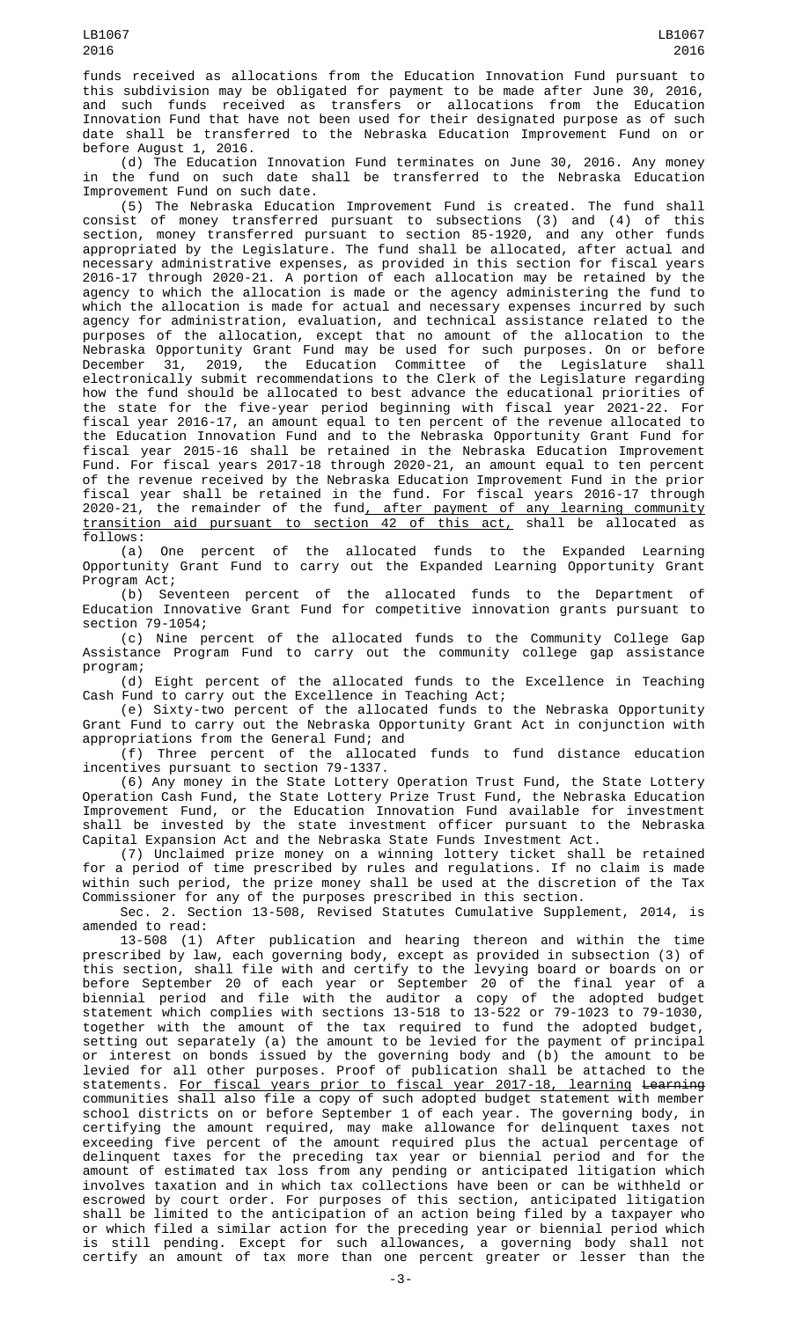funds received as allocations from the Education Innovation Fund pursuant to this subdivision may be obligated for payment to be made after June 30, 2016, received as transfers or allocations from Innovation Fund that have not been used for their designated purpose as of such date shall be transferred to the Nebraska Education Improvement Fund on or before August 1, 2016.

(d) The Education Innovation Fund terminates on June 30, 2016. Any money in the fund on such date shall be transferred to the Nebraska Education Improvement Fund on such date.

(5) The Nebraska Education Improvement Fund is created. The fund shall consist of money transferred pursuant to subsections (3) and (4) of this section, money transferred pursuant to section 85-1920, and any other funds appropriated by the Legislature. The fund shall be allocated, after actual and necessary administrative expenses, as provided in this section for fiscal years 2016-17 through 2020-21. A portion of each allocation may be retained by the agency to which the allocation is made or the agency administering the fund to which the allocation is made for actual and necessary expenses incurred by such agency for administration, evaluation, and technical assistance related to the purposes of the allocation, except that no amount of the allocation to the Nebraska Opportunity Grant Fund may be used for such purposes. On or before December 31, 2019, the Education Committee of the Legislature shall electronically submit recommendations to the Clerk of the Legislature regarding how the fund should be allocated to best advance the educational priorities of the state for the five-year period beginning with fiscal year 2021-22. For fiscal year 2016-17, an amount equal to ten percent of the revenue allocated to the Education Innovation Fund and to the Nebraska Opportunity Grant Fund for fiscal year 2015-16 shall be retained in the Nebraska Education Improvement Fund. For fiscal years 2017-18 through 2020-21, an amount equal to ten percent of the revenue received by the Nebraska Education Improvement Fund in the prior fiscal year shall be retained in the fund. For fiscal years 2016-17 through 2020-21, the remainder of the fund, after payment of any learning community transition aid pursuant to section 42 of this act, shall be allocated as follows:

(a) One percent of the allocated funds to the Expanded Learning Opportunity Grant Fund to carry out the Expanded Learning Opportunity Grant Program Act;

(b) Seventeen percent of the allocated funds to the Department of Education Innovative Grant Fund for competitive innovation grants pursuant to section 79-1054;

(c) Nine percent of the allocated funds to the Community College Gap Assistance Program Fund to carry out the community college gap assistance program;

(d) Eight percent of the allocated funds to the Excellence in Teaching Cash Fund to carry out the Excellence in Teaching Act;

(e) Sixty-two percent of the allocated funds to the Nebraska Opportunity Grant Fund to carry out the Nebraska Opportunity Grant Act in conjunction with appropriations from the General Fund; and

(f) Three percent of the allocated funds to fund distance education incentives pursuant to section 79-1337.

(6) Any money in the State Lottery Operation Trust Fund, the State Lottery Operation Cash Fund, the State Lottery Prize Trust Fund, the Nebraska Education Improvement Fund, or the Education Innovation Fund available for investment shall be invested by the state investment officer pursuant to the Nebraska Capital Expansion Act and the Nebraska State Funds Investment Act.

(7) Unclaimed prize money on a winning lottery ticket shall be retained for a period of time prescribed by rules and regulations. If no claim is made within such period, the prize money shall be used at the discretion of the Tax Commissioner for any of the purposes prescribed in this section.

Sec. 2. Section 13-508, Revised Statutes Cumulative Supplement, 2014, is amended to read:

13-508 (1) After publication and hearing thereon and within the time prescribed by law, each governing body, except as provided in subsection (3) of this section, shall file with and certify to the levying board or boards on or before September 20 of each year or September 20 of the final year of a biennial period and file with the auditor a copy of the adopted budget statement which complies with sections 13-518 to 13-522 or 79-1023 to 79-1030, together with the amount of the tax required to fund the adopted budget, setting out separately (a) the amount to be levied for the payment of principal or interest on bonds issued by the governing body and (b) the amount to be levied for all other purposes. Proof of publication shall be attached to the statements. For fiscal years prior to fiscal year 2017-18, learning Learning communities shall also file a copy of such adopted budget statement with member school districts on or before September 1 of each year. The governing body, in certifying the amount required, may make allowance for delinquent taxes not exceeding five percent of the amount required plus the actual percentage of delinquent taxes for the preceding tax year or biennial period and for the amount of estimated tax loss from any pending or anticipated litigation which involves taxation and in which tax collections have been or can be withheld or escrowed by court order. For purposes of this section, anticipated litigation shall be limited to the anticipation of an action being filed by a taxpayer who or which filed a similar action for the preceding year or biennial period which is still pending. Except for such allowances, a governing body shall not certify an amount of tax more than one percent greater or lesser than the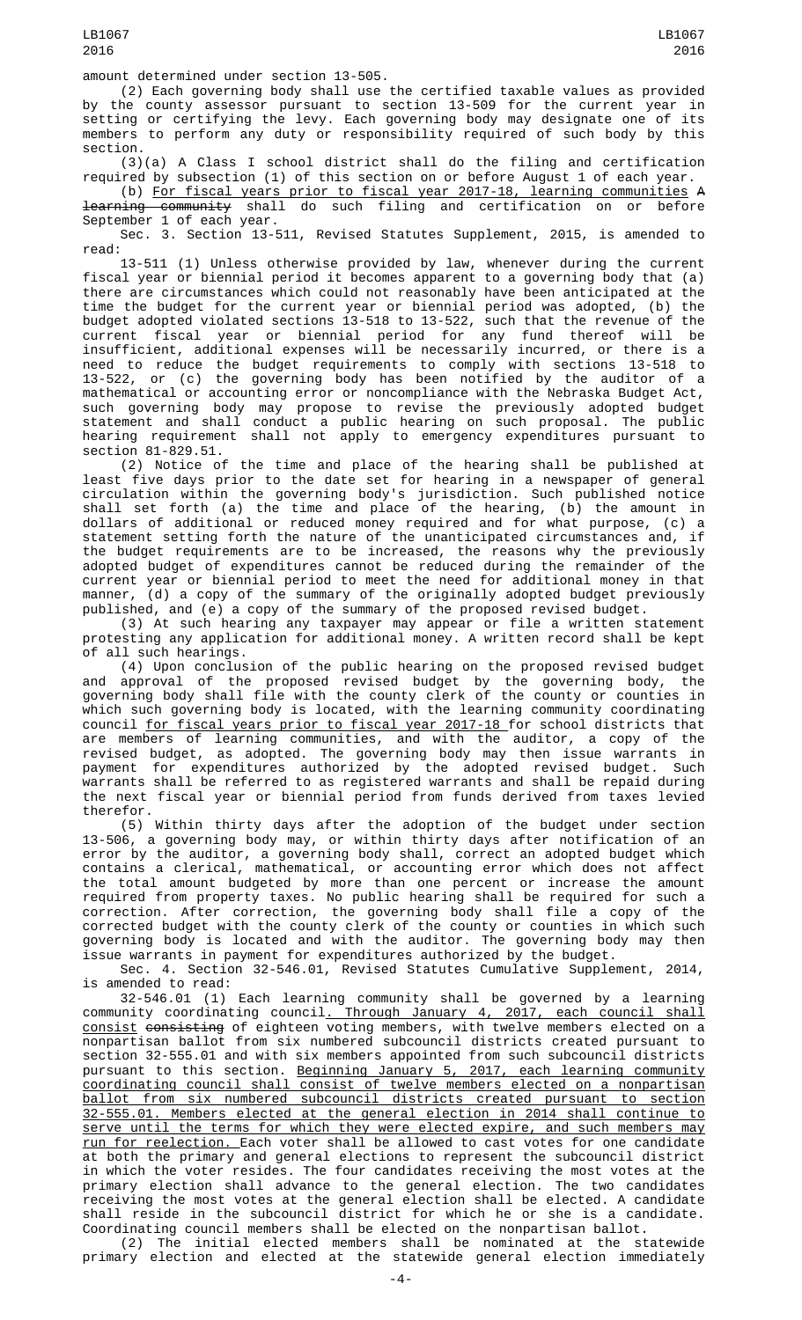(2) Each governing body shall use the certified taxable values as provided by the county assessor pursuant to section 13-509 for the current year in setting or certifying the levy. Each governing body may designate one of its members to perform any duty or responsibility required of such body by this section.

(3)(a) A Class I school district shall do the filing and certification required by subsection (1) of this section on or before August 1 of each year.

(b) For fiscal years prior to fiscal year 2017-18, learning communities A learning community shall do such filing and certification on or before September 1 of each year.

Sec. 3. Section 13-511, Revised Statutes Supplement, 2015, is amended to read:

13-511 (1) Unless otherwise provided by law, whenever during the current fiscal year or biennial period it becomes apparent to a governing body that (a) there are circumstances which could not reasonably have been anticipated at the time the budget for the current year or biennial period was adopted, (b) the budget adopted violated sections 13-518 to 13-522, such that the revenue of the current fiscal year or biennial period for any fund thereof will be insufficient, additional expenses will be necessarily incurred, or there is a need to reduce the budget requirements to comply with sections 13-518 to 13-522, or (c) the governing body has been notified by the auditor of a mathematical or accounting error or noncompliance with the Nebraska Budget Act, such governing body may propose to revise the previously adopted budget statement and shall conduct a public hearing on such proposal. The public hearing requirement shall not apply to emergency expenditures pursuant to section 81-829.51.

(2) Notice of the time and place of the hearing shall be published at least five days prior to the date set for hearing in a newspaper of general circulation within the governing body's jurisdiction. Such published notice shall set forth (a) the time and place of the hearing, (b) the amount in dollars of additional or reduced money required and for what purpose, (c) a statement setting forth the nature of the unanticipated circumstances and, if the budget requirements are to be increased, the reasons why the previously adopted budget of expenditures cannot be reduced during the remainder of the current year or biennial period to meet the need for additional money in that manner, (d) a copy of the summary of the originally adopted budget previously published, and (e) a copy of the summary of the proposed revised budget.

(3) At such hearing any taxpayer may appear or file a written statement protesting any application for additional money. A written record shall be kept of all such hearings.

(4) Upon conclusion of the public hearing on the proposed revised budget and approval of the proposed revised budget by the governing body, the governing body shall file with the county clerk of the county or counties in which such governing body is located, with the learning community coordinating council for fiscal years prior to fiscal year 2017-18 for school districts that are members of learning communities, and with the auditor, a copy of the revised budget, as adopted. The governing body may then issue warrants in payment for expenditures authorized by the adopted revised budget. Such warrants shall be referred to as registered warrants and shall be repaid during the next fiscal year or biennial period from funds derived from taxes levied therefor.

(5) Within thirty days after the adoption of the budget under section 13-506, a governing body may, or within thirty days after notification of an error by the auditor, a governing body shall, correct an adopted budget which contains a clerical, mathematical, or accounting error which does not affect the total amount budgeted by more than one percent or increase the amount required from property taxes. No public hearing shall be required for such a correction. After correction, the governing body shall file a copy of the corrected budget with the county clerk of the county or counties in which such governing body is located and with the auditor. The governing body may then issue warrants in payment for expenditures authorized by the budget.

Sec. 4. Section 32-546.01, Revised Statutes Cumulative Supplement, 2014, is amended to read:

32-546.01 (1) Each learning community shall be governed by a learning community coordinating council. Through January 4, 2017, each council shall consist consisting of eighteen voting members, with twelve members elected on a nonpartisan ballot from six numbered subcouncil districts created pursuant to section 32-555.01 and with six members appointed from such subcouncil districts pursuant to this section. <u>Beginning January 5, 2017, each learning community</u> coordinating council shall consist of twelve members elected on a nonpartisan ballot from six numbered subcouncil districts created pursuant to section 32-555.01. Members elected at the general election in 2014 shall continue to serve until the terms for which they were elected expire, and such members may run for reelection. Each voter shall be allowed to cast votes for one candidate at both the primary and general elections to represent the subcouncil district in which the voter resides. The four candidates receiving the most votes at the primary election shall advance to the general election. The two candidates receiving the most votes at the general election shall be elected. A candidate shall reside in the subcouncil district for which he or she is a candidate. Coordinating council members shall be elected on the nonpartisan ballot.

(2) The initial elected members shall be nominated at the statewide primary election and elected at the statewide general election immediately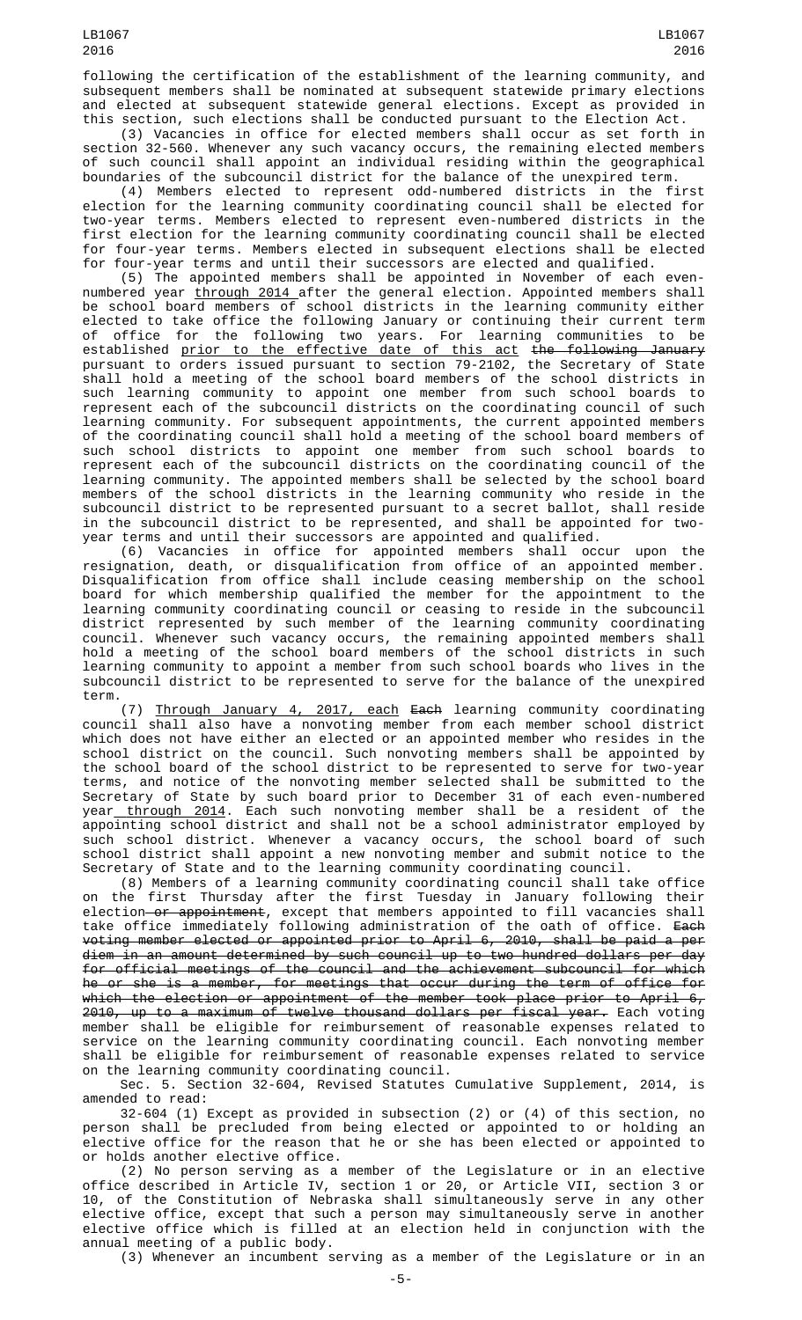following the certification of the establishment of the learning community, and subsequent members shall be nominated at subsequent statewide primary elections and elected at subsequent statewide general elections. Except as provided in this section, such elections shall be conducted pursuant to the Election Act.

(3) Vacancies in office for elected members shall occur as set forth in section 32-560. Whenever any such vacancy occurs, the remaining elected members of such council shall appoint an individual residing within the geographical boundaries of the subcouncil district for the balance of the unexpired term.

(4) Members elected to represent odd-numbered districts in the first election for the learning community coordinating council shall be elected for two-year terms. Members elected to represent even-numbered districts in the first election for the learning community coordinating council shall be elected for four-year terms. Members elected in subsequent elections shall be elected for four-year terms and until their successors are elected and qualified.<br>(5) The appointed members shall be appointed in November of each even-

(5) The appointed members shall be appointed in November of each evennumbered year through 2014 after the general election. Appointed members shall be school board members of school districts in the learning community either elected to take office the following January or continuing their current term of office for the following two years. For learning communities to be established <u>prior to the effective date of this act</u> <del>the following January</del> pursuant to orders issued pursuant to section 79-2102, the Secretary of State shall hold a meeting of the school board members of the school districts in such learning community to appoint one member from such school boards to represent each of the subcouncil districts on the coordinating council of such learning community. For subsequent appointments, the current appointed members of the coordinating council shall hold a meeting of the school board members of such school districts to appoint one member from such school boards to represent each of the subcouncil districts on the coordinating council of the learning community. The appointed members shall be selected by the school board members of the school districts in the learning community who reside in the subcouncil district to be represented pursuant to a secret ballot, shall reside in the subcouncil district to be represented, and shall be appointed for twoyear terms and until their successors are appointed and qualified.

(6) Vacancies in office for appointed members shall occur upon the resignation, death, or disqualification from office of an appointed member. Disqualification from office shall include ceasing membership on the school board for which membership qualified the member for the appointment to the learning community coordinating council or ceasing to reside in the subcouncil district represented by such member of the learning community coordinating council. Whenever such vacancy occurs, the remaining appointed members shall hold a meeting of the school board members of the school districts in such learning community to appoint a member from such school boards who lives in the subcouncil district to be represented to serve for the balance of the unexpired term.

(7) Through January 4, 2017, each Each learning community coordinating council shall also have a nonvoting member from each member school district which does not have either an elected or an appointed member who resides in the school district on the council. Such nonvoting members shall be appointed by the school board of the school district to be represented to serve for two-year terms, and notice of the nonvoting member selected shall be submitted to the Secretary of State by such board prior to December 31 of each even-numbered year<u> through 2014</u>. Each such nonvoting member shall be a resident of the appointing school district and shall not be a school administrator employed by such school district. Whenever a vacancy occurs, the school board of such school district shall appoint a new nonvoting member and submit notice to the Secretary of State and to the learning community coordinating council.

(8) Members of a learning community coordinating council shall take office on the first Thursday after the first Tuesday in January following their election—<del>or appointment</del>, except that members appointed to fill vacancies shall take office immediately following administration of the oath of office. Each voting member elected or appointed prior to April 6, 2010, shall be paid a per diem in an amount determined by such council up to two hundred dollars per day for official meetings of the council and the achievement subcouncil for which he or she is a member, for meetings that occur during the term of office for which the election or appointment of the member took place prior to April 6, 2010, up to a maximum of twelve thousand dollars per fiscal year. Each voting member shall be eligible for reimbursement of reasonable expenses related to service on the learning community coordinating council. Each nonvoting member shall be eligible for reimbursement of reasonable expenses related to service on the learning community coordinating council.

Sec. 5. Section 32-604, Revised Statutes Cumulative Supplement, 2014, is amended to read:

32-604 (1) Except as provided in subsection (2) or (4) of this section, no person shall be precluded from being elected or appointed to or holding an elective office for the reason that he or she has been elected or appointed to or holds another elective office.

(2) No person serving as a member of the Legislature or in an elective office described in Article IV, section 1 or 20, or Article VII, section 3 or 10, of the Constitution of Nebraska shall simultaneously serve in any other elective office, except that such a person may simultaneously serve in another elective office which is filled at an election held in conjunction with the annual meeting of a public body.

(3) Whenever an incumbent serving as a member of the Legislature or in an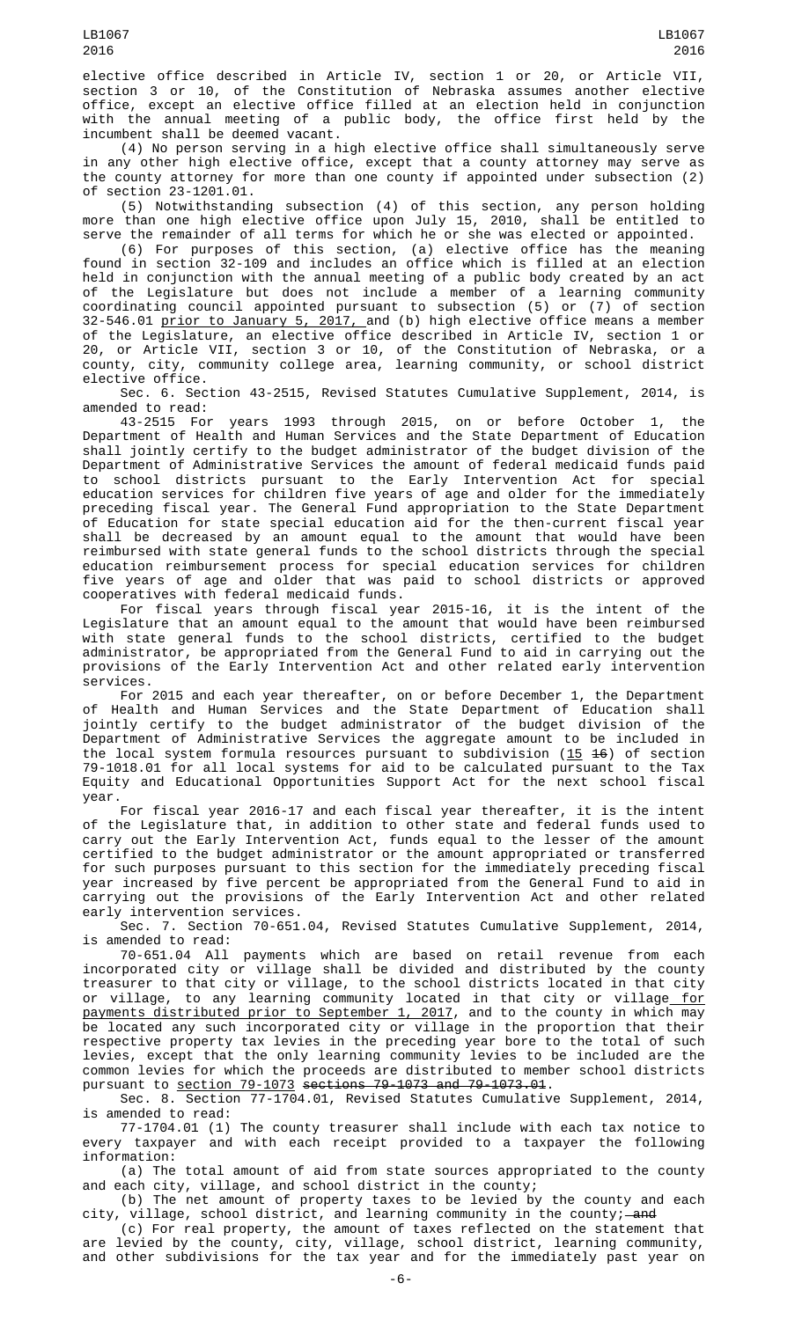elective office described in Article IV, section 1 or 20, or Article VII, section 3 or 10, of the Constitution of Nebraska assumes another elective office, except an elective office filled at an election held in conjunction with the annual meeting of a public body, the office first held by the incumbent shall be deemed vacant.

(4) No person serving in a high elective office shall simultaneously serve in any other high elective office, except that a county attorney may serve as the county attorney for more than one county if appointed under subsection (2) of section 23-1201.01.

(5) Notwithstanding subsection (4) of this section, any person holding more than one high elective office upon July 15, 2010, shall be entitled to serve the remainder of all terms for which he or she was elected or appointed.

(6) For purposes of this section, (a) elective office has the meaning found in section 32-109 and includes an office which is filled at an election held in conjunction with the annual meeting of a public body created by an act of the Legislature but does not include a member of a learning community coordinating council appointed pursuant to subsection (5) or (7) of section 32-546.01 <u>prior to January 5, 2017, </u>and (b) high elective office means a member of the Legislature, an elective office described in Article IV, section 1 or 20, or Article VII, section 3 or 10, of the Constitution of Nebraska, or a county, city, community college area, learning community, or school district elective office.

Sec. 6. Section 43-2515, Revised Statutes Cumulative Supplement, 2014, is amended to read:

43-2515 For years 1993 through 2015, on or before October 1, the Department of Health and Human Services and the State Department of Education shall jointly certify to the budget administrator of the budget division of the Department of Administrative Services the amount of federal medicaid funds paid to school districts pursuant to the Early Intervention Act for special education services for children five years of age and older for the immediately preceding fiscal year. The General Fund appropriation to the State Department of Education for state special education aid for the then-current fiscal year shall be decreased by an amount equal to the amount that would have been reimbursed with state general funds to the school districts through the special education reimbursement process for special education services for children five years of age and older that was paid to school districts or approved cooperatives with federal medicaid funds.

For fiscal years through fiscal year 2015-16, it is the intent of the Legislature that an amount equal to the amount that would have been reimbursed with state general funds to the school districts, certified to the budget administrator, be appropriated from the General Fund to aid in carrying out the provisions of the Early Intervention Act and other related early intervention services.

For 2015 and each year thereafter, on or before December 1, the Department of Health and Human Services and the State Department of Education shall jointly certify to the budget administrator of the budget division of the Department of Administrative Services the aggregate amount to be included in the local system formula resources pursuant to subdivision (15 16) of section 79-1018.01 for all local systems for aid to be calculated pursuant to the Tax Equity and Educational Opportunities Support Act for the next school fiscal year.

For fiscal year 2016-17 and each fiscal year thereafter, it is the intent of the Legislature that, in addition to other state and federal funds used to carry out the Early Intervention Act, funds equal to the lesser of the amount certified to the budget administrator or the amount appropriated or transferred for such purposes pursuant to this section for the immediately preceding fiscal year increased by five percent be appropriated from the General Fund to aid in carrying out the provisions of the Early Intervention Act and other related early intervention services.

Sec. 7. Section 70-651.04, Revised Statutes Cumulative Supplement, 2014, is amended to read:

70-651.04 All payments which are based on retail revenue from each incorporated city or village shall be divided and distributed by the county treasurer to that city or village, to the school districts located in that city or village, to any learning community located in that city or village<u> for</u> payments distributed prior to September 1, 2017, and to the county in which may be located any such incorporated city or village in the proportion that their respective property tax levies in the preceding year bore to the total of such levies, except that the only learning community levies to be included are the common levies for which the proceeds are distributed to member school districts pursuant to section 79-1073 sections 79-1073 and 79-1073.01.

Sec. 8. Section 77-1704.01, Revised Statutes Cumulative Supplement, 2014, is amended to read:

77-1704.01 (1) The county treasurer shall include with each tax notice to every taxpayer and with each receipt provided to a taxpayer the following information:

(a) The total amount of aid from state sources appropriated to the county and each city, village, and school district in the county;

(b) The net amount of property taxes to be levied by the county and each city, village, school district, and learning community in the county;—<del>and</del>

(c) For real property, the amount of taxes reflected on the statement that are levied by the county, city, village, school district, learning community, and other subdivisions for the tax year and for the immediately past year on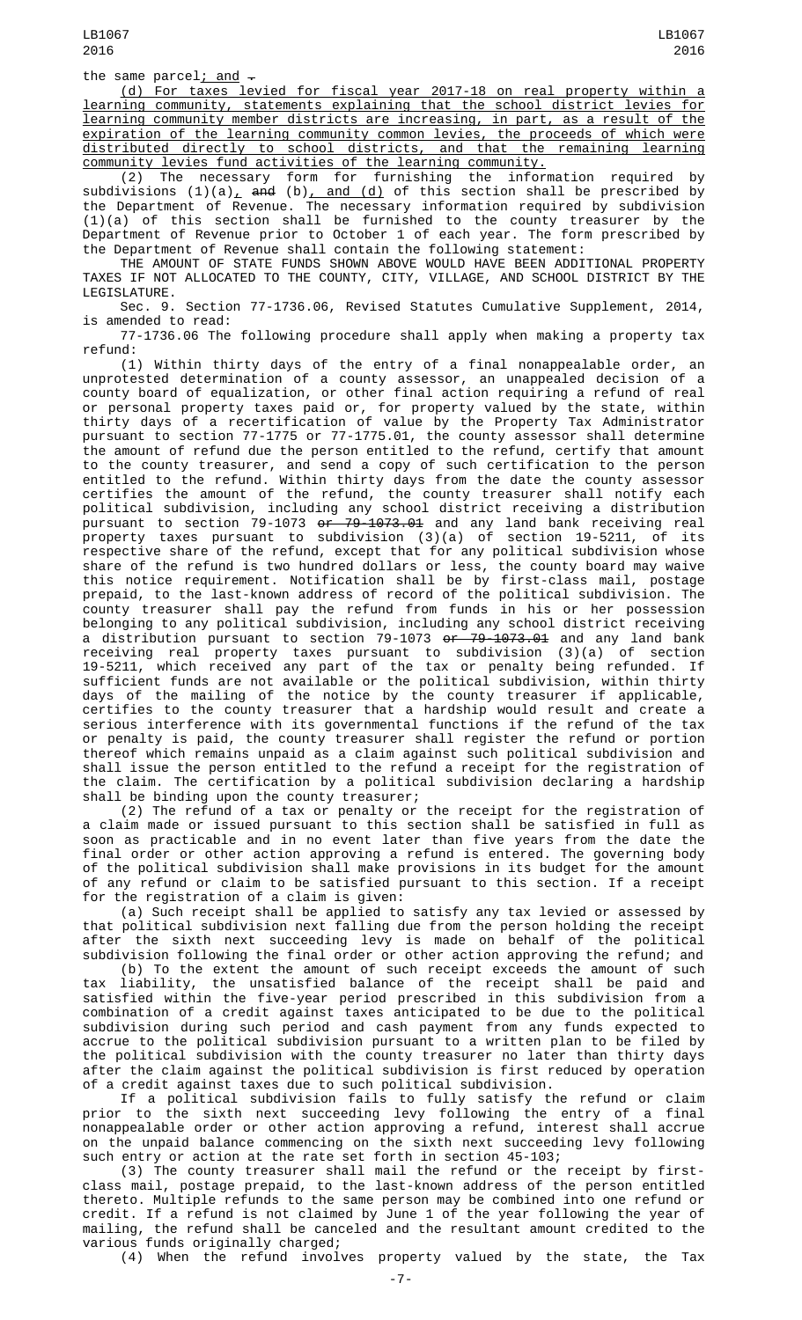the same parcel; and  $-$ 

(d) For taxes levied for fiscal year 2017-18 on real property within a learning community, statements explaining that the school district levies for learning community member districts are increasing, in part, as a result of the expiration of the learning community common levies, the proceeds of which were distributed directly to school districts, and that the remaining learning community levies fund activities of the learning community.

(2) The necessary form for furnishing the information required by subdivisions  $(1)(a)_{L}$  and  $(b)_{L}$  and  $(d)$  of this section shall be prescribed by the Department of Revenue. The necessary information required by subdivision (1)(a) of this section shall be furnished to the county treasurer by the Department of Revenue prior to October 1 of each year. The form prescribed by the Department of Revenue shall contain the following statement:

THE AMOUNT OF STATE FUNDS SHOWN ABOVE WOULD HAVE BEEN ADDITIONAL PROPERTY TAXES IF NOT ALLOCATED TO THE COUNTY, CITY, VILLAGE, AND SCHOOL DISTRICT BY THE LEGISLATURE.

Sec. 9. Section 77-1736.06, Revised Statutes Cumulative Supplement, 2014, is amended to read:

77-1736.06 The following procedure shall apply when making a property tax refund:

(1) Within thirty days of the entry of a final nonappealable order, an unprotested determination of a county assessor, an unappealed decision of a county board of equalization, or other final action requiring a refund of real or personal property taxes paid or, for property valued by the state, within thirty days of a recertification of value by the Property Tax Administrator pursuant to section 77-1775 or 77-1775.01, the county assessor shall determine the amount of refund due the person entitled to the refund, certify that amount to the county treasurer, and send a copy of such certification to the person entitled to the refund. Within thirty days from the date the county assessor certifies the amount of the refund, the county treasurer shall notify each political subdivision, including any school district receiving a distribution pursuant to section 79-1073 <del>or 79-1073.01</del> and any land bank receiving real property taxes pursuant to subdivision (3)(a) of section 19-5211, of its respective share of the refund, except that for any political subdivision whose share of the refund is two hundred dollars or less, the county board may waive this notice requirement. Notification shall be by first-class mail, postage prepaid, to the last-known address of record of the political subdivision. The county treasurer shall pay the refund from funds in his or her possession belonging to any political subdivision, including any school district receiving a distribution pursuant to section 79-1073 <del>or 79-1073.01</del> and any land bank receiving real property taxes pursuant to subdivision (3)(a) of section 19-5211, which received any part of the tax or penalty being refunded. If sufficient funds are not available or the political subdivision, within thirty days of the mailing of the notice by the county treasurer if applicable, certifies to the county treasurer that a hardship would result and create a serious interference with its governmental functions if the refund of the tax or penalty is paid, the county treasurer shall register the refund or portion thereof which remains unpaid as a claim against such political subdivision and shall issue the person entitled to the refund a receipt for the registration of the claim. The certification by a political subdivision declaring a hardship shall be binding upon the county treasurer;

(2) The refund of a tax or penalty or the receipt for the registration of a claim made or issued pursuant to this section shall be satisfied in full as soon as practicable and in no event later than five years from the date the final order or other action approving a refund is entered. The governing body of the political subdivision shall make provisions in its budget for the amount of any refund or claim to be satisfied pursuant to this section. If a receipt<br>for the registration of a claim is given: for the registration of a claim is given:

(a) Such receipt shall be applied to satisfy any tax levied or assessed by that political subdivision next falling due from the person holding the receipt after the sixth next succeeding levy is made on behalf of the political subdivision following the final order or other action approving the refund; and

(b) To the extent the amount of such receipt exceeds the amount of such tax liability, the unsatisfied balance of the receipt shall be paid and satisfied within the five-year period prescribed in this subdivision from a combination of a credit against taxes anticipated to be due to the political subdivision during such period and cash payment from any funds expected to accrue to the political subdivision pursuant to a written plan to be filed by the political subdivision with the county treasurer no later than thirty days after the claim against the political subdivision is first reduced by operation of a credit against taxes due to such political subdivision.

If a political subdivision fails to fully satisfy the refund or claim prior to the sixth next succeeding levy following the entry of a final nonappealable order or other action approving a refund, interest shall accrue on the unpaid balance commencing on the sixth next succeeding levy following such entry or action at the rate set forth in section 45-103;

(3) The county treasurer shall mail the refund or the receipt by firstclass mail, postage prepaid, to the last-known address of the person entitled thereto. Multiple refunds to the same person may be combined into one refund or credit. If a refund is not claimed by June 1 of the year following the year of mailing, the refund shall be canceled and the resultant amount credited to the various funds originally charged;

(4) When the refund involves property valued by the state, the Tax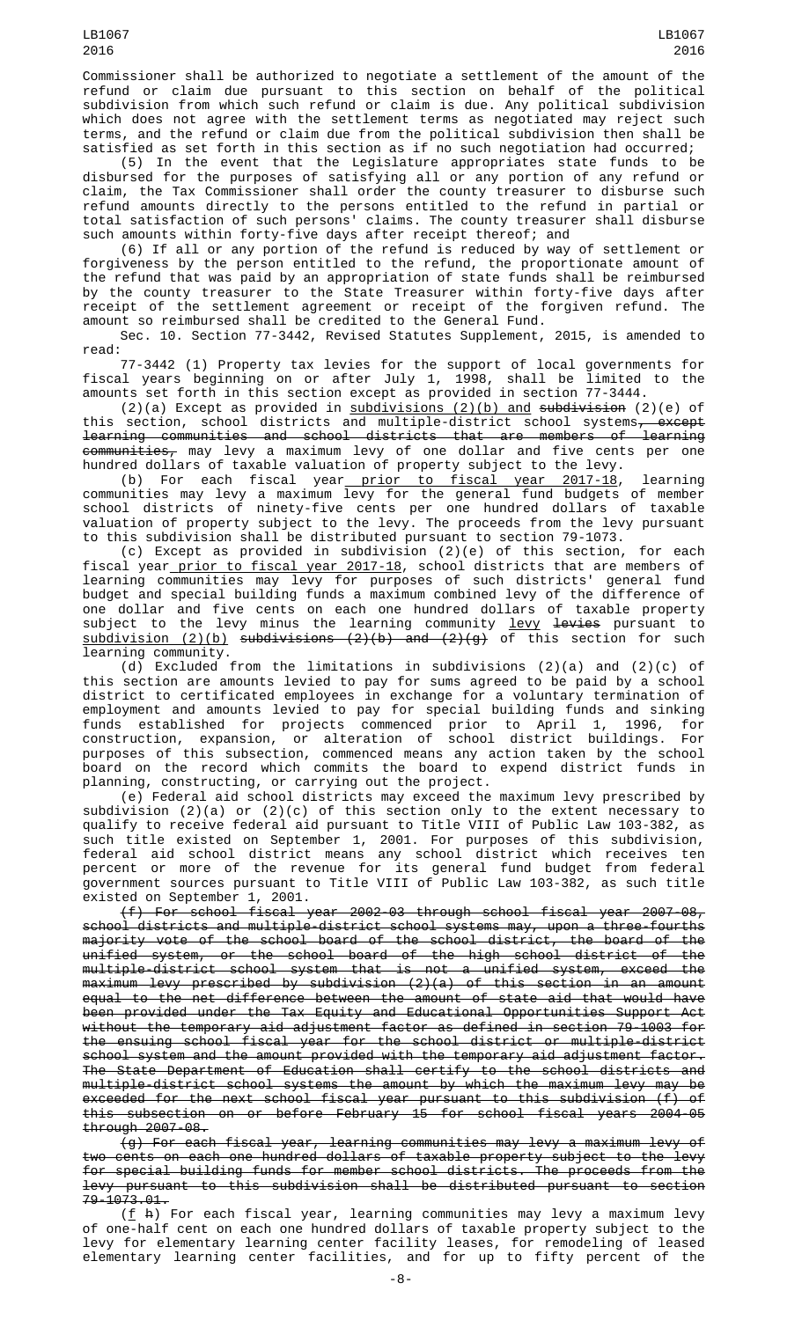Commissioner shall be authorized to negotiate a settlement of the amount of the refund or claim due pursuant to this section on behalf of the political subdivision from which such refund or claim is due. Any political subdivision which does not agree with the settlement terms as negotiated may reject such terms, and the refund or claim due from the political subdivision then shall be satisfied as set forth in this section as if no such negotiation had occurred;

(5) In the event that the Legislature appropriates state funds to be disbursed for the purposes of satisfying all or any portion of any refund or claim, the Tax Commissioner shall order the county treasurer to disburse such refund amounts directly to the persons entitled to the refund in partial or total satisfaction of such persons' claims. The county treasurer shall disburse such amounts within forty-five days after receipt thereof; and

(6) If all or any portion of the refund is reduced by way of settlement or forgiveness by the person entitled to the refund, the proportionate amount of the refund that was paid by an appropriation of state funds shall be reimbursed by the county treasurer to the State Treasurer within forty-five days after receipt of the settlement agreement or receipt of the forgiven refund. The amount so reimbursed shall be credited to the General Fund.

Sec. 10. Section 77-3442, Revised Statutes Supplement, 2015, is amended to read:

77-3442 (1) Property tax levies for the support of local governments for fiscal years beginning on or after July 1, 1998, shall be limited to the amounts set forth in this section except as provided in section 77-3444.

(2)(a) Except as provided in  $subdivisions$  (2)(b) and subdivision (2)(e) of this section, school districts and multiple-district school systems, except learning communities and school districts that are members of learning <del>communities,</del> may levy a maximum levy of one dollar and five cents per one hundred dollars of taxable valuation of property subject to the levy.

(b) For each fiscal year<u> prior to fiscal year 2017-18</u>, learning communities may levy a maximum levy for the general fund budgets of member school districts of ninety-five cents per one hundred dollars of taxable valuation of property subject to the levy. The proceeds from the levy pursuant to this subdivision shall be distributed pursuant to section 79-1073.

(c) Except as provided in subdivision (2)(e) of this section, for each fiscal year\_<u>prior to fiscal year 2017-18</u>, school districts that are members of learning communities may levy for purposes of such districts' general fund budget and special building funds a maximum combined levy of the difference of one dollar and five cents on each one hundred dollars of taxable property subject to the levy minus the learning community <u>levy</u> <del>levies</del> pursuant to <u>subdivision (2)(b)</u> s<del>ubdivisions (2)(b) and (2)(g)</del> of this section for such learning community.

(d) Excluded from the limitations in subdivisions (2)(a) and (2)(c) of this section are amounts levied to pay for sums agreed to be paid by a school district to certificated employees in exchange for a voluntary termination of employment and amounts levied to pay for special building funds and sinking funds established for projects commenced prior to April 1, 1996, for construction, expansion, or alteration of school district buildings. For purposes of this subsection, commenced means any action taken by the school board on the record which commits the board to expend district funds in planning, constructing, or carrying out the project.

(e) Federal aid school districts may exceed the maximum levy prescribed by subdivision (2)(a) or (2)(c) of this section only to the extent necessary to qualify to receive federal aid pursuant to Title VIII of Public Law 103-382, as such title existed on September 1, 2001. For purposes of this subdivision, federal aid school district means any school district which receives ten percent or more of the revenue for its general fund budget from federal government sources pursuant to Title VIII of Public Law 103-382, as such title existed on September 1, 2001.

(f) For school fiscal year 2002-03 through school fiscal year 2007-08, school districts and multiple-district school systems may, upon a three-fourths majority vote of the school board of the school district, the board of the unified system, or the school board of the high school district of the multiple-district school system that is not a unified system, exceed the maximum levy prescribed by subdivision (2)(a) of this section in an amount equal to the net difference between the amount of state aid that would have been provided under the Tax Equity and Educational Opportunities Support Act without the temporary aid adjustment factor as defined in section 79-1003 for the ensuing school fiscal year for the school district or multiple-district school system and the amount provided with the temporary aid adjustment factor. The State Department of Education shall certify to the school districts and multiple-district school systems the amount by which the maximum levy may be exceeded for the next school fiscal year pursuant to this subdivision (f) of this subsection on or before February 15 for school fiscal years 2004-05 through 2007-08.

(g) For each fiscal year, learning communities may levy a maximum levy of two cents on each one hundred dollars of taxable property subject to the levy for special building funds for member school districts. The proceeds from the levy pursuant to this subdivision shall be distributed pursuant to section 79-1073.01.

(f h) For each fiscal year, learning communities may levy a maximum levy of one-half cent on each one hundred dollars of taxable property subject to the levy for elementary learning center facility leases, for remodeling of leased elementary learning center facilities, and for up to fifty percent of the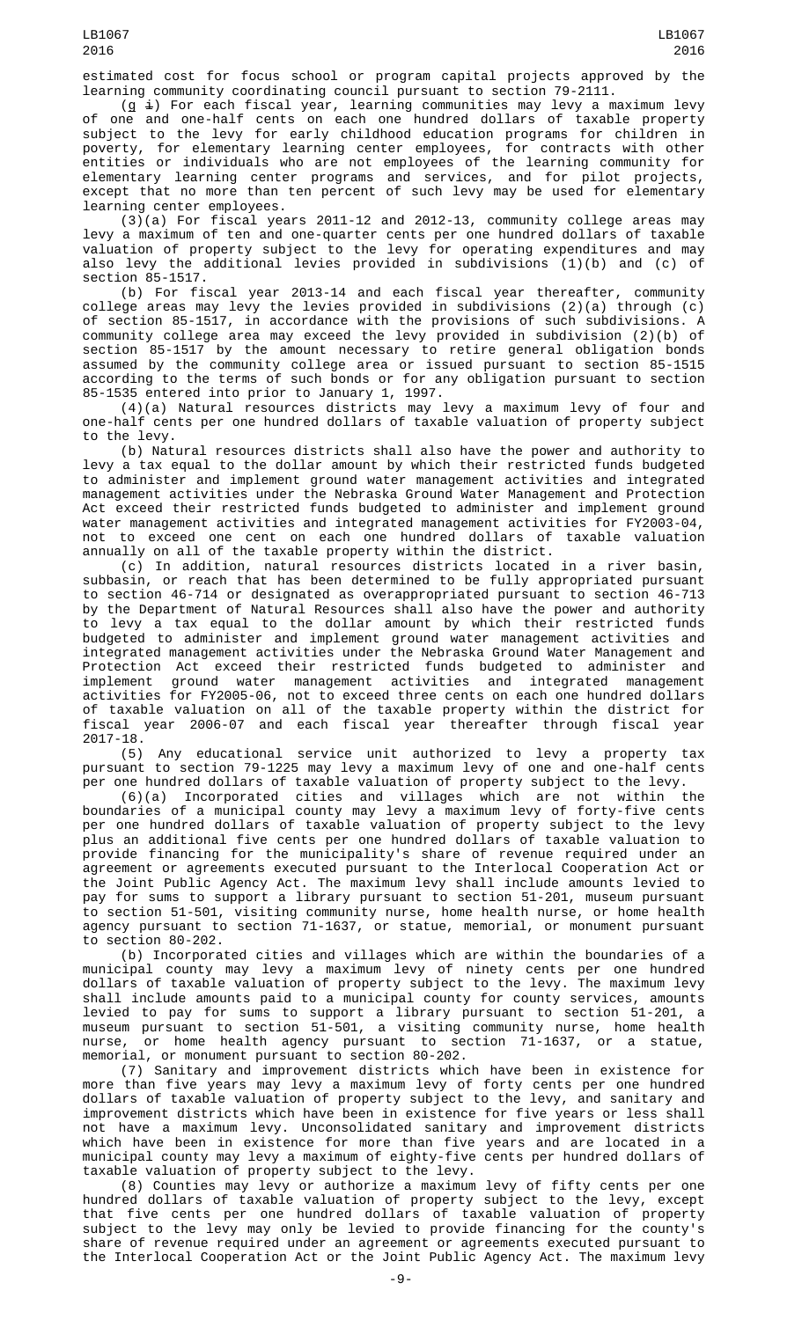estimated cost for focus school or program capital projects approved by the learning community coordinating council pursuant to section 79-2111.

 $(g \pm)$  For each fiscal year, learning communities may levy a maximum levy of one and one-half cents on each one hundred dollars of taxable property subject to the levy for early childhood education programs for children in poverty, for elementary learning center employees, for contracts with other entities or individuals who are not employees of the learning community for elementary learning center programs and services, and for pilot projects, except that no more than ten percent of such levy may be used for elementary learning center employees.

(3)(a) For fiscal years 2011-12 and 2012-13, community college areas may levy a maximum of ten and one-quarter cents per one hundred dollars of taxable valuation of property subject to the levy for operating expenditures and may also levy the additional levies provided in subdivisions (1)(b) and (c) of section 85-1517.

(b) For fiscal year 2013-14 and each fiscal year thereafter, community college areas may levy the levies provided in subdivisions (2)(a) through (c) of section 85-1517, in accordance with the provisions of such subdivisions. A community college area may exceed the levy provided in subdivision (2)(b) of section 85-1517 by the amount necessary to retire general obligation bonds assumed by the community college area or issued pursuant to section 85-1515 according to the terms of such bonds or for any obligation pursuant to section 85-1535 entered into prior to January 1, 1997.

(4)(a) Natural resources districts may levy a maximum levy of four and one-half cents per one hundred dollars of taxable valuation of property subject to the levy.

(b) Natural resources districts shall also have the power and authority to levy a tax equal to the dollar amount by which their restricted funds budgeted to administer and implement ground water management activities and integrated management activities under the Nebraska Ground Water Management and Protection Act exceed their restricted funds budgeted to administer and implement ground water management activities and integrated management activities for FY2003-04,<br>not to exceed one cent on each one hundred dollars of taxable valuation not to exceed one cent on each one hundred dollars of taxable valuation annually on all of the taxable property within the district.

(c) In addition, natural resources districts located in a river basin, subbasin, or reach that has been determined to be fully appropriated pursuant to section 46-714 or designated as overappropriated pursuant to section 46-713 by the Department of Natural Resources shall also have the power and authority to levy a tax equal to the dollar amount by which their restricted funds budgeted to administer and implement ground water management activities and integrated management activities under the Nebraska Ground Water Management and Protection Act exceed their restricted funds budgeted to administer and implement ground water management activities and integrated management activities for FY2005-06, not to exceed three cents on each one hundred dollars of taxable valuation on all of the taxable property within the district for fiscal year 2006-07 and each fiscal year thereafter through fiscal year  $2017 - 18.$  (5)

Any educational service unit authorized to levy a property tax pursuant to section 79-1225 may levy a maximum levy of one and one-half cents per one hundred dollars of taxable valuation of property subject to the levy.

(6)(a) Incorporated cities and villages which are not within the boundaries of a municipal county may levy a maximum levy of forty-five cents per one hundred dollars of taxable valuation of property subject to the levy plus an additional five cents per one hundred dollars of taxable valuation to provide financing for the municipality's share of revenue required under an agreement or agreements executed pursuant to the Interlocal Cooperation Act or the Joint Public Agency Act. The maximum levy shall include amounts levied to pay for sums to support a library pursuant to section 51-201, museum pursuant to section 51-501, visiting community nurse, home health nurse, or home health agency pursuant to section 71-1637, or statue, memorial, or monument pursuant to section 80-202.

(b) Incorporated cities and villages which are within the boundaries of a municipal county may levy a maximum levy of ninety cents per one hundred dollars of taxable valuation of property subject to the levy. The maximum levy shall include amounts paid to a municipal county for county services, amounts levied to pay for sums to support a library pursuant to section 51-201, a museum pursuant to section 51-501, a visiting community nurse, home health nurse, or home health agency pursuant to section 71-1637, or a statue, memorial, or monument pursuant to section 80-202.

(7) Sanitary and improvement districts which have been in existence for more than five years may levy a maximum levy of forty cents per one hundred dollars of taxable valuation of property subject to the levy, and sanitary and improvement districts which have been in existence for five years or less shall not have a maximum levy. Unconsolidated sanitary and improvement districts which have been in existence for more than five years and are located in a municipal county may levy a maximum of eighty-five cents per hundred dollars of taxable valuation of property subject to the levy.

(8) Counties may levy or authorize a maximum levy of fifty cents per one hundred dollars of taxable valuation of property subject to the levy, except that five cents per one hundred dollars of taxable valuation of property subject to the levy may only be levied to provide financing for the county's share of revenue required under an agreement or agreements executed pursuant to the Interlocal Cooperation Act or the Joint Public Agency Act. The maximum levy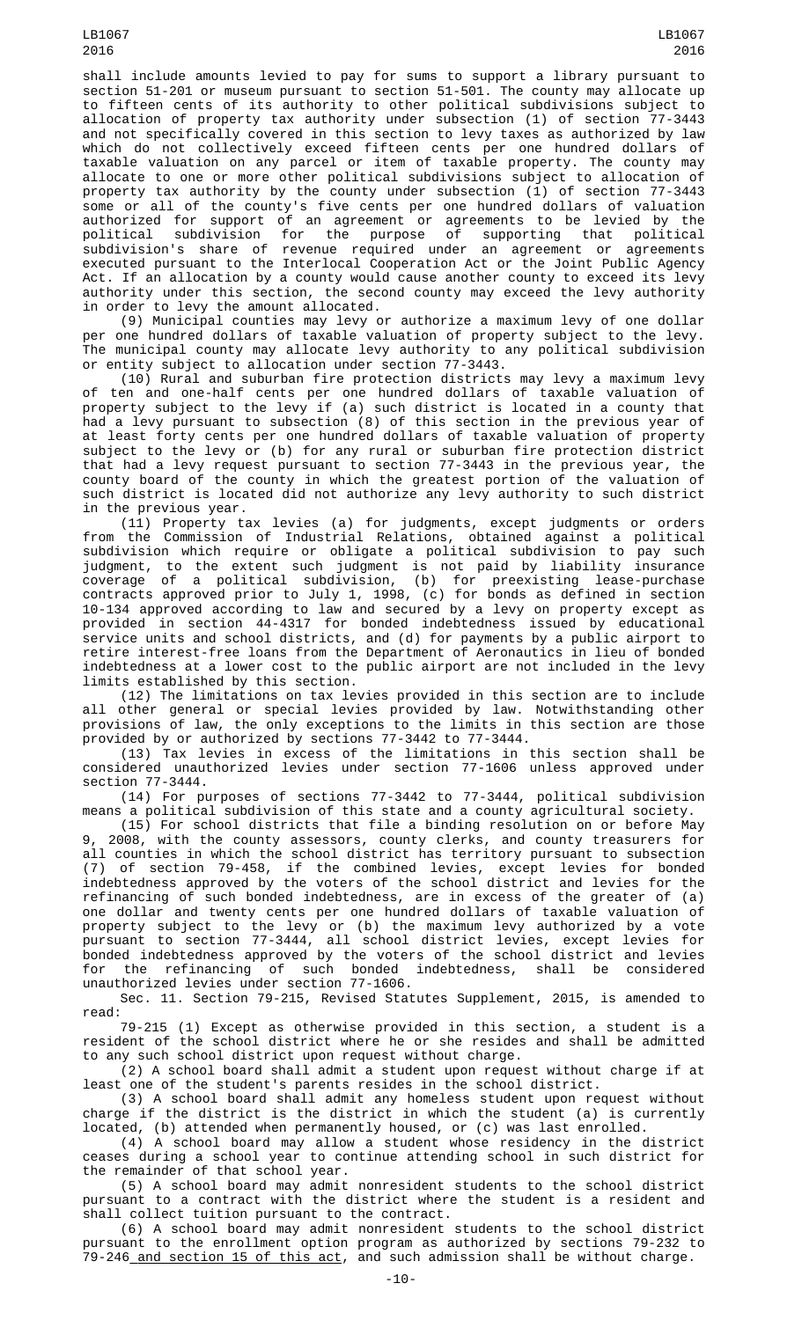shall include amounts levied to pay for sums to support a library pursuant to section 51-201 or museum pursuant to section 51-501. The county may allocate up to fifteen cents of its authority to other political subdivisions subject to allocation of property tax authority under subsection (1) of section 77-3443 and not specifically covered in this section to levy taxes as authorized by law which do not collectively exceed fifteen cents per one hundred dollars of taxable valuation on any parcel or item of taxable property. The county may allocate to one or more other political subdivisions subject to allocation of property tax authority by the county under subsection (1) of section 77-3443 some or all of the county's five cents per one hundred dollars of valuation authorized for support of an agreement or agreements to be levied by the political subdivision for the purpose of supporting that political subdivision's share of revenue required under an agreement or agreements executed pursuant to the Interlocal Cooperation Act or the Joint Public Agency Act. If an allocation by a county would cause another county to exceed its levy authority under this section, the second county may exceed the levy authority in order to levy the amount allocated.

(9) Municipal counties may levy or authorize a maximum levy of one dollar per one hundred dollars of taxable valuation of property subject to the levy. The municipal county may allocate levy authority to any political subdivision or entity subject to allocation under section 77-3443.

(10) Rural and suburban fire protection districts may levy a maximum levy of ten and one-half cents per one hundred dollars of taxable valuation of property subject to the levy if (a) such district is located in a county that had a levy pursuant to subsection (8) of this section in the previous year of at least forty cents per one hundred dollars of taxable valuation of property subject to the levy or (b) for any rural or suburban fire protection district that had a levy request pursuant to section 77-3443 in the previous year, the county board of the county in which the greatest portion of the valuation of such district is located did not authorize any levy authority to such district<br>in the previous year. in the previous year.

(11) Property tax levies (a) for judgments, except judgments or orders from the Commission of Industrial Relations, obtained against a political subdivision which require or obligate a political subdivision to pay such judgment, to the extent such judgment is not paid by liability insurance coverage of a political subdivision, (b) for preexisting lease-purchase contracts approved prior to July 1, 1998, (c) for bonds as defined in section 10-134 approved according to law and secured by a levy on property except as provided in section 44-4317 for bonded indebtedness issued by educational service units and school districts, and (d) for payments by a public airport to retire interest-free loans from the Department of Aeronautics in lieu of bonded indebtedness at a lower cost to the public airport are not included in the levy limits established by this section.

(12) The limitations on tax levies provided in this section are to include all other general or special levies provided by law. Notwithstanding other provisions of law, the only exceptions to the limits in this section are those provided by or authorized by sections 77-3442 to 77-3444.

(13) Tax levies in excess of the limitations in this section shall be considered unauthorized levies under section 77-1606 unless approved under section 77-3444.

(14) For purposes of sections 77-3442 to 77-3444, political subdivision means a political subdivision of this state and a county agricultural society.

(15) For school districts that file a binding resolution on or before May 9, 2008, with the county assessors, county clerks, and county treasurers for all counties in which the school district has territory pursuant to subsection (7) of section 79-458, if the combined levies, except levies for bonded indebtedness approved by the voters of the school district and levies for the refinancing of such bonded indebtedness, are in excess of the greater of (a) one dollar and twenty cents per one hundred dollars of taxable valuation of property subject to the levy or (b) the maximum levy authorized by a vote pursuant to section 77-3444, all school district levies, except levies for bonded indebtedness approved by the voters of the school district and levies for the refinancing of such bonded indebtedness, shall be considered unauthorized levies under section 77-1606.

Sec. 11. Section 79-215, Revised Statutes Supplement, 2015, is amended to read:

79-215 (1) Except as otherwise provided in this section, a student is a resident of the school district where he or she resides and shall be admitted to any such school district upon request without charge.

(2) A school board shall admit a student upon request without charge if at least one of the student's parents resides in the school district.

(3) A school board shall admit any homeless student upon request without charge if the district is the district in which the student (a) is currently located, (b) attended when permanently housed, or (c) was last enrolled.

(4) A school board may allow a student whose residency in the district ceases during a school year to continue attending school in such district for the remainder of that school year.

(5) A school board may admit nonresident students to the school district pursuant to a contract with the district where the student is a resident and shall collect tuition pursuant to the contract.

(6) A school board may admit nonresident students to the school district pursuant to the enrollment option program as authorized by sections 79-232 to 79-246 and section 15 of this act, and such admission shall be without charge.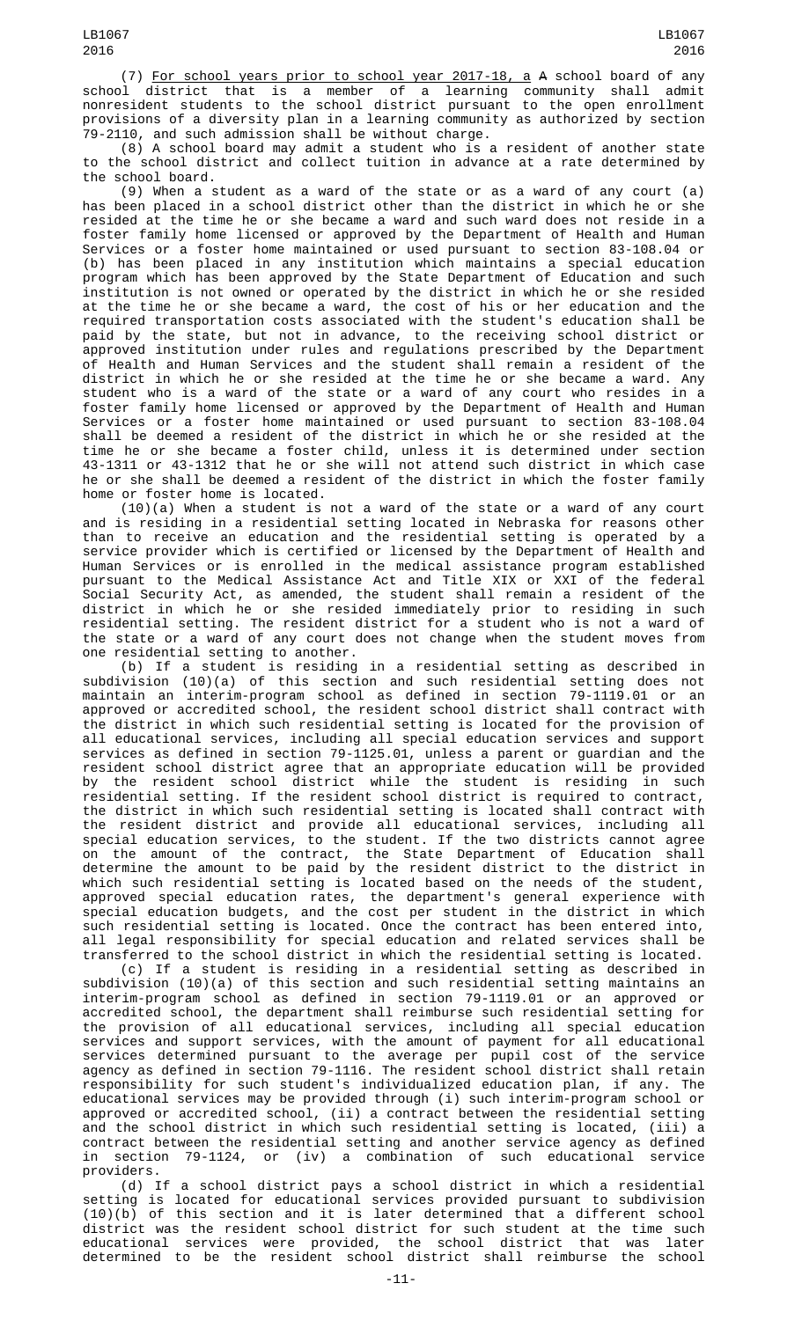(7) For school years prior to school year 2017-18, a A school board of any school district that is a member of a learning community shall admit nonresident students to the school district pursuant to the open enrollment provisions of a diversity plan in a learning community as authorized by section 79-2110, and such admission shall be without charge.

(8) A school board may admit a student who is a resident of another state to the school district and collect tuition in advance at a rate determined by the school board.

(9) When a student as a ward of the state or as a ward of any court (a) has been placed in a school district other than the district in which he or she resided at the time he or she became a ward and such ward does not reside in a foster family home licensed or approved by the Department of Health and Human Services or a foster home maintained or used pursuant to section 83-108.04 or (b) has been placed in any institution which maintains a special education program which has been approved by the State Department of Education and such institution is not owned or operated by the district in which he or she resided at the time he or she became a ward, the cost of his or her education and the required transportation costs associated with the student's education shall be paid by the state, but not in advance, to the receiving school district or approved institution under rules and regulations prescribed by the Department of Health and Human Services and the student shall remain a resident of the district in which he or she resided at the time he or she became a ward. Any student who is a ward of the state or a ward of any court who resides in a foster family home licensed or approved by the Department of Health and Human Services or a foster home maintained or used pursuant to section 83-108.04 shall be deemed a resident of the district in which he or she resided at the time he or she became a foster child, unless it is determined under section 43-1311 or 43-1312 that he or she will not attend such district in which case he or she shall be deemed a resident of the district in which the foster family home or foster home is located.

(10)(a) When a student is not a ward of the state or a ward of any court and is residing in a residential setting located in Nebraska for reasons other than to receive an education and the residential setting is operated by a service provider which is certified or licensed by the Department of Health and Human Services or is enrolled in the medical assistance program established pursuant to the Medical Assistance Act and Title XIX or XXI of the federal Social Security Act, as amended, the student shall remain a resident of the district in which he or she resided immediately prior to residing in such residential setting. The resident district for a student who is not a ward of the state or a ward of any court does not change when the student moves from one residential setting to another.

(b) If a student is residing in a residential setting as described in subdivision (10)(a) of this section and such residential setting does not maintain an interim-program school as defined in section 79-1119.01 or an approved or accredited school, the resident school district shall contract with the district in which such residential setting is located for the provision of all educational services, including all special education services and support services as defined in section 79-1125.01, unless a parent or guardian and the resident school district agree that an appropriate education will be provided by the resident school district while the student is residing in such residential setting. If the resident school district is required to contract, the district in which such residential setting is located shall contract with the resident district and provide all educational services, including all special education services, to the student. If the two districts cannot agree on the amount of the contract, the State Department of Education shall determine the amount to be paid by the resident district to the district in which such residential setting is located based on the needs of the student, approved special education rates, the department's general experience with special education budgets, and the cost per student in the district in which such residential setting is located. Once the contract has been entered into, all legal responsibility for special education and related services shall be transferred to the school district in which the residential setting is located.

(c) If a student is residing in a residential setting as described in subdivision (10)(a) of this section and such residential setting maintains an interim-program school as defined in section 79-1119.01 or an approved or accredited school, the department shall reimburse such residential setting for the provision of all educational services, including all special education services and support services, with the amount of payment for all educational services determined pursuant to the average per pupil cost of the service agency as defined in section 79-1116. The resident school district shall retain responsibility for such student's individualized education plan, if any. The educational services may be provided through (i) such interim-program school or approved or accredited school, (ii) a contract between the residential setting and the school district in which such residential setting is located, (iii) a contract between the residential setting and another service agency as defined section 79-1124, or (iv) a combination of such educational service providers.

(d) If a school district pays a school district in which a residential setting is located for educational services provided pursuant to subdivision (10)(b) of this section and it is later determined that a different school district was the resident school district for such student at the time such educational services were provided, the school district that was later determined to be the resident school district shall reimburse the school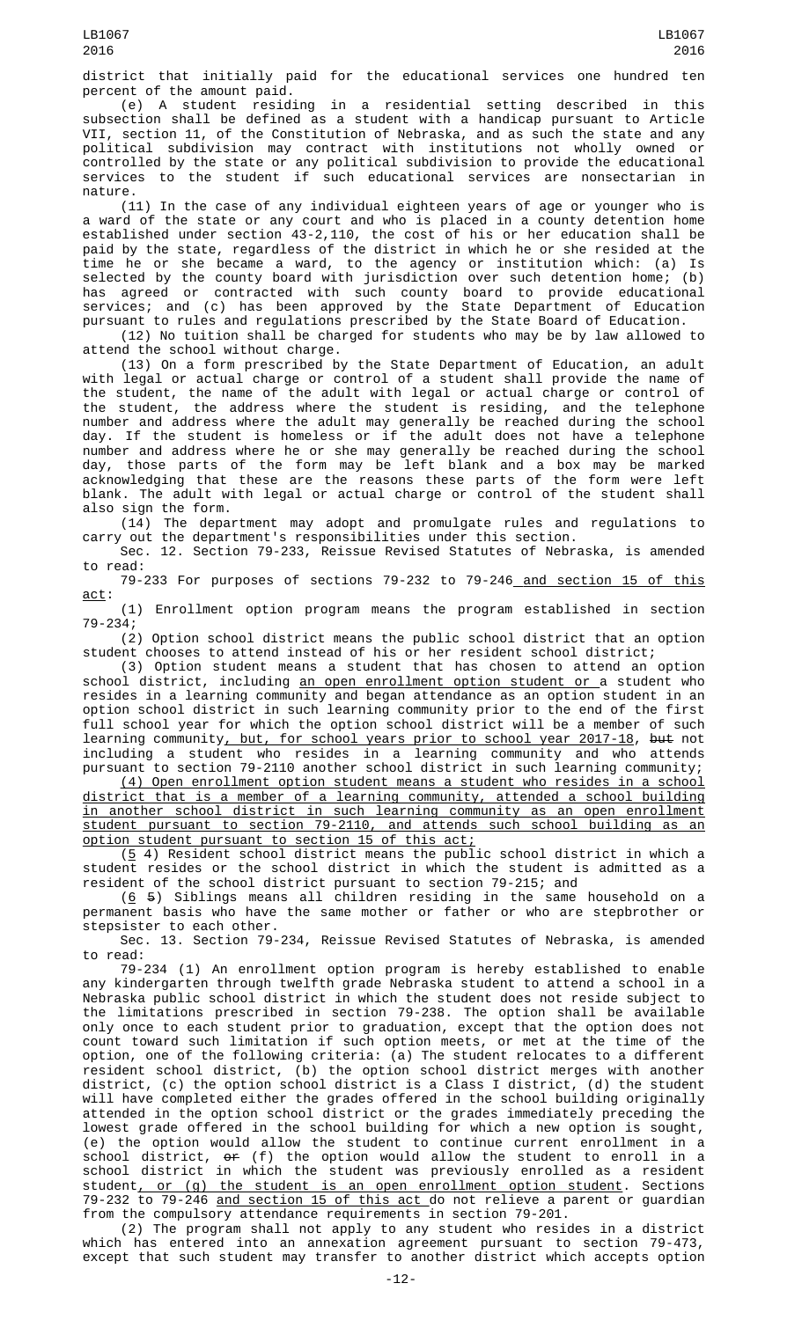district that initially paid for the educational services one hundred ten percent of the amount paid.

(e) A student residing in a residential setting described in this subsection shall be defined as a student with a handicap pursuant to Article VII, section 11, of the Constitution of Nebraska, and as such the state and any political subdivision may contract with institutions not wholly owned or controlled by the state or any political subdivision to provide the educational services to the student if such educational services are nonsectarian in nature.

(11) In the case of any individual eighteen years of age or younger who is a ward of the state or any court and who is placed in a county detention home established under section 43-2,110, the cost of his or her education shall be paid by the state, regardless of the district in which he or she resided at the time he or she became a ward, to the agency or institution which: (a) Is selected by the county board with jurisdiction over such detention home; (b) has agreed or contracted with such county board to provide educational services; and (c) has been approved by the State Department of Education pursuant to rules and regulations prescribed by the State Board of Education.

(12) No tuition shall be charged for students who may be by law allowed to attend the school without charge.

(13) On a form prescribed by the State Department of Education, an adult with legal or actual charge or control of a student shall provide the name of the student, the name of the adult with legal or actual charge or control of the student, the address where the student is residing, and the telephone number and address where the adult may generally be reached during the school day. If the student is homeless or if the adult does not have a telephone number and address where he or she may generally be reached during the school day, those parts of the form may be left blank and a box may be marked acknowledging that these are the reasons these parts of the form were left blank. The adult with legal or actual charge or control of the student shall also sign the form.

(14) The department may adopt and promulgate rules and regulations to carry out the department's responsibilities under this section.

Sec. 12. Section 79-233, Reissue Revised Statutes of Nebraska, is amended to read:

79-233 For purposes of sections 79-232 to 79-246 and section 15 of this act:

(1) Enrollment option program means the program established in section 79-234;

(2) Option school district means the public school district that an option student chooses to attend instead of his or her resident school district;

(3) Option student means a student that has chosen to attend an option school district, including an open enrollment option student or a student who resides in a learning community and began attendance as an option student in an option school district in such learning community prior to the end of the first full school year for which the option school district will be a member of such learning community<u>, but, for school years prior to school year 2017-18</u>, <del>but</del> not including a student who resides in a learning community and who attends pursuant to section 79-2110 another school district in such learning community;

(4) Open enrollment option student means a student who resides in a school district that is a member of a learning community, attended a school building in another school district in such learning community as an open enrollment student pursuant to section 79-2110, and attends such school building as an option student pursuant to section 15 of this act;

 $(5 4)$  Resident school district means the public school district in which a student resides or the school district in which the student is admitted as a resident of the school district pursuant to section 79-215; and

(6 5) Siblings means all children residing in the same household on a permanent basis who have the same mother or father or who are stepbrother or stepsister to each other.

Sec. 13. Section 79-234, Reissue Revised Statutes of Nebraska, is amended to read:

79-234 (1) An enrollment option program is hereby established to enable any kindergarten through twelfth grade Nebraska student to attend a school in a Nebraska public school district in which the student does not reside subject to the limitations prescribed in section 79-238. The option shall be available only once to each student prior to graduation, except that the option does not count toward such limitation if such option meets, or met at the time of the option, one of the following criteria: (a) The student relocates to a different resident school district, (b) the option school district merges with another district, (c) the option school district is a Class I district, (d) the student will have completed either the grades offered in the school building originally attended in the option school district or the grades immediately preceding the lowest grade offered in the school building for which a new option is sought, (e) the option would allow the student to continue current enrollment in a school district, or (f) the option would allow the student to enroll in a school district in which the student was previously enrolled as a resident student<u>, or (g) the student is an open enrollment option student</u>. Sections 79-232 to 79-246 and section 15 of this act do not relieve a parent or guardian from the compulsory attendance requirements in section 79-201.

(2) The program shall not apply to any student who resides in a district which has entered into an annexation agreement pursuant to section 79-473, except that such student may transfer to another district which accepts option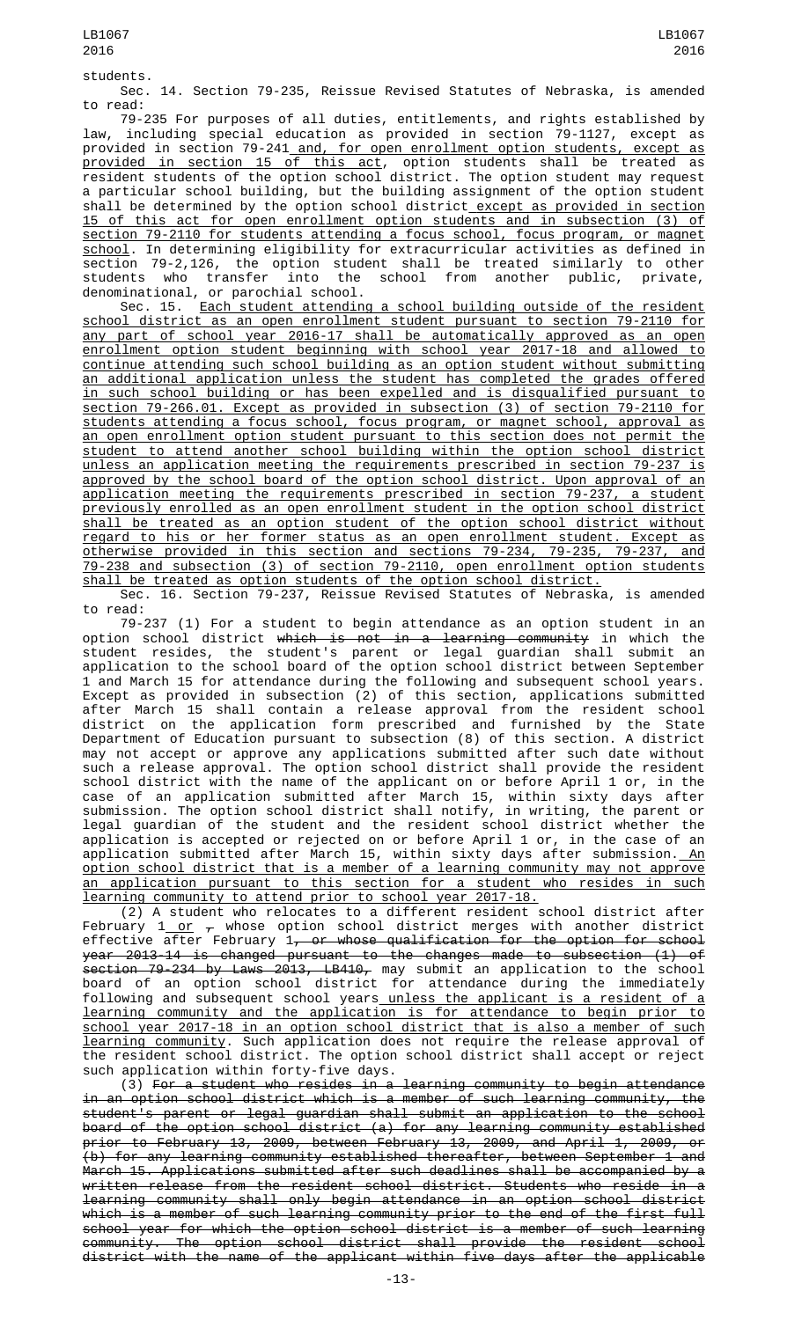students.

Sec. 14. Section 79-235, Reissue Revised Statutes of Nebraska, is amended to read:

79-235 For purposes of all duties, entitlements, and rights established by law, including special education as provided in section 79-1127, except as provided in section 79-241<u> and, for open enrollment option students, except as</u> <u>provided in section 15 of this act</u>, option students shall be treated as resident students of the option school district. The option student may request a particular school building, but the building assignment of the option student shall be determined by the option school district except as provided in section 15 of this act for open enrollment option students and in subsection (3) of section 79-2110 for students attending a focus school, focus program, or magnet school. In determining eligibility for extracurricular activities as defined in section 79-2,126, the option student shall be treated similarly to other students who transfer into the school from another public, private, denominational, or parochial school.

Sec. 15. Each student attending a school building outside of the resident school district as an open enrollment student pursuant to section 79-2110 for any part of school year 2016-17 shall be automatically approved as an open enrollment option student beginning with school year 2017-18 and allowed to continue attending such school building as an option student without submitting an additional application unless the student has completed the grades offered in such school building or has been expelled and is disqualified pursuant to section 79-266.01. Except as provided in subsection (3) of section 79-2110 for students attending a focus school, focus program, or magnet school, approval as an open enrollment option student pursuant to this section does not permit the student to attend another school building within the option school district unless an application meeting the requirements prescribed in section 79-237 is approved by the school board of the option school district. Upon approval of an application meeting the requirements prescribed in section 79-237, a student previously enrolled as an open enrollment student in the option school district shall be treated as an option student of the option school district without regard to his or her former status as an open enrollment student. Except as otherwise provided in this section and sections 79-234, 79-235, 79-237, and 79-238 and subsection (3) of section 79-2110, open enrollment option students shall be treated as option students of the option school district.

Sec. 16. Section 79-237, Reissue Revised Statutes of Nebraska, is amended to read:

79-237 (1) For a student to begin attendance as an option student in an option school district which is not in a learning community in which the student resides, the student's parent or legal guardian shall submit an application to the school board of the option school district between September 1 and March 15 for attendance during the following and subsequent school years. Except as provided in subsection (2) of this section, applications submitted after March 15 shall contain a release approval from the resident school district on the application form prescribed and furnished by the State Department of Education pursuant to subsection (8) of this section. A district may not accept or approve any applications submitted after such date without such a release approval. The option school district shall provide the resident school district with the name of the applicant on or before April 1 or, in the case of an application submitted after March 15, within sixty days after submission. The option school district shall notify, in writing, the parent or legal guardian of the student and the resident school district whether the application is accepted or rejected on or before April 1 or, in the case of an application submitted after March 15, within sixty days after submission.<u> An</u> option school district that is a member of a learning community may not approve an application pursuant to this section for a student who resides in such learning community to attend prior to school year 2017-18.

(2) A student who relocates to a different resident school district after February 1<u> or</u>  $_{\tau}$  whose option school district merges with another district effective after February 1<del>, or whose qualification for the option for school</del> year 2013-14 is changed pursuant to the changes made to subsection (1) of section 79-234 by Laws 2013, LB410, may submit an application to the school board of an option school district for attendance during the immediately following and subsequent school years\_<u>unless the applicant is a resident of a</u> learning community and the application is for attendance to begin prior to school year 2017-18 in an option school district that is also a member of such learning community. Such application does not require the release approval of the resident school district. The option school district shall accept or reject such application within forty-five days.

(3) For a student who resides in a learning community to begin attendance in an option school district which is a member of such learning community, the student's parent or legal guardian shall submit an application to the school board of the option school district (a) for any learning community established prior to February 13, 2009, between February 13, 2009, and April 1, 2009, or (b) for any learning community established thereafter, between September 1 and March 15. Applications submitted after such deadlines shall be accompanied by a written release from the resident school district. Students who reside in a learning community shall only begin attendance in an option school district which is a member of such learning community prior to the end of the first full school year for which the option school district is a member of such learning community. The option school district shall provide the resident school district with the name of the applicant within five days after the applicable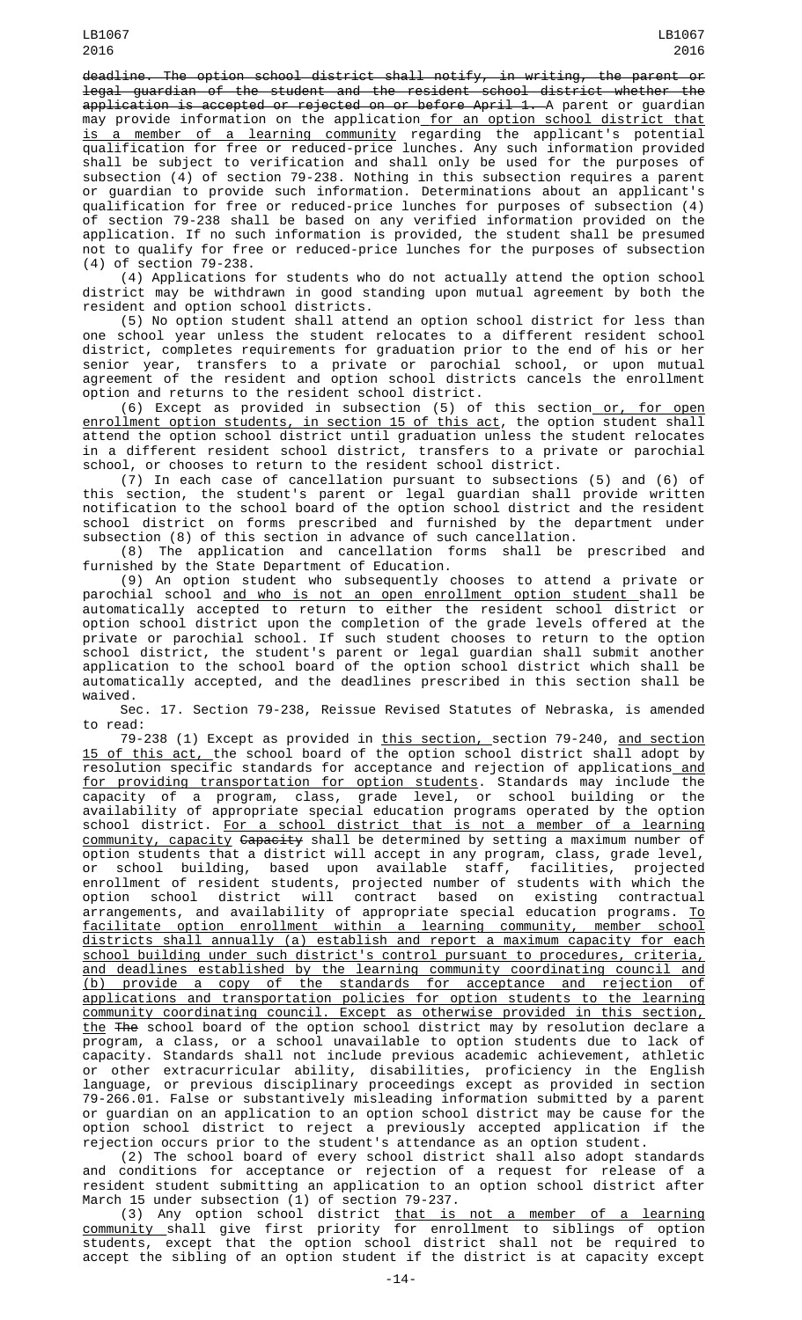deadline. The option school district shall notify, in writing, the parent or legal guardian of the student and the resident school district whether the application is accepted or rejected on or before April 1. A parent or guardian may provide information on the application for an option school district that is a member of a learning community regarding the applicant's potential qualification for free or reduced-price lunches. Any such information provided shall be subject to verification and shall only be used for the purposes of subsection (4) of section 79-238. Nothing in this subsection requires a parent or guardian to provide such information. Determinations about an applicant's qualification for free or reduced-price lunches for purposes of subsection (4) of section 79-238 shall be based on any verified information provided on the application. If no such information is provided, the student shall be presumed not to qualify for free or reduced-price lunches for the purposes of subsection (4) of section 79-238.

(4) Applications for students who do not actually attend the option school district may be withdrawn in good standing upon mutual agreement by both the resident and option school districts.

(5) No option student shall attend an option school district for less than one school year unless the student relocates to a different resident school district, completes requirements for graduation prior to the end of his or her senior year, transfers to a private or parochial school, or upon mutual agreement of the resident and option school districts cancels the enrollment option and returns to the resident school district.

(6) Except as provided in subsection (5) of this section<u> or, for open</u> enrollment option students, in section 15 of this act, the option student shall attend the option school district until graduation unless the student relocates in a different resident school district, transfers to a private or parochial school, or chooses to return to the resident school district.

(7) In each case of cancellation pursuant to subsections (5) and (6) of this section, the student's parent or legal guardian shall provide written notification to the school board of the option school district and the resident school district on forms prescribed and furnished by the department under subsection (8) of this section in advance of such cancellation.

(8) The application and cancellation forms shall be prescribed and furnished by the State Department of Education.

(9) An option student who subsequently chooses to attend a private or parochial school <u>and who is not an open enrollment option student </u>shall be automatically accepted to return to either the resident school district or option school district upon the completion of the grade levels offered at the private or parochial school. If such student chooses to return to the option school district, the student's parent or legal guardian shall submit another application to the school board of the option school district which shall be automatically accepted, and the deadlines prescribed in this section shall be waived.

Sec. 17. Section 79-238, Reissue Revised Statutes of Nebraska, is amended to read:

79-238 (1) Except as provided in <u>this section, s</u>ection 79-240, <u>and section</u> 15 of this act, the school board of the option school district shall adopt by resolution specific standards for acceptance and rejection of applications\_<u>and</u> for providing transportation for option students. Standards may include the capacity of a program, class, grade level, or school building or the availability of appropriate special education programs operated by the option school district. For a school district that is not a member of a learning community, capacity Capacity shall be determined by setting a maximum number of option students that a district will accept in any program, class, grade level, or school building, based upon available staff, facilities, projected enrollment of resident students, projected number of students with which the option school district will contract based on existing contractual arrangements, and availability of appropriate special education programs. <u>To</u> facilitate option enrollment within a learning community, member school districts shall annually (a) establish and report a maximum capacity for each school building under such district's control pursuant to procedures, criteria, and deadlines established by the learning community coordinating council and (b) provide a copy of the standards for acceptance and rejection of applications and transportation policies for option students to the learning community coordinating council. Except as otherwise provided in this section, <u>the</u> <del>The</del> school board of the option school district may by resolution declare a program, a class, or a school unavailable to option students due to lack of capacity. Standards shall not include previous academic achievement, athletic or other extracurricular ability, disabilities, proficiency in the English language, or previous disciplinary proceedings except as provided in section 79-266.01. False or substantively misleading information submitted by a parent or guardian on an application to an option school district may be cause for the option school district to reject a previously accepted application if the rejection occurs prior to the student's attendance as an option student.

(2) The school board of every school district shall also adopt standards and conditions for acceptance or rejection of a request for release of a resident student submitting an application to an option school district after March 15 under subsection (1) of section 79-237.

(3) Any option school district that is not a member of a learning community shall give first priority for enrollment to siblings of option students, except that the option school district shall not be required to accept the sibling of an option student if the district is at capacity except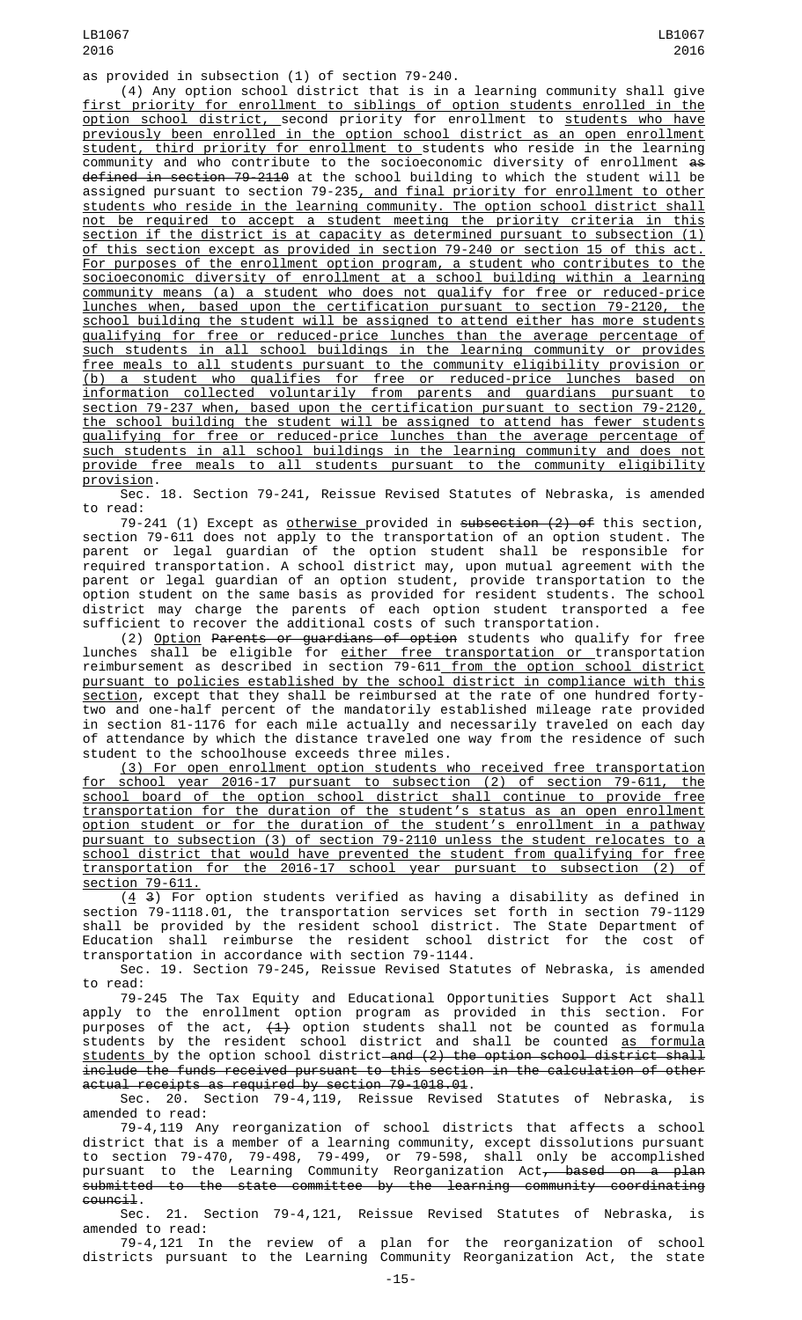LB1067 2016

as provided in subsection (1) of section 79-240.

(4) Any option school district that is in a learning community shall give first priority for enrollment to siblings of option students enrolled in the option school district, second priority for enrollment to students who have previously been enrolled in the option school district as an open enrollment student, third priority for enrollment to students who reside in the learning community and who contribute to the socioeconomic diversity of enrollment as defined in section 79-2110 at the school building to which the student will be assigned pursuant to section 79-235<u>, and final priority for enrollment to other</u> students who reside in the learning community. The option school district shall not be required to accept a student meeting the priority criteria in this section if the district is at capacity as determined pursuant to subsection (1) of this section except as provided in section 79-240 or section 15 of this act. For purposes of the enrollment option program, a student who contributes to the socioeconomic diversity of enrollment at a school building within a learning community means (a) a student who does not qualify for free or reduced-price lunches when, based upon the certification pursuant to section 79-2120, the school building the student will be assigned to attend either has more students qualifying for free or reduced-price lunches than the average percentage of such students in all school buildings in the learning community or provides free meals to all students pursuant to the community eligibility provision or (b) a student who qualifies for free or reduced-price lunches based on information collected voluntarily from parents and guardians pursuant to section 79-237 when, based upon the certification pursuant to section 79-2120, the school building the student will be assigned to attend has fewer students qualifying for free or reduced-price lunches than the average percentage of such students in all school buildings in the learning community and does not provide free meals to all students pursuant to the community eligibility provision.

Sec. 18. Section 79-241, Reissue Revised Statutes of Nebraska, is amended to read:

79-241 (1) Except as otherwise provided in subsection (2) of this section, section 79-611 does not apply to the transportation of an option student. The parent or legal guardian of the option student shall be responsible for required transportation. A school district may, upon mutual agreement with the parent or legal guardian of an option student, provide transportation to the option student on the same basis as provided for resident students. The school district may charge the parents of each option student transported a fee sufficient to recover the additional costs of such transportation.

(2) Option Parents or guardians of option students who qualify for free lunches shall be eligible for <u>either free transportation or </u>transportation reimbursement as described in section 79-611 from the option school district pursuant to policies established by the school district in compliance with this section, except that they shall be reimbursed at the rate of one hundred fortytwo and one-half percent of the mandatorily established mileage rate provided in section 81-1176 for each mile actually and necessarily traveled on each day of attendance by which the distance traveled one way from the residence of such student to the schoolhouse exceeds three miles.

(3) For open enrollment option students who received free transportation for school year 2016-17 pursuant to subsection (2) of section 79-611, the school board of the option school district shall continue to provide free transportation for the duration of the student's status as an open enrollment option student or for the duration of the student's enrollment in a pathway pursuant to subsection (3) of section 79-2110 unless the student relocates to a school district that would have prevented the student from qualifying for free transportation for the 2016-17 school year pursuant to subsection (2) of section 79-611.

 $(4, 3)$  For option students verified as having a disability as defined in section 79-1118.01, the transportation services set forth in section 79-1129 shall be provided by the resident school district. The State Department of Education shall reimburse the resident school district for the cost of transportation in accordance with section 79-1144.

Sec. 19. Section 79-245, Reissue Revised Statutes of Nebraska, is amended to read:

79-245 The Tax Equity and Educational Opportunities Support Act shall apply to the enrollment option program as provided in this section. For purposes of the act, <del>(1)</del> option students shall not be counted as formula students by the resident school district and shall be counted <u>as formula</u> <u>students </u>by the option school district—<del>and (2) the option school district shall</del>  $\overline{include}$  the funds received pursuant to this section in the calculation of other actual receipts as required by section 79-1018.01.

Sec. 20. Section 79-4,119, Reissue Revised Statutes of Nebraska, is amended to read:

79-4,119 Any reorganization of school districts that affects a school district that is a member of a learning community, except dissolutions pursuant to section 79-470, 79-498, 79-499, or 79-598, shall only be accomplished pursuant to the Learning Community Reorganization Act<del>, based on a plan</del> submitted to the state committee by the learning community coordinating council.<br>.Sec

21. Section 79-4,121, Reissue Revised Statutes of Nebraska, is amended to read:

79-4,121 In the review of a plan for the reorganization of school districts pursuant to the Learning Community Reorganization Act, the state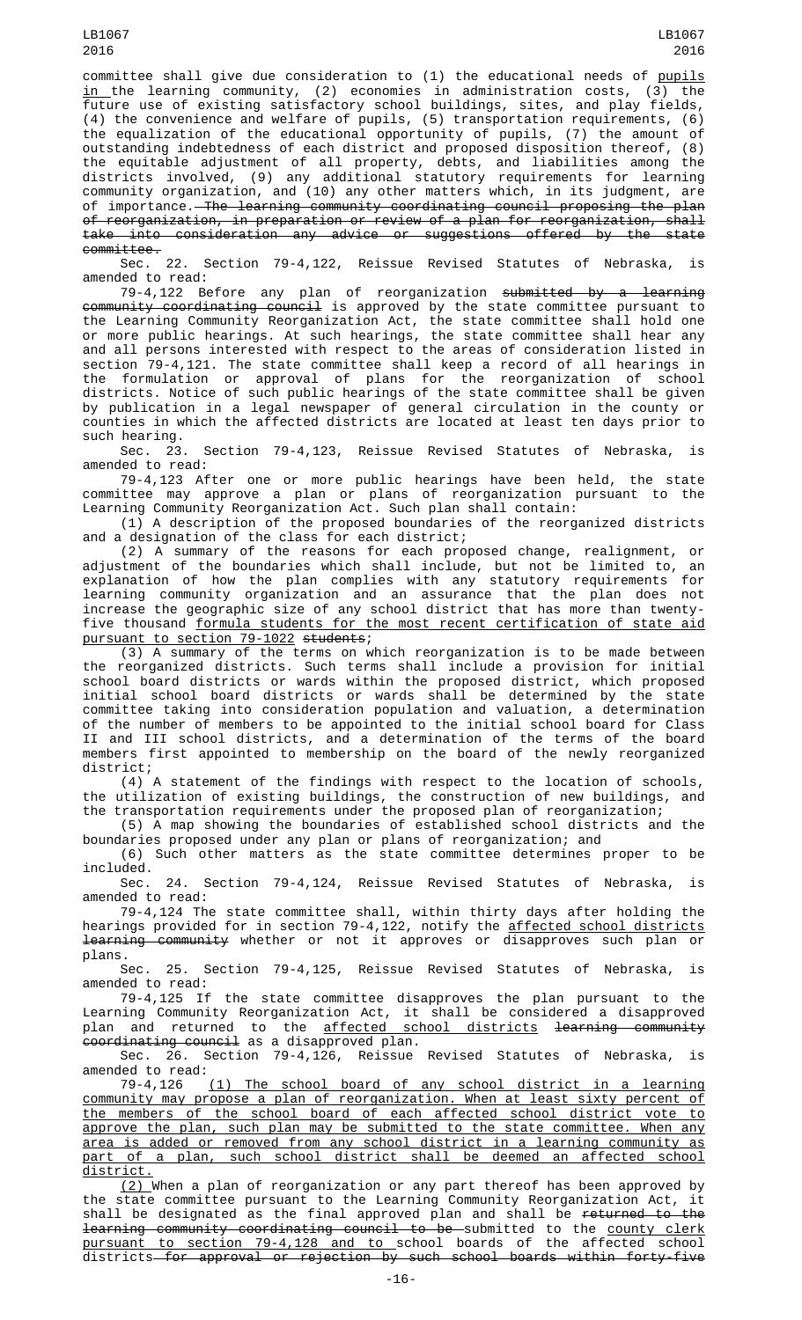committee shall give due consideration to (1) the educational needs of pupils <u>in </u>the learning community, (2) economies in administration costs, (3) the future use of existing satisfactory school buildings, sites, and play fields, (4) the convenience and welfare of pupils, (5) transportation requirements, (6) the equalization of the educational opportunity of pupils, (7) the amount of outstanding indebtedness of each district and proposed disposition thereof, (8) the equitable adjustment of all property, debts, and liabilities among the districts involved, (9) any additional statutory requirements for learning community organization, and (10) any other matters which, in its judgment, are of importance. The learning community coordinating council proposing the plan of reorganization, in preparation or review of a plan for reorganization, shall take into consideration any advice or suggestions offered by the state

committee.<br>Sec. 22. Section 79-4,122, Reissue Revised Statutes of Nebraska, is amended to read:

79-4,122 Before any plan of reorganization submitted by a learning community coordinating council is approved by the state committee pursuant to the Learning Community Reorganization Act, the state committee shall hold one or more public hearings. At such hearings, the state committee shall hear any and all persons interested with respect to the areas of consideration listed in section 79-4,121. The state committee shall keep a record of all hearings in the formulation or approval of plans for the reorganization of school districts. Notice of such public hearings of the state committee shall be given by publication in a legal newspaper of general circulation in the county or counties in which the affected districts are located at least ten days prior to

such hearing.<br>Sec. 23. Section 79-4,123, Reissue Revised Statutes of Nebraska, is amended to read:

79-4,123 After one or more public hearings have been held, the state committee may approve a plan or plans of reorganization pursuant to the Learning Community Reorganization Act. Such plan shall contain:

(1) A description of the proposed boundaries of the reorganized districts and a designation of the class for each district;

(2) A summary of the reasons for each proposed change, realignment, or adjustment of the boundaries which shall include, but not be limited to, an explanation of how the plan complies with any statutory requirements for learning community organization and an assurance that the plan does not increase the geographic size of any school district that has more than twentyfive thousand formula students for the most recent certification of state aid pursuant to section 79-1022 students;

(3) A summary of the terms on which reorganization is to be made between the reorganized districts. Such terms shall include a provision for initial school board districts or wards within the proposed district, which proposed initial school board districts or wards shall be determined by the state committee taking into consideration population and valuation, a determination of the number of members to be appointed to the initial school board for Class II and III school districts, and a determination of the terms of the board members first appointed to membership on the board of the newly reorganized district;

(4) A statement of the findings with respect to the location of schools,<br>Itilization of existing buildings, the construction of new buildings, and the utilization of existing buildings, the construction of new buildings, the transportation requirements under the proposed plan of reorganization;

(5) A map showing the boundaries of established school districts and the boundaries proposed under any plan or plans of reorganization; and

(6) Such other matters as the state committee determines proper to be

included.<br>Sec. 24. Section 79-4,124, Reissue Revised Statutes of Nebraska, is amended to read:

79-4,124 The state committee shall, within thirty days after holding the hearings provided for in section 79-4,122, notify the <u>affected school districts</u> learning community whether or not it approves or disapproves such plan or

plans.<br>Sec. 25. Section 79-4,125, Reissue Revised Statutes of Nebraska, is amended to read:

79-4,125 If the state committee disapproves the plan pursuant to the Learning Community Reorganization Act, it shall be considered a disapproved plan and returned to the <u>affected school districts</u> <del>learning community</del> coordinating council as a disapproved plan.

Sec. 26. Section 79-4,126, Reissue Revised Statutes of Nebraska, amended to read:

79-4,126 (1) The school board of any school district in a learning community may propose a plan of reorganization. When at least sixty percent of the members of the school board of each affected school district vote to approve the plan, such plan may be submitted to the state committee. When any area is added or removed from any school district in a learning community as part of a plan, such school district shall be deemed an affected school <u>district.</u>

(2) When a plan of reorganization or any part thereof has been approved by the state committee pursuant to the Learning Community Reorganization Act, it shall be designated as the final approved plan and shall be <del>returned to the</del> <del>learning community coordinating council to be s</del>ubmitted to the <u>county clerk</u> pursuant to section 79-4,128 and to school boards of the affected school districts<del> for approval or rejection by such school boards within forty-five</del>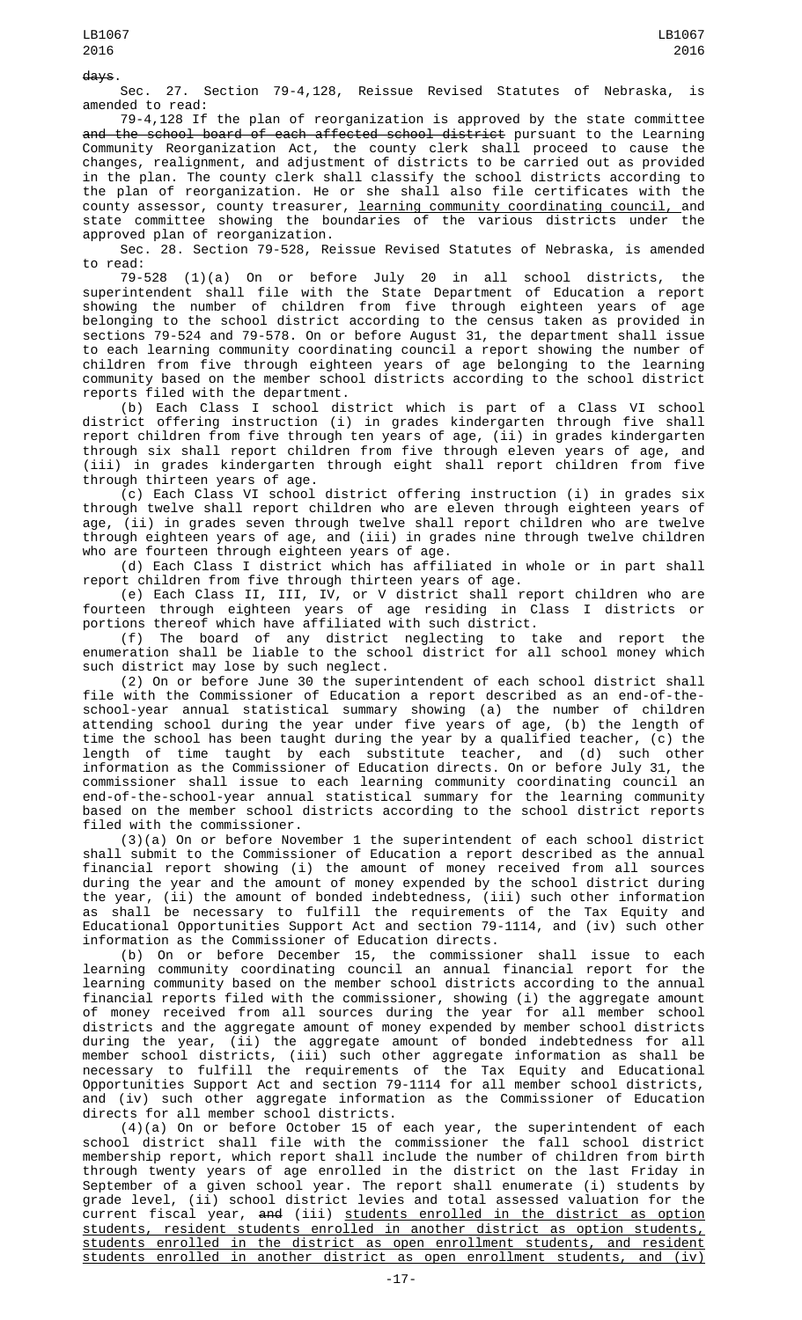days.

Sec. 27. Section 79-4,128, Reissue Revised Statutes of Nebraska, is amended to read:

79-4,128 If the plan of reorganization is approved by the state committee a<del>nd the school board of each affected school district</del> pursuant to the Learning Community Reorganization Act, the county clerk shall proceed to cause the changes, realignment, and adjustment of districts to be carried out as provided in the plan. The county clerk shall classify the school districts according to the plan of reorganization. He or she shall also file certificates with the county assessor, county treasurer, <u>learning community coordinating council, </u>and state committee showing the boundaries of the various districts under the approved plan of reorganization.

Sec. 28. Section 79-528, Reissue Revised Statutes of Nebraska, is amended to read:

79-528 (1)(a) On or before July 20 in all school districts, the superintendent shall file with the State Department of Education a report showing the number of children from five through eighteen years of age belonging to the school district according to the census taken as provided in sections 79-524 and 79-578. On or before August 31, the department shall issue to each learning community coordinating council a report showing the number of children from five through eighteen years of age belonging to the learning community based on the member school districts according to the school district reports filed with the department.

(b) Each Class I school district which is part of a Class VI school district offering instruction (i) in grades kindergarten through five shall report children from five through ten years of age, (ii) in grades kindergarten through six shall report children from five through eleven years of age, and (iii) in grades kindergarten through eight shall report children from five through thirteen years of age.

(c) Each Class VI school district offering instruction (i) in grades six through twelve shall report children who are eleven through eighteen years of age, (ii) in grades seven through twelve shall report children who are twelve through eighteen years of age, and (iii) in grades nine through twelve children who are fourteen through eighteen years of age.

(d) Each Class I district which has affiliated in whole or in part shall report children from five through thirteen years of age.

(e) Each Class II, III, IV, or V district shall report children who are fourteen through eighteen years of age residing in Class I districts or portions thereof which have affiliated with such district.

(f) The board of any district neglecting to take and report the enumeration shall be liable to the school district for all school money which such district may lose by such neglect.

(2) On or before June 30 the superintendent of each school district shall file with the Commissioner of Education a report described as an end-of-theschool-year annual statistical summary showing (a) the number of children attending school during the year under five years of age, (b) the length of time the school has been taught during the year by a qualified teacher, (c) the length of time taught by each substitute teacher, and (d) such other information as the Commissioner of Education directs. On or before July 31, the commissioner shall issue to each learning community coordinating council an end-of-the-school-year annual statistical summary for the learning community based on the member school districts according to the school district reports filed with the commissioner.

(3)(a) On or before November 1 the superintendent of each school district shall submit to the Commissioner of Education a report described as the annual financial report showing (i) the amount of money received from all sources during the year and the amount of money expended by the school district during the year, (ii) the amount of bonded indebtedness, (iii) such other information as shall be necessary to fulfill the requirements of the Tax Equity and Educational Opportunities Support Act and section 79-1114, and (iv) such other information as the Commissioner of Education directs.

(b) On or before December 15, the commissioner shall issue to each learning community coordinating council an annual financial report for the learning community based on the member school districts according to the annual financial reports filed with the commissioner, showing (i) the aggregate amount of money received from all sources during the year for all member school districts and the aggregate amount of money expended by member school districts during the year, (ii) the aggregate amount of bonded indebtedness for all member school districts, (iii) such other aggregate information as shall be necessary to fulfill the requirements of the Tax Equity and Educational Opportunities Support Act and section 79-1114 for all member school districts, and (iv) such other aggregate information as the Commissioner of Education directs for all member school districts.

(4)(a) On or before October 15 of each year, the superintendent of each school district shall file with the commissioner the fall school district membership report, which report shall include the number of children from birth through twenty years of age enrolled in the district on the last Friday in September of a given school year. The report shall enumerate (i) students by grade level, (ii) school district levies and total assessed valuation for the current fiscal year, <del>and</del> (iii) <u>students enrolled in the district as option</u> students, resident students enrolled in another district as option students, students enrolled in the district as open enrollment students, and resident students enrolled in another district as open enrollment students, and (iv)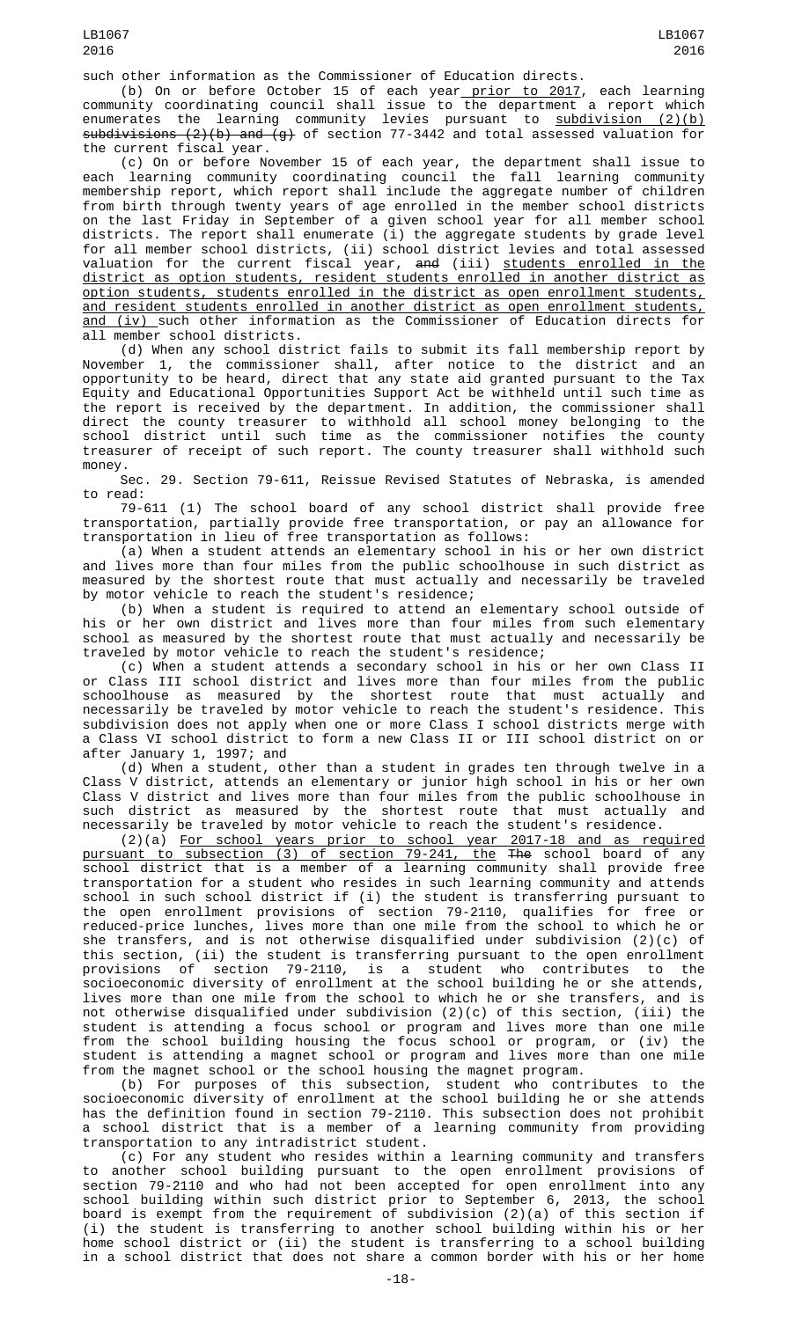(b) On or before October 15 of each year <u>prior to 2017</u>, each learning community coordinating council shall issue to the department a report which enumerates the learning community levies pursuant to <u>subdivision (2)(b)</u> subdivisions (2)(b) and (g) of section 77-3442 and total assessed valuation for the current fiscal year.

(c) On or before November 15 of each year, the department shall issue to each learning community coordinating council the fall learning community membership report, which report shall include the aggregate number of children from birth through twenty years of age enrolled in the member school districts on the last Friday in September of a given school year for all member school districts. The report shall enumerate (i) the aggregate students by grade level for all member school districts, (ii) school district levies and total assessed valuation for the current fiscal year, <del>and</del> (iii) <u>students enrolled in the</u> district as option students, resident students enrolled in another district as option students, students enrolled in the district as open enrollment students, and resident students enrolled in another district as open enrollment students, and (iv) such other information as the Commissioner of Education directs for all member school districts.

(d) When any school district fails to submit its fall membership report by November 1, the commissioner shall, after notice to the district and an opportunity to be heard, direct that any state aid granted pursuant to the Tax Equity and Educational Opportunities Support Act be withheld until such time as the report is received by the department. In addition, the commissioner shall direct the county treasurer to withhold all school money belonging to the school district until such time as the commissioner notifies the county treasurer of receipt of such report. The county treasurer shall withhold such money.

Sec. 29. Section 79-611, Reissue Revised Statutes of Nebraska, is amended to read:

79-611 (1) The school board of any school district shall provide free transportation, partially provide free transportation, or pay an allowance for transportation in lieu of free transportation as follows:

(a) When a student attends an elementary school in his or her own district and lives more than four miles from the public schoolhouse in such district as measured by the shortest route that must actually and necessarily be traveled by motor vehicle to reach the student's residence;

(b) When a student is required to attend an elementary school outside of his or her own district and lives more than four miles from such elementary school as measured by the shortest route that must actually and necessarily be traveled by motor vehicle to reach the student's residence;

(c) When a student attends a secondary school in his or her own Class II or Class III school district and lives more than four miles from the public schoolhouse as measured by the shortest route that must actually and necessarily be traveled by motor vehicle to reach the student's residence. This subdivision does not apply when one or more Class I school districts merge with a Class VI school district to form a new Class II or III school district on or after January 1, 1997; and

(d) When a student, other than a student in grades ten through twelve in a Class V district, attends an elementary or junior high school in his or her own Class V district and lives more than four miles from the public schoolhouse in such district as measured by the shortest route that must actually and necessarily be traveled by motor vehicle to reach the student's residence.

(2)(a) For school years prior to school year 2017-18 and as required pursuant to subsection (3) of section 79-241, the The school board of any school district that is a member of a learning community shall provide free transportation for a student who resides in such learning community and attends school in such school district if (i) the student is transferring pursuant to the open enrollment provisions of section 79-2110, qualifies for free or reduced-price lunches, lives more than one mile from the school to which he or she transfers, and is not otherwise disqualified under subdivision (2)(c) of this section, (ii) the student is transferring pursuant to the open enrollment<br>provisions of section 79-2110, is a student who contributes to the provisions of section 79-2110, is a student who contributes to the socioeconomic diversity of enrollment at the school building he or she attends, lives more than one mile from the school to which he or she transfers, and is not otherwise disqualified under subdivision (2)(c) of this section, (iii) the student is attending a focus school or program and lives more than one mile from the school building housing the focus school or program, or (iv) the student is attending a magnet school or program and lives more than one mile from the magnet school or the school housing the magnet program.

(b) For purposes of this subsection, student who contributes to the socioeconomic diversity of enrollment at the school building he or she attends has the definition found in section 79-2110. This subsection does not prohibit a school district that is a member of a learning community from providing transportation to any intradistrict student.

(c) For any student who resides within a learning community and transfers to another school building pursuant to the open enrollment provisions of section 79-2110 and who had not been accepted for open enrollment into any school building within such district prior to September 6, 2013, the school board is exempt from the requirement of subdivision (2)(a) of this section if (i) the student is transferring to another school building within his or her home school district or (ii) the student is transferring to a school building in a school district that does not share a common border with his or her home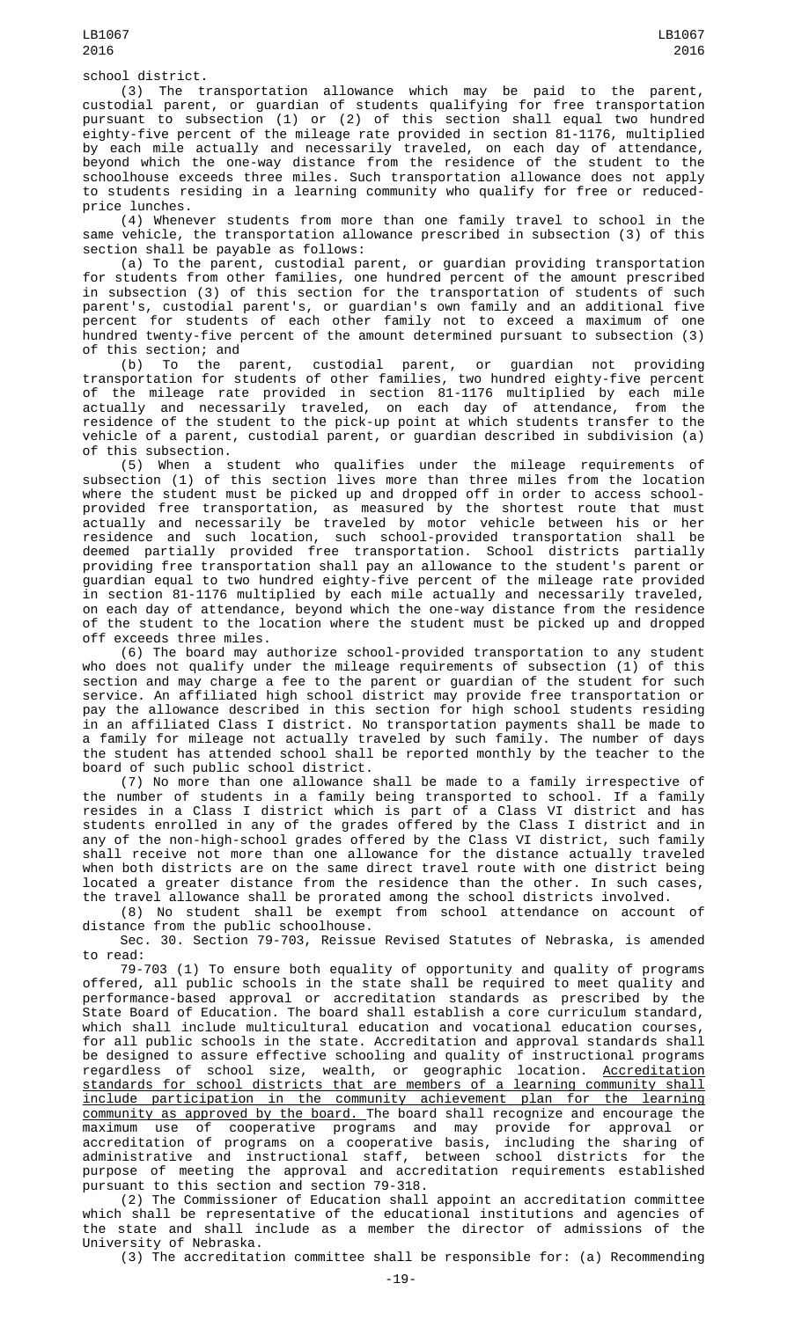(3) The transportation allowance which may be paid to the parent, custodial parent, or guardian of students qualifying for free transportation pursuant to subsection (1) or (2) of this section shall equal two hundred eighty-five percent of the mileage rate provided in section 81-1176, multiplied by each mile actually and necessarily traveled, on each day of attendance, beyond which the one-way distance from the residence of the student to the schoolhouse exceeds three miles. Such transportation allowance does not apply to students residing in a learning community who qualify for free or reducedprice lunches.

(4) Whenever students from more than one family travel to school in the same vehicle, the transportation allowance prescribed in subsection (3) of this section shall be payable as follows:

(a) To the parent, custodial parent, or guardian providing transportation for students from other families, one hundred percent of the amount prescribed in subsection (3) of this section for the transportation of students of such parent's, custodial parent's, or guardian's own family and an additional five percent for students of each other family not to exceed a maximum of one hundred twenty-five percent of the amount determined pursuant to subsection (3) of this section; and

(b) To the parent, custodial parent, or guardian not providing transportation for students of other families, two hundred eighty-five percent of the mileage rate provided in section 81-1176 multiplied by each mile actually and necessarily traveled, on each day of attendance, from the residence of the student to the pick-up point at which students transfer to the vehicle of a parent, custodial parent, or guardian described in subdivision (a) of this subsection.

(5) When a student who qualifies under the mileage requirements of subsection (1) of this section lives more than three miles from the location where the student must be picked up and dropped off in order to access schoolprovided free transportation, as measured by the shortest route that must actually and necessarily be traveled by motor vehicle between his or her residence and such location, such school-provided transportation shall be deemed partially provided free transportation. School districts partially providing free transportation shall pay an allowance to the student's parent or guardian equal to two hundred eighty-five percent of the mileage rate provided in section 81-1176 multiplied by each mile actually and necessarily traveled, on each day of attendance, beyond which the one-way distance from the residence of the student to the location where the student must be picked up and dropped off exceeds three miles.

(6) The board may authorize school-provided transportation to any student who does not qualify under the mileage requirements of subsection (1) of this section and may charge a fee to the parent or guardian of the student for such service. An affiliated high school district may provide free transportation or pay the allowance described in this section for high school students residing in an affiliated Class I district. No transportation payments shall be made to a family for mileage not actually traveled by such family. The number of days the student has attended school shall be reported monthly by the teacher to the board of such public school district.

(7) No more than one allowance shall be made to a family irrespective of the number of students in a family being transported to school. If a family resides in a Class I district which is part of a Class VI district and has students enrolled in any of the grades offered by the Class I district and in any of the non-high-school grades offered by the Class VI district, such family shall receive not more than one allowance for the distance actually traveled when both districts are on the same direct travel route with one district being located a greater distance from the residence than the other. In such cases, the travel allowance shall be prorated among the school districts involved.

(8) No student shall be exempt from school attendance on account of distance from the public schoolhouse.

Sec. 30. Section 79-703, Reissue Revised Statutes of Nebraska, is amended to read:

79-703 (1) To ensure both equality of opportunity and quality of programs offered, all public schools in the state shall be required to meet quality and performance-based approval or accreditation standards as prescribed by the State Board of Education. The board shall establish a core curriculum standard, which shall include multicultural education and vocational education courses, for all public schools in the state. Accreditation and approval standards shall be designed to assure effective schooling and quality of instructional programs regardless of school size, wealth, or geographic location. Accreditation standards for school districts that are members of a learning community shall include participation in the community achievement plan for the learning community as approved by the board. The board shall recognize and encourage the maximum use of cooperative programs and may provide for approval or accreditation of programs on a cooperative basis, including the sharing of administrative and instructional staff, between school districts for the purpose of meeting the approval and accreditation requirements established pursuant to this section and section 79-318.

(2) The Commissioner of Education shall appoint an accreditation committee which shall be representative of the educational institutions and agencies of the state and shall include as a member the director of admissions of the University of Nebraska.

(3) The accreditation committee shall be responsible for: (a) Recommending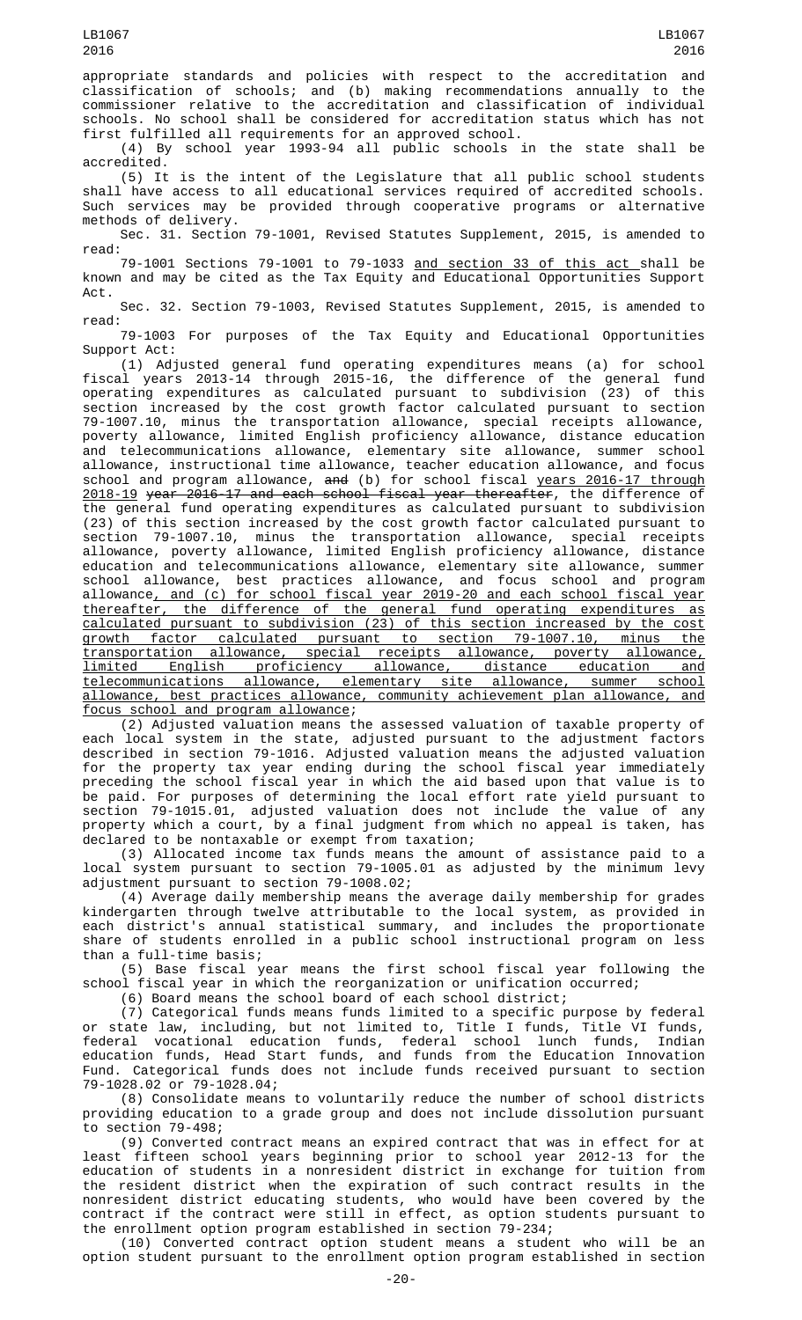appropriate standards and policies with respect to the accreditation and classification of schools; and (b) making recommendations annually to the commissioner relative to the accreditation and classification of individual schools. No school shall be considered for accreditation status which has not first fulfilled all requirements for an approved school.

(4) By school year 1993-94 all public schools in the state shall be accredited.

(5) It is the intent of the Legislature that all public school students shall have access to all educational services required of accredited schools. Such services may be provided through cooperative programs or alternative methods of delivery.

Sec. 31. Section 79-1001, Revised Statutes Supplement, 2015, is amended to read:

79-1001 Sections 79-1001 to 79-1033 <u>and section 33 of this act </u>shall be known and may be cited as the Tax Equity and Educational Opportunities Support Act.

Sec. 32. Section 79-1003, Revised Statutes Supplement, 2015, is amended to read:

79-1003 For purposes of the Tax Equity and Educational Opportunities

Support Act:<br>(1) Adjusted general fund operating expenditures means (a) for school (1) Adjusted general fund operating expenditures means (a) for school fiscal years 2013-14 through 2015-16, the difference of the general fund operating expenditures as calculated pursuant to subdivision (23) of this section increased by the cost growth factor calculated pursuant to section 79-1007.10, minus the transportation allowance, special receipts allowance, poverty allowance, limited English proficiency allowance, distance education and telecommunications allowance, elementary site allowance, summer school allowance, instructional time allowance, teacher education allowance, and focus school and program allowance, <del>and</del> (b) for school fiscal <u>years 2016-17 through</u> 2018-19 year 2016-17 and each school fiscal year thereafter, the difference of the general fund operating expenditures as calculated pursuant to subdivision (23) of this section increased by the cost growth factor calculated pursuant to section 79-1007.10, minus the transportation allowance, special receipts allowance, poverty allowance, limited English proficiency allowance, distance education and telecommunications allowance, elementary site allowance, summer school allowance, best practices allowance, and focus school and program allowance, and (c) for school fiscal year 2019-20 and each school fiscal year thereafter, the difference of the general fund operating expenditures as calculated pursuant to subdivision (23) of this section increased by the cost growth factor calculated pursuant to section 79-1007.10, minus the transportation allowance, special receipts allowance, poverty allowance, limited English proficiency allowance, distance education and telecommunications allowance, elementary site allowance, summer school allowance, best practices allowance, community achievement plan allowance, and focus school and program allowance;

(2) Adjusted valuation means the assessed valuation of taxable property of each local system in the state, adjusted pursuant to the adjustment factors described in section 79-1016. Adjusted valuation means the adjusted valuation for the property tax year ending during the school fiscal year immediately preceding the school fiscal year in which the aid based upon that value is to be paid. For purposes of determining the local effort rate yield pursuant to section 79-1015.01, adjusted valuation does not include the value of any property which a court, by a final judgment from which no appeal is taken, has declared to be nontaxable or exempt from taxation;

(3) Allocated income tax funds means the amount of assistance paid to a local system pursuant to section 79-1005.01 as adjusted by the minimum levy adjustment pursuant to section 79-1008.02;

(4) Average daily membership means the average daily membership for grades kindergarten through twelve attributable to the local system, as provided in each district's annual statistical summary, and includes the proportionate share of students enrolled in a public school instructional program on less than a full-time basis;

(5) Base fiscal year means the first school fiscal year following the school fiscal year in which the reorganization or unification occurred;

(6) Board means the school board of each school district;

(7) Categorical funds means funds limited to a specific purpose by federal or state law, including, but not limited to, Title I funds, Title VI funds, federal vocational education funds, federal school lunch funds, Indian education funds, Head Start funds, and funds from the Education Innovation Fund. Categorical funds does not include funds received pursuant to section 79-1028.02 or 79-1028.04;

(8) Consolidate means to voluntarily reduce the number of school districts providing education to a grade group and does not include dissolution pursuant to section 79-498;

(9) Converted contract means an expired contract that was in effect for at least fifteen school years beginning prior to school year 2012-13 for the education of students in a nonresident district in exchange for tuition from the resident district when the expiration of such contract results in the nonresident district educating students, who would have been covered by the contract if the contract were still in effect, as option students pursuant to the enrollment option program established in section 79-234;

(10) Converted contract option student means a student who will be an option student pursuant to the enrollment option program established in section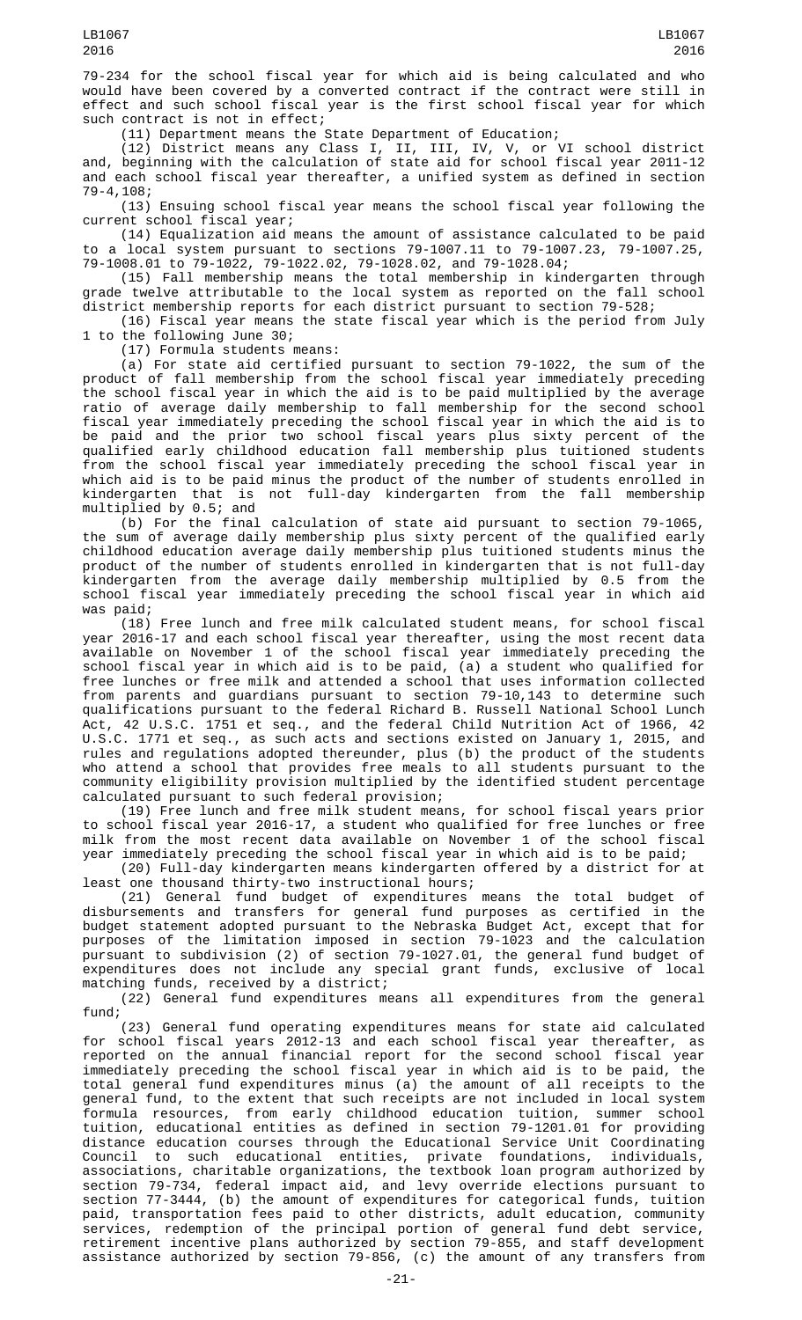79-234 for the school fiscal year for which aid is being calculated and who would have been covered by a converted contract if the contract were still in effect and such school fiscal year is the first school fiscal year for which such contract is not in effect;

(11) Department means the State Department of Education;

(12) District means any Class I, II, III, IV, V, or VI school district and, beginning with the calculation of state aid for school fiscal year 2011-12 and each school fiscal year thereafter, a unified system as defined in section 79-4,108;

(13) Ensuing school fiscal year means the school fiscal year following the current school fiscal year;

(14) Equalization aid means the amount of assistance calculated to be paid to a local system pursuant to sections 79-1007.11 to 79-1007.23, 79-1007.25, 79-1008.01 to 79-1022, 79-1022.02, 79-1028.02, and 79-1028.04;

(15) Fall membership means the total membership in kindergarten through grade twelve attributable to the local system as reported on the fall school district membership reports for each district pursuant to section 79-528;

(16) Fiscal year means the state fiscal year which is the period from July 1 to the following June 30;

(17) Formula students means:

(a) For state aid certified pursuant to section 79-1022, the sum of the product of fall membership from the school fiscal year immediately preceding the school fiscal year in which the aid is to be paid multiplied by the average ratio of average daily membership to fall membership for the second school fiscal year immediately preceding the school fiscal year in which the aid is to be paid and the prior two school fiscal years plus sixty percent of the qualified early childhood education fall membership plus tuitioned students from the school fiscal year immediately preceding the school fiscal year in which aid is to be paid minus the product of the number of students enrolled in not full-day kindergarten from the fall membership kindergarten that is<br>multiplied by 0.5; and

(b) For the final calculation of state aid pursuant to section 79-1065, the sum of average daily membership plus sixty percent of the qualified early childhood education average daily membership plus tuitioned students minus the product of the number of students enrolled in kindergarten that is not full-day kindergarten from the average daily membership multiplied by 0.5 from the school fiscal year immediately preceding the school fiscal year in which aid was paid;

(18) Free lunch and free milk calculated student means, for school fiscal year 2016-17 and each school fiscal year thereafter, using the most recent data available on November 1 of the school fiscal year immediately preceding the school fiscal year in which aid is to be paid, (a) a student who qualified for free lunches or free milk and attended a school that uses information collected from parents and guardians pursuant to section 79-10,143 to determine such qualifications pursuant to the federal Richard B. Russell National School Lunch Act, 42 U.S.C. 1751 et seq., and the federal Child Nutrition Act of 1966, 42 U.S.C. 1771 et seq., as such acts and sections existed on January 1, 2015, and rules and regulations adopted thereunder, plus (b) the product of the students who attend a school that provides free meals to all students pursuant to the community eligibility provision multiplied by the identified student percentage calculated pursuant to such federal provision;

(19) Free lunch and free milk student means, for school fiscal years prior to school fiscal year 2016-17, a student who qualified for free lunches or free milk from the most recent data available on November 1 of the school fiscal year immediately preceding the school fiscal year in which aid is to be paid;

(20) Full-day kindergarten means kindergarten offered by a district for at least one thousand thirty-two instructional hours;

(21) General fund budget of expenditures means the total budget of disbursements and transfers for general fund purposes as certified in the budget statement adopted pursuant to the Nebraska Budget Act, except that for purposes of the limitation imposed in section 79-1023 and the calculation pursuant to subdivision (2) of section 79-1027.01, the general fund budget of expenditures does not include any special grant funds, exclusive of local matching funds, received by a district;

(22) General fund expenditures means all expenditures from the general fund;

(23) General fund operating expenditures means for state aid calculated for school fiscal years 2012-13 and each school fiscal year thereafter, as reported on the annual financial report for the second school fiscal year immediately preceding the school fiscal year in which aid is to be paid, the total general fund expenditures minus (a) the amount of all receipts to the general fund, to the extent that such receipts are not included in local system formula resources, from early childhood education tuition, summer school tuition, educational entities as defined in section 79-1201.01 for providing distance education courses through the Educational Service Unit Coordinating Council to such educational entities, private foundations, individuals, associations, charitable organizations, the textbook loan program authorized by section 79-734, federal impact aid, and levy override elections pursuant to section 77-3444, (b) the amount of expenditures for categorical funds, tuition paid, transportation fees paid to other districts, adult education, community services, redemption of the principal portion of general fund debt service, retirement incentive plans authorized by section 79-855, and staff development assistance authorized by section 79-856, (c) the amount of any transfers from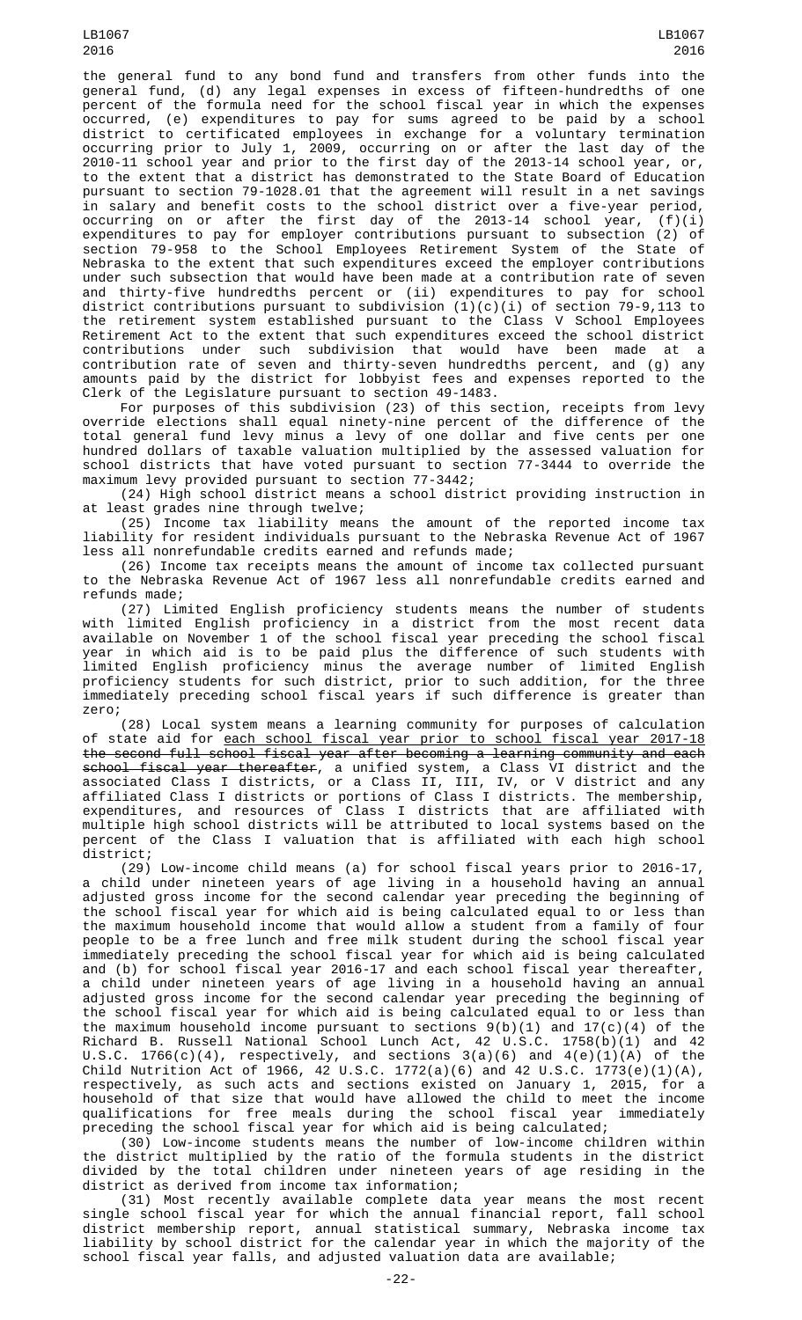LB1067 2016

the general fund to any bond fund and transfers from other funds into the general fund, (d) any legal expenses in excess of fifteen-hundredths of one percent of the formula need for the school fiscal year in which the expenses occurred, (e) expenditures to pay for sums agreed to be paid by a school district to certificated employees in exchange for a voluntary termination occurring prior to July 1, 2009, occurring on or after the last day of the 2010-11 school year and prior to the first day of the 2013-14 school year, or, to the extent that a district has demonstrated to the State Board of Education pursuant to section 79-1028.01 that the agreement will result in a net savings in salary and benefit costs to the school district over a five-year period, occurring on or after the first day of the 2013-14 school year, (f)(i) expenditures to pay for employer contributions pursuant to subsection (2) of section 79-958 to the School Employees Retirement System of the State of Nebraska to the extent that such expenditures exceed the employer contributions under such subsection that would have been made at a contribution rate of seven and thirty-five hundredths percent or (ii) expenditures to pay for school district contributions pursuant to subdivision (1)(c)(i) of section 79-9,113 to the retirement system established pursuant to the Class V School Employees Retirement Act to the extent that such expenditures exceed the school district contributions under such subdivision that would have been made at a contribution rate of seven and thirty-seven hundredths percent, and (g) any amounts paid by the district for lobbyist fees and expenses reported to the Clerk of the Legislature pursuant to section 49-1483.

For purposes of this subdivision (23) of this section, receipts from levy override elections shall equal ninety-nine percent of the difference of the total general fund levy minus a levy of one dollar and five cents per one hundred dollars of taxable valuation multiplied by the assessed valuation for school districts that have voted pursuant to section 77-3444 to override the maximum levy provided pursuant to section 77-3442;

(24) High school district means a school district providing instruction in least grades nine through twelve;

(25) Income tax liability means the amount of the reported income tax liability for resident individuals pursuant to the Nebraska Revenue Act of 1967 less all nonrefundable credits earned and refunds made;

(26) Income tax receipts means the amount of income tax collected pursuant to the Nebraska Revenue Act of 1967 less all nonrefundable credits earned and refunds made;

(27) Limited English proficiency students means the number of students with limited English proficiency in a district from the most recent data available on November 1 of the school fiscal year preceding the school fiscal year in which aid is to be paid plus the difference of such students with limited English proficiency minus the average number of limited English proficiency students for such district, prior to such addition, for the three immediately preceding school fiscal years if such difference is greater than zero;

(28) Local system means a learning community for purposes of calculation of state aid for each school fiscal year prior to school fiscal year 2017-18 the second full school fiscal year after becoming a learning community and each school fiscal year thereafter, a unified system, a Class VI district and the associated Class I districts, or a Class II, III, IV, or V district and any affiliated Class I districts or portions of Class I districts. The membership, expenditures, and resources of Class I districts that are affiliated with multiple high school districts will be attributed to local systems based on the percent of the Class I valuation that is affiliated with each high school district;

(29) Low-income child means (a) for school fiscal years prior to 2016-17, a child under nineteen years of age living in a household having an annual adjusted gross income for the second calendar year preceding the beginning of the school fiscal year for which aid is being calculated equal to or less than the maximum household income that would allow a student from a family of four people to be a free lunch and free milk student during the school fiscal year immediately preceding the school fiscal year for which aid is being calculated and (b) for school fiscal year 2016-17 and each school fiscal year thereafter, a child under nineteen years of age living in a household having an annual adjusted gross income for the second calendar year preceding the beginning of the school fiscal year for which aid is being calculated equal to or less than the maximum household income pursuant to sections  $9(b)(1)$  and  $17(c)(4)$  of the Richard B. Russell National School Lunch Act, 42 U.S.C. 1758(b)(1) and 42 U.S.C. 1766(c)(4), respectively, and sections 3(a)(6) and 4(e)(1)(A) of the Child Nutrition Act of 1966, 42 U.S.C. 1772(a)(6) and 42 U.S.C. 1773(e)(1)(A), respectively, as such acts and sections existed on January 1, 2015, for a household of that size that would have allowed the child to meet the income qualifications for free meals during the school fiscal year immediately preceding the school fiscal year for which aid is being calculated;

(30) Low-income students means the number of low-income children within the district multiplied by the ratio of the formula students in the district divided by the total children under nineteen years of age residing in the district as derived from income tax information;

(31) Most recently available complete data year means the most recent single school fiscal year for which the annual financial report, fall school district membership report, annual statistical summary, Nebraska income tax liability by school district for the calendar year in which the majority of the school fiscal year falls, and adjusted valuation data are available;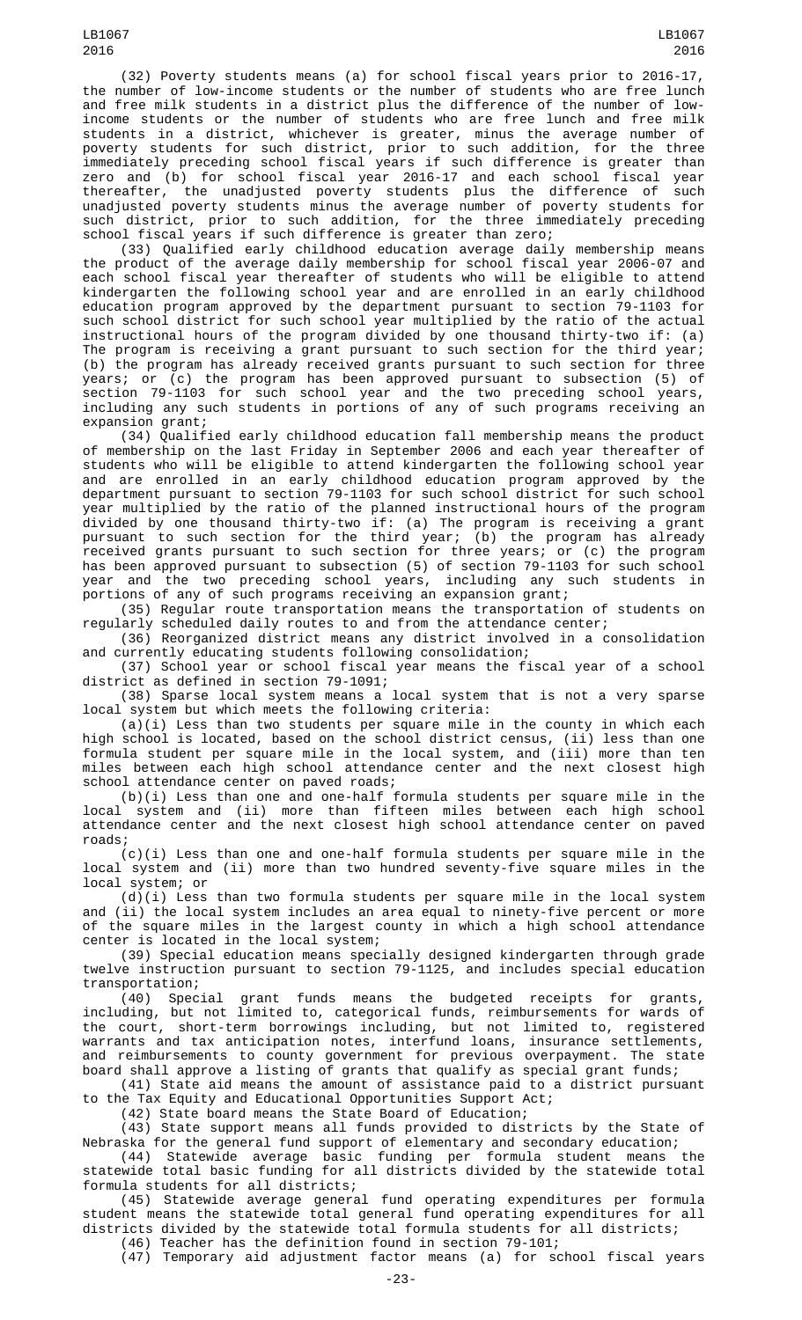(32) Poverty students means (a) for school fiscal years prior to 2016-17, the number of low-income students or the number of students who are free lunch and free milk students in a district plus the difference of the number of lowincome students or the number of students who are free lunch and free milk 2016

LB1067

students in a district, whichever is greater, minus the average number of poverty students for such district, prior to such addition, for the three immediately preceding school fiscal years if such difference is greater than zero and (b) for school fiscal year 2016-17 and each school fiscal year thereafter, the unadjusted poverty students plus the difference of such unadjusted poverty students minus the average number of poverty students for such district, prior to such addition, for the three immediately preceding school fiscal years if such difference is greater than zero;

(33) Qualified early childhood education average daily membership means the product of the average daily membership for school fiscal year 2006-07 and each school fiscal year thereafter of students who will be eligible to attend kindergarten the following school year and are enrolled in an early childhood education program approved by the department pursuant to section 79-1103 for such school district for such school year multiplied by the ratio of the actual instructional hours of the program divided by one thousand thirty-two if: (a) The program is receiving a grant pursuant to such section for the third year; (b) the program has already received grants pursuant to such section for three years; or (c) the program has been approved pursuant to subsection (5) of section 79-1103 for such school year and the two preceding school years, including any such students in portions of any of such programs receiving an expansion grant;

(34) Qualified early childhood education fall membership means the product of membership on the last Friday in September 2006 and each year thereafter of students who will be eligible to attend kindergarten the following school year and are enrolled in an early childhood education program approved by the department pursuant to section 79-1103 for such school district for such school year multiplied by the ratio of the planned instructional hours of the program divided by one thousand thirty-two if: (a) The program is receiving a grant pursuant to such section for the third year; (b) the program has already received grants pursuant to such section for three years; or (c) the program has been approved pursuant to subsection (5) of section 79-1103 for such school year and the two preceding school years, including any such students in portions of any of such programs receiving an expansion grant;

(35) Regular route transportation means the transportation of students on regularly scheduled daily routes to and from the attendance center;

(36) Reorganized district means any district involved in a consolidation and currently educating students following consolidation;

(37) School year or school fiscal year means the fiscal year of a school district as defined in section 79-1091;

(38) Sparse local system means a local system that is not a very sparse local system but which meets the following criteria:

 $(a)(i)$  Less than two students per square mile in the county in which each high school is located, based on the school district census, (ii) less than one formula student per square mile in the local system, and (iii) more than ten miles between each high school attendance center and the next closest high school attendance center on paved roads;

(b)(i) Less than one and one-half formula students per square mile in the local system and (ii) more than fifteen miles between each high school attendance center and the next closest high school attendance center on paved roads;

(c)(i) Less than one and one-half formula students per square mile in the local system and (ii) more than two hundred seventy-five square miles in the local system; or

 $(d)(i)$  Less than two formula students per square mile in the local system and (ii) the local system includes an area equal to ninety-five percent or more of the square miles in the largest county in which a high school attendance center is located in the local system;

(39) Special education means specially designed kindergarten through grade twelve instruction pursuant to section 79-1125, and includes special education transportation;

(40) Special grant funds means the budgeted receipts for grants, including, but not limited to, categorical funds, reimbursements for wards of the court, short-term borrowings including, but not limited to, registered warrants and tax anticipation notes, interfund loans, insurance settlements, and reimbursements to county government for previous overpayment. The state board shall approve a listing of grants that qualify as special grant funds;

(41) State aid means the amount of assistance paid to a district pursuant to the Tax Equity and Educational Opportunities Support Act;

(42) State board means the State Board of Education;

(43) State support means all funds provided to districts by the State of Nebraska for the general fund support of elementary and secondary education;

(44) Statewide average basic funding per formula student means the statewide total basic funding for all districts divided by the statewide total formula students for all districts;

(45) Statewide average general fund operating expenditures per formula student means the statewide total general fund operating expenditures for all districts divided by the statewide total formula students for all districts;

(46) Teacher has the definition found in section 79-101;

(47) Temporary aid adjustment factor means (a) for school fiscal years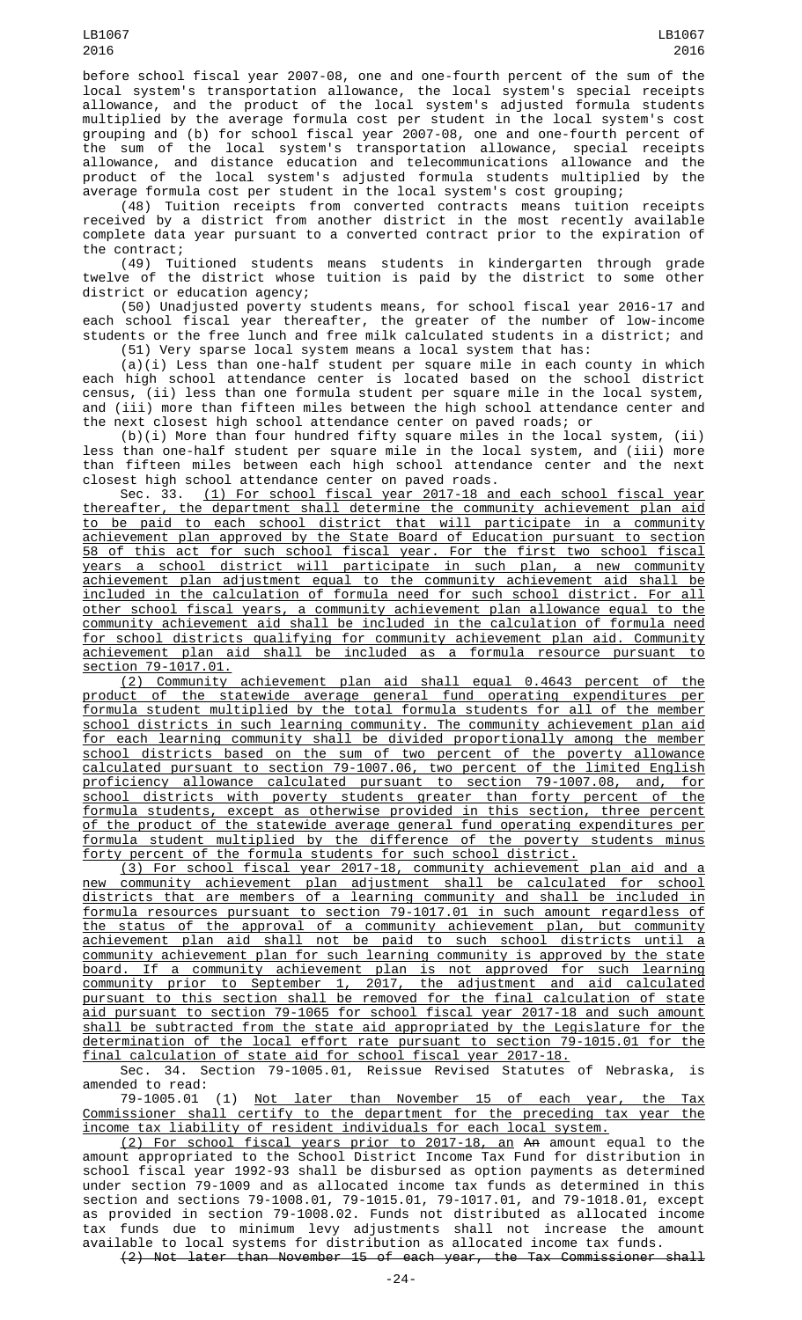before school fiscal year 2007-08, one and one-fourth percent of the sum of the local system's transportation allowance, the local system's special receipts allowance, and the product of the local system's adjusted formula students multiplied by the average formula cost per student in the local system's cost grouping and (b) for school fiscal year 2007-08, one and one-fourth percent of the sum of the local system's transportation allowance, special receipts allowance, and distance education and telecommunications allowance and the product of the local system's adjusted formula students multiplied by the average formula cost per student in the local system's cost grouping;

(48) Tuition receipts from converted contracts means tuition receipts received by a district from another district in the most recently available complete data year pursuant to a converted contract prior to the expiration of the contract;

(49) Tuitioned students means students in kindergarten through grade twelve of the district whose tuition is paid by the district to some other district or education agency;

(50) Unadjusted poverty students means, for school fiscal year 2016-17 and each school fiscal year thereafter, the greater of the number of low-income students or the free lunch and free milk calculated students in a district; and (51) Very sparse local system means a local system that has:

(a)(i) Less than one-half student per square mile in each county in which each high school attendance center is located based on the school district census, (ii) less than one formula student per square mile in the local system, and (iii) more than fifteen miles between the high school attendance center and the next closest high school attendance center on paved roads; or

(b)(i) More than four hundred fifty square miles in the local system, (ii) less than one-half student per square mile in the local system, and (iii) more than fifteen miles between each high school attendance center and the next closest high school attendance center on paved roads.

Sec. 33. (1) For school fiscal year 2017-18 and each school fiscal year thereafter, the department shall determine the community achievement plan aid to be paid to each school district that will participate in a community achievement plan approved by the State Board of Education pursuant to section 58 of this act for such school fiscal year. For the first two school fiscal years a school district will participate in such plan, a new community achievement plan adjustment equal to the community achievement aid shall be included in the calculation of formula need for such school district. For all other school fiscal years, a community achievement plan allowance equal to the community achievement aid shall be included in the calculation of formula need for school districts qualifying for community achievement plan aid. Community achievement plan aid shall be included as a formula resource pursuant to section 79-1017.01.

(2) Community achievement plan aid shall equal 0.4643 percent of the product of the statewide average general fund operating expenditures per formula student multiplied by the total formula students for all of the member school districts in such learning community. The community achievement plan aid for each learning community shall be divided proportionally among the member school districts based on the sum of two percent of the poverty allowance calculated pursuant to section 79-1007.06, two percent of the limited English proficiency allowance calculated pursuant to section 79-1007.08, and, for school districts with poverty students greater than forty percent of the formula students, except as otherwise provided in this section, three percent of the product of the statewide average general fund operating expenditures per formula student multiplied by the difference of the poverty students minus forty percent of the formula students for such school district.

(3) For school fiscal year 2017-18, community achievement plan aid and a new community achievement plan adjustment shall be calculated for school districts that are members of a learning community and shall be included in formula resources pursuant to section 79-1017.01 in such amount regardless of the status of the approval of a community achievement plan, but community achievement plan aid shall not be paid to such school districts until a community achievement plan for such learning community is approved by the state board. If a community achievement plan is not approved for such learning community prior to September 1, 2017, the adjustment and aid calculated pursuant to this section shall be removed for the final calculation of state aid pursuant to section 79-1065 for school fiscal year 2017-18 and such amount shall be subtracted from the state aid appropriated by the Legislature for the determination of the local effort rate pursuant to section 79-1015.01 for the final calculation of state aid for school fiscal year 2017-18.

Sec. 34. Section 79-1005.01, Reissue Revised Statutes of Nebraska, is amended to read:

79-1005.01 (1) Not later than November 15 of each year, the Tax Commissioner shall certify to the department for the preceding tax year the income tax liability of resident individuals for each local system.

(2) For school fiscal years prior to 2017-18, an An amount equal to the amount appropriated to the School District Income Tax Fund for distribution in school fiscal year 1992-93 shall be disbursed as option payments as determined under section 79-1009 and as allocated income tax funds as determined in this section and sections 79-1008.01, 79-1015.01, 79-1017.01, and 79-1018.01, except as provided in section 79-1008.02. Funds not distributed as allocated income tax funds due to minimum levy adjustments shall not increase the amount available to local systems for distribution as allocated income tax funds. (2) Not later than November 15 of each year, the Tax Commissioner shall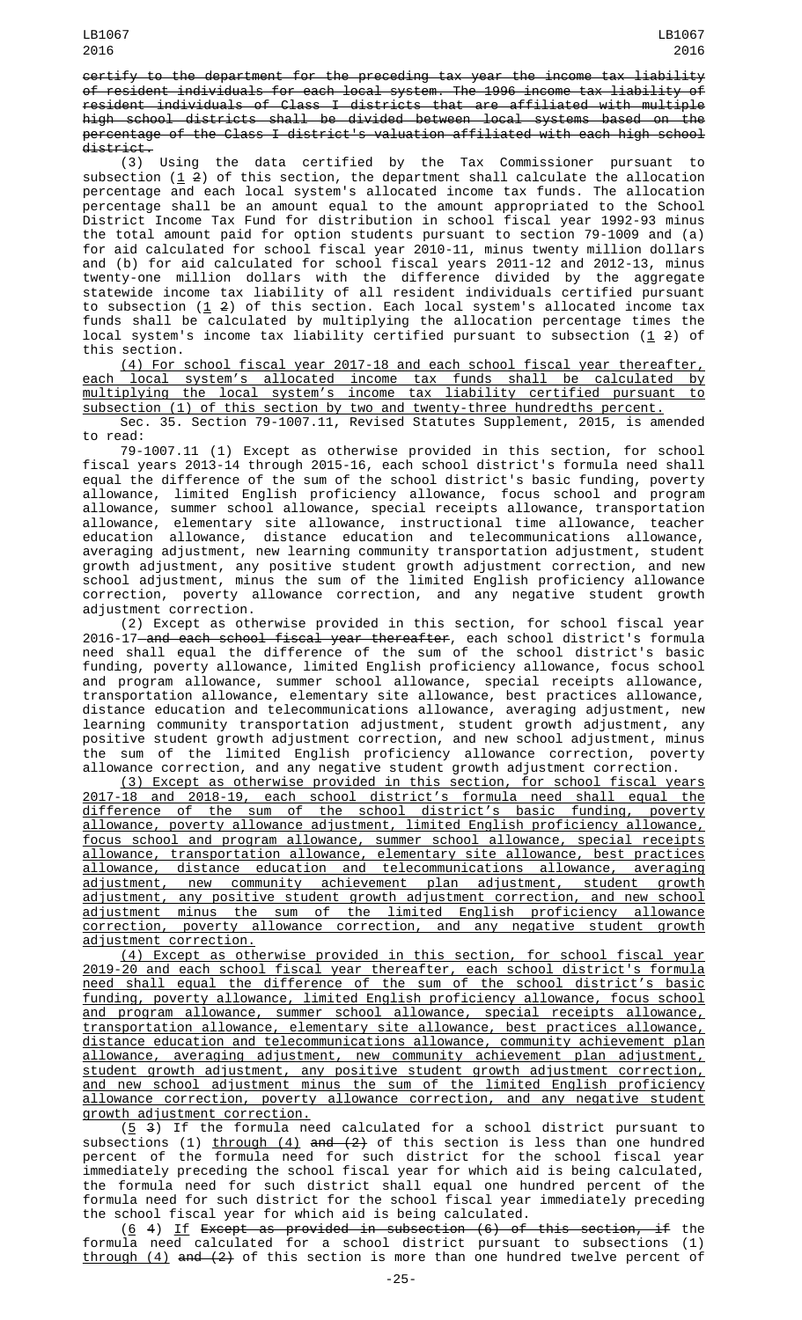certify to the department for the preceding tax year the income tax liability of resident individuals for each local system. The 1996 income tax liability of resident individuals of Class I districts that are affiliated with multiple high school districts shall be divided between local systems based on the percentage of the Class I district's valuation affiliated with each high school district.

(3) Using the data certified by the Tax Commissioner pursuant to subsection ( $\underline{1}$   $\underline{2}$ ) of this section, the department shall calculate the allocation percentage and each local system's allocated income tax funds. The allocation percentage shall be an amount equal to the amount appropriated to the School District Income Tax Fund for distribution in school fiscal year 1992-93 minus the total amount paid for option students pursuant to section 79-1009 and (a) for aid calculated for school fiscal year 2010-11, minus twenty million dollars and (b) for aid calculated for school fiscal years 2011-12 and 2012-13, minus twenty-one million dollars with the difference divided by the aggregate statewide income tax liability of all resident individuals certified pursuant to subsection ( $1\,$  2) of this section. Each local system's allocated income tax funds shall be calculated by multiplying the allocation percentage times the local system's income tax liability certified pursuant to subsection (<u>1</u> 2) of this section.

(4) For school fiscal year 2017-18 and each school fiscal year thereafter, each local system's allocated income tax funds shall be calculated by multiplying the local system's income tax liability certified pursuant to subsection (1) of this section by two and twenty-three hundredths percent.

Sec. 35. Section 79-1007.11, Revised Statutes Supplement, 2015, is amended to read:

79-1007.11 (1) Except as otherwise provided in this section, for school fiscal years 2013-14 through 2015-16, each school district's formula need shall equal the difference of the sum of the school district's basic funding, poverty allowance, limited English proficiency allowance, focus school and program allowance, summer school allowance, special receipts allowance, transportation allowance, elementary site allowance, instructional time allowance, teacher education allowance, distance education and telecommunications allowance, averaging adjustment, new learning community transportation adjustment, student growth adjustment, any positive student growth adjustment correction, and new school adjustment, minus the sum of the limited English proficiency allowance correction, poverty allowance correction, and any negative student growth adjustment correction.

(2) Except as otherwise provided in this section, for school fiscal year 2016-17 and each school fiscal year thereafter, each school district's formula need shall equal the difference of the sum of the school district's basic funding, poverty allowance, limited English proficiency allowance, focus school and program allowance, summer school allowance, special receipts allowance, transportation allowance, elementary site allowance, best practices allowance, distance education and telecommunications allowance, averaging adjustment, new learning community transportation adjustment, student growth adjustment, any positive student growth adjustment correction, and new school adjustment, minus the sum of the limited English proficiency allowance correction, poverty allowance correction, and any negative student growth adjustment correction.

(3) Except as otherwise provided in this section, for school fiscal years 2017-18 and 2018-19, each school district's formula need shall equal the difference of the sum of the school district's basic funding, poverty allowance, poverty allowance adjustment, limited English proficiency allowance, focus school and program allowance, summer school allowance, special receipts allowance, transportation allowance, elementary site allowance, best practices allowance, distance education and telecommunications allowance, averaging adjustment, new community achievement plan adjustment, student growth adjustment, any positive student growth adjustment correction, and new school adjustment minus the sum of the limited English proficiency allowance correction, poverty allowance correction, and any negative student growth adjustment correction.

(4) Except as otherwise provided in this section, for school fiscal year 2019-20 and each school fiscal year thereafter, each school district's formula need shall equal the difference of the sum of the school district's basic funding, poverty allowance, limited English proficiency allowance, focus school and program allowance, summer school allowance, special receipts allowance, transportation allowance, elementary site allowance, best practices allowance, distance education and telecommunications allowance, community achievement plan allowance, averaging adjustment, new community achievement plan adjustment, student growth adjustment, any positive student growth adjustment correction, and new school adjustment minus the sum of the limited English proficiency allowance correction, poverty allowance correction, and any negative student growth adjustment correction.

 $(5, 3)$  If the formula need calculated for a school district pursuant to subsections (1) <u>through (4)</u> <del>and (2)</del> of this section is less than one hundred percent of the formula need for such district for the school fiscal year immediately preceding the school fiscal year for which aid is being calculated, the formula need for such district shall equal one hundred percent of the formula need for such district for the school fiscal year immediately preceding the school fiscal year for which aid is being calculated.

 $(6\;$  4) <u>If</u> E<del>xcept as provided in subsection (6) of this section, if the</del> formula need calculated for a school district pursuant to subsections (1) through (4) and (2) of this section is more than one hundred twelve percent of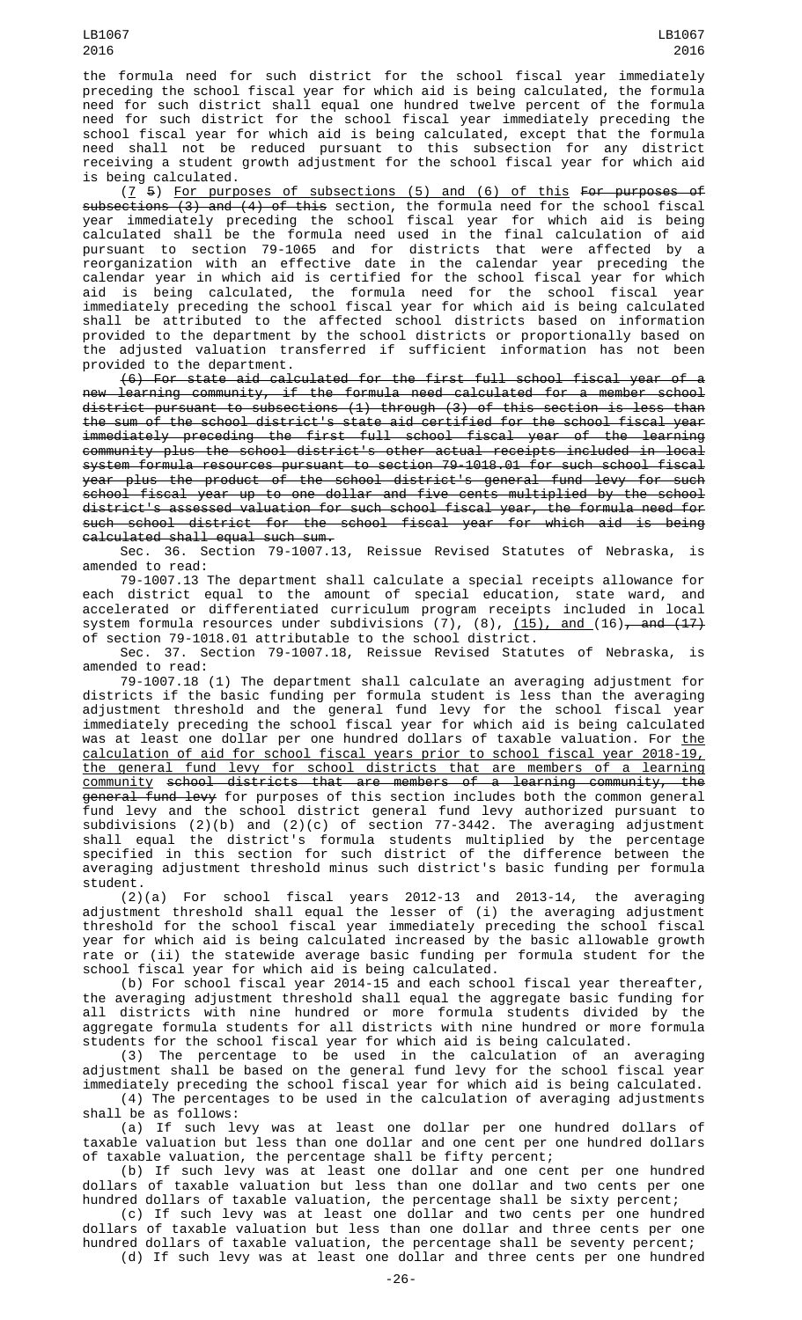the formula need for such district for the school fiscal year immediately preceding the school fiscal year for which aid is being calculated, the formula need for such district shall equal one hundred twelve percent of the formula need for such district for the school fiscal year immediately preceding the school fiscal year for which aid is being calculated, except that the formula need shall not be reduced pursuant to this subsection for any district receiving a student growth adjustment for the school fiscal year for which aid is being calculated.

(7 5) For purposes of subsections (5) and (6) of this For purposes of subsections (3) and (4) of this section, the formula need for the school fiscal year immediately preceding the school fiscal year for which aid is being calculated shall be the formula need used in the final calculation of aid pursuant to section 79-1065 and for districts that were affected by a reorganization with an effective date in the calendar year preceding the calendar year in which aid is certified for the school fiscal year for which aid is being calculated, the formula need for the school fiscal year immediately preceding the school fiscal year for which aid is being calculated shall be attributed to the affected school districts based on information provided to the department by the school districts or proportionally based on the adjusted valuation transferred if sufficient information has not been provided to the department.

(6) For state aid calculated for the first full school fiscal year of a new learning community, if the formula need calculated for a member school district pursuant to subsections (1) through (3) of this section is less than the sum of the school district's state aid certified for the school fiscal year immediately preceding the first full school fiscal year of the learning community plus the school district's other actual receipts included in local system formula resources pursuant to section 79-1018.01 for such school fiscal year plus the product of the school district's general fund levy for such school fiscal year up to one dollar and five cents multiplied by the school district's assessed valuation for such school fiscal year, the formula need for such school district for the school fiscal year for which aid is being calculated shall equal such sum.

Sec. 36. Section 79-1007.13, Reissue Revised Statutes of Nebraska, is amended to read:

79-1007.13 The department shall calculate a special receipts allowance for each district equal to the amount of special education, state ward, and accelerated or differentiated curriculum program receipts included in local system formula resources under subdivisions (7), (8), <u>(15), and (</u>16)<del>, and (17)</del> of section 79-1018.01 attributable to the school district.

Sec. 37. Section 79-1007.18, Reissue Revised Statutes of Nebraska, is amended to read:

79-1007.18 (1) The department shall calculate an averaging adjustment for districts if the basic funding per formula student is less than the averaging adjustment threshold and the general fund levy for the school fiscal year immediately preceding the school fiscal year for which aid is being calculated was at least one dollar per one hundred dollars of taxable valuation. For <u>the</u> calculation of aid for school fiscal years prior to school fiscal year 2018-19, the general fund levy for school districts that are members of a learning community school districts that are members of a learning community, the <del>general fund levy</del> for purposes of this section includes both the common general fund levy and the school district general fund levy authorized pursuant to subdivisions (2)(b) and (2)(c) of section 77-3442. The averaging adjustment shall equal the district's formula students multiplied by the percentage specified in this section for such district of the difference between the averaging adjustment threshold minus such district's basic funding per formula student.

(2)(a) For school fiscal years 2012-13 and 2013-14, the averaging adjustment threshold shall equal the lesser of (i) the averaging adjustment threshold for the school fiscal year immediately preceding the school fiscal year for which aid is being calculated increased by the basic allowable growth rate or (ii) the statewide average basic funding per formula student for the school fiscal year for which aid is being calculated.

(b) For school fiscal year 2014-15 and each school fiscal year thereafter, the averaging adjustment threshold shall equal the aggregate basic funding for all districts with nine hundred or more formula students divided by the aggregate formula students for all districts with nine hundred or more formula students for the school fiscal year for which aid is being calculated.

(3) The percentage to be used in the calculation of an averaging adjustment shall be based on the general fund levy for the school fiscal year immediately preceding the school fiscal year for which aid is being calculated.

(4) The percentages to be used in the calculation of averaging adjustments shall be as follows:

(a) If such levy was at least one dollar per one hundred dollars of taxable valuation but less than one dollar and one cent per one hundred dollars of taxable valuation, the percentage shall be fifty percent;

(b) If such levy was at least one dollar and one cent per one hundred dollars of taxable valuation but less than one dollar and two cents per one hundred dollars of taxable valuation, the percentage shall be sixty percent;

(c) If such levy was at least one dollar and two cents per one hundred dollars of taxable valuation but less than one dollar and three cents per one hundred dollars of taxable valuation, the percentage shall be seventy percent; (d) If such levy was at least one dollar and three cents per one hundred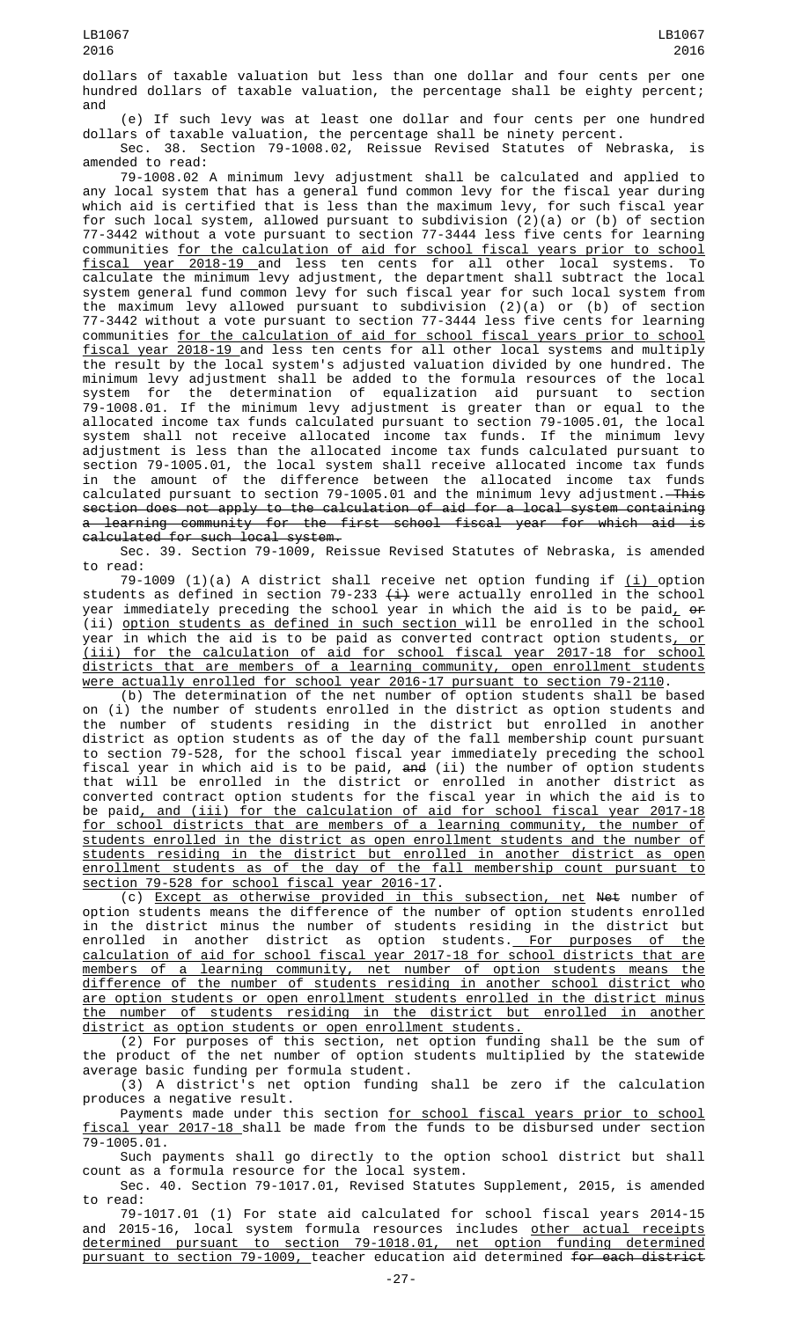dollars of taxable valuation but less than one dollar and four cents per one hundred dollars of taxable valuation, the percentage shall be eighty percent; and

(e) If such levy was at least one dollar and four cents per one hundred dollars of taxable valuation, the percentage shall be ninety percent. Sec. 38. Section 79-1008.02, Reissue Revised Statutes of Nebraska, is

amended to read: 79-1008.02 A minimum levy adjustment shall be calculated and applied to any local system that has a general fund common levy for the fiscal year during which aid is certified that is less than the maximum levy, for such fiscal year for such local system, allowed pursuant to subdivision (2)(a) or (b) of section 77-3442 without a vote pursuant to section 77-3444 less five cents for learning communities for the calculation of aid for school fiscal years prior to school fiscal year 2018-19 and less ten cents for all other local systems. To calculate the minimum levy adjustment, the department shall subtract the local system general fund common levy for such fiscal year for such local system from the maximum levy allowed pursuant to subdivision (2)(a) or (b) of section 77-3442 without a vote pursuant to section 77-3444 less five cents for learning communities for the calculation of aid for school fiscal years prior to school fiscal year 2018-19 and less ten cents for all other local systems and multiply the result by the local system's adjusted valuation divided by one hundred. The minimum levy adjustment shall be added to the formula resources of the local system for the determination of equalization aid pursuant to section 79-1008.01. If the minimum levy adjustment is greater than or equal to the allocated income tax funds calculated pursuant to section 79-1005.01, the local system shall not receive allocated income tax funds. If the minimum levy adjustment is less than the allocated income tax funds calculated pursuant to section 79-1005.01, the local system shall receive allocated income tax funds in the amount of the difference between the allocated income tax funds calculated pursuant to section 79-1005.01 and the minimum levy adjustment. This section does not apply to the calculation of aid for a local system containing a learning community for the first school fiscal year for which aid is calculated for such local system.

Sec. 39. Section 79-1009, Reissue Revised Statutes of Nebraska, is amended to read:

79-1009 (1)(a) A district shall receive net option funding if  $(i)$  option students as defined in section 79-233  $\left(\pm\right)$  were actually enrolled in the school year immediately preceding the school year in which the aid is to be paid<u>,</u> <del>or</del> (ii) option students as defined in such section will be enrolled in the school year in which the aid is to be paid as converted contract option students, or (iii) for the calculation of aid for school fiscal year 2017-18 for school districts that are members of a learning community, open enrollment students were actually enrolled for school year 2016-17 pursuant to section 79-2110.

(b) The determination of the net number of option students shall be based on (i) the number of students enrolled in the district as option students and the number of students residing in the district but enrolled in another district as option students as of the day of the fall membership count pursuant to section 79-528, for the school fiscal year immediately preceding the school fiscal year in which aid is to be paid, and (ii) the number of option students that will be enrolled in the district or enrolled in another district as converted contract option students for the fiscal year in which the aid is to be paid, and (iii) for the calculation of aid for school fiscal year 2017-18 for school districts that are members of a learning community, the number of students enrolled in the district as open enrollment students and the number of students residing in the district but enrolled in another district as open enrollment students as of the day of the fall membership count pursuant to section 79-528 for school fiscal year 2016-17.

(c) Except as otherwise provided in this subsection, net Net number of option students means the difference of the number of option students enrolled in the district minus the number of students residing in the district but enrolled in another district as option students.<u> For purposes of the</u> calculation of aid for school fiscal year 2017-18 for school districts that are members of a learning community, net number of option students means the difference of the number of students residing in another school district who are option students or open enrollment students enrolled in the district minus the number of students residing in the district but enrolled in another district as option students or open enrollment students.

(2) For purposes of this section, net option funding shall be the sum of the product of the net number of option students multiplied by the statewide average basic funding per formula student.

(3) A district's net option funding shall be zero if the calculation produces a negative result.

Payments made under this section for school fiscal years prior to school fiscal year 2017-18 shall be made from the funds to be disbursed under section 79-1005.01.

Such payments shall go directly to the option school district but shall count as a formula resource for the local system.

Sec. 40. Section 79-1017.01, Revised Statutes Supplement, 2015, is amended to read:

79-1017.01 (1) For state aid calculated for school fiscal years 2014-15 and 2015-16, local system formula resources includes <u>other actual receipts</u> determined pursuant to section 79-1018.01, net option funding determined pursuant to section 79-1009, teacher education aid determined for each district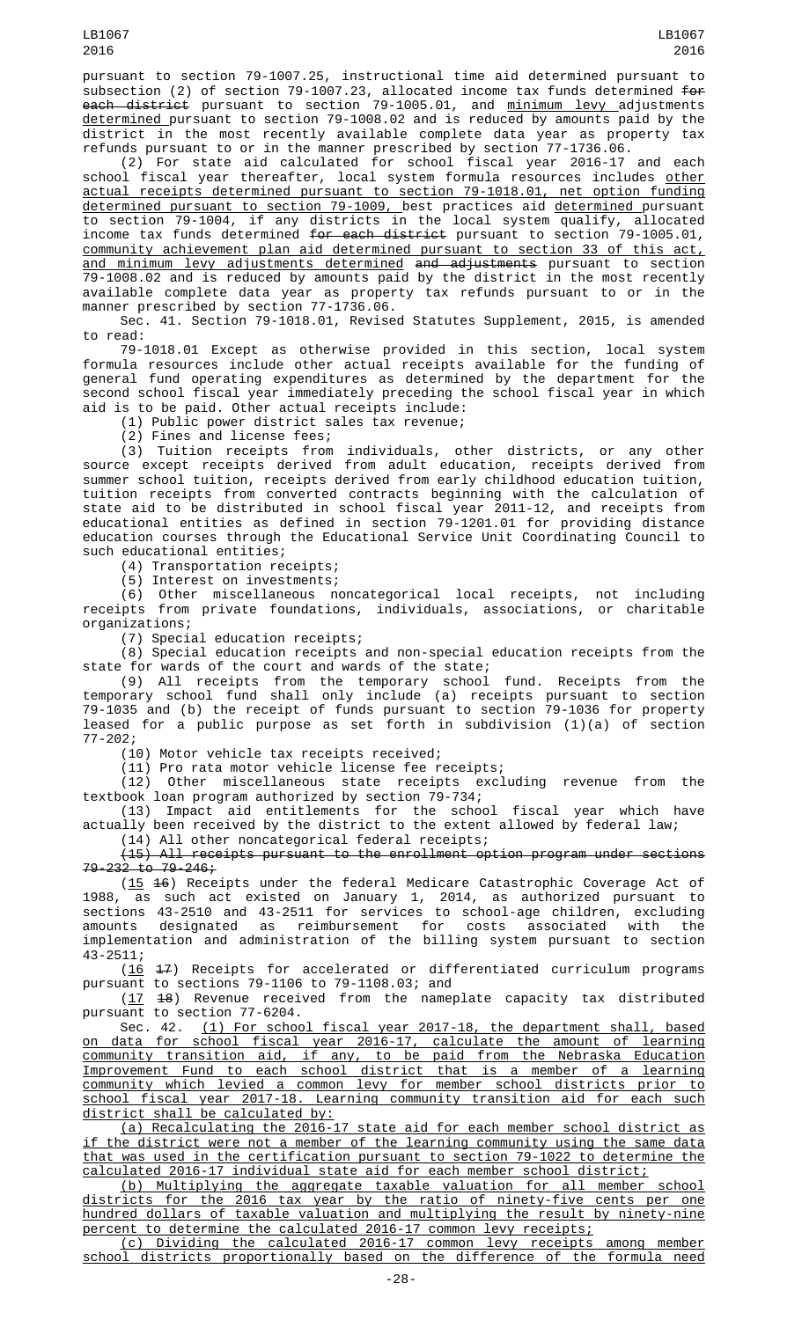pursuant to section 79-1007.25, instructional time aid determined pursuant to subsection (2) of section 79-1007.23, allocated income tax funds determined <del>for</del> <del>each district</del> pursuant to section 79-1005.01, and <u>minimum levy </u>adjustments determined pursuant to section 79-1008.02 and is reduced by amounts paid by the district in the most recently available complete data year as property tax refunds pursuant to or in the manner prescribed by section 77-1736.06.

(2) For state aid calculated for school fiscal year 2016-17 and each school fiscal year thereafter, local system formula resources includes <u>other</u> actual receipts determined pursuant to section 79-1018.01, net option funding determined pursuant to section 79-1009, best practices aid determined pursuant to section 79-1004, if any districts in the local system qualify, allocated income tax funds determined for each district pursuant to section 79-1005.01, community achievement plan aid determined pursuant to section 33 of this act, <u>and minimum levy adjustments determined</u> <del>and adjustments</del> pursuant to section 79-1008.02 and is reduced by amounts paid by the district in the most recently available complete data year as property tax refunds pursuant to or in the manner prescribed by section 77-1736.06.

Sec. 41. Section 79-1018.01, Revised Statutes Supplement, 2015, is amended to read:

79-1018.01 Except as otherwise provided in this section, local system formula resources include other actual receipts available for the funding of general fund operating expenditures as determined by the department for the second school fiscal year immediately preceding the school fiscal year in which aid is to be paid. Other actual receipts include:

(1) Public power district sales tax revenue;

(2) Fines and license fees;

(3) Tuition receipts from individuals, other districts, or any other source except receipts derived from adult education, receipts derived from summer school tuition, receipts derived from early childhood education tuition, tuition receipts from converted contracts beginning with the calculation of state aid to be distributed in school fiscal year 2011-12, and receipts from educational entities as defined in section 79-1201.01 for providing distance education courses through the Educational Service Unit Coordinating Council to such educational entities;

(4) Transportation receipts;

(5) Interest on investments;

(6) Other miscellaneous noncategorical local receipts, not including receipts from private foundations, individuals, associations, or charitable organizations;

(7) Special education receipts;

(8) Special education receipts and non-special education receipts from the state for wards of the court and wards of the state;

(9) All receipts from the temporary school fund. Receipts from the temporary school fund shall only include (a) receipts pursuant to section 79-1035 and (b) the receipt of funds pursuant to section 79-1036 for property leased for a public purpose as set forth in subdivision (1)(a) of section 77-202;

(10) Motor vehicle tax receipts received;

(11) Pro rata motor vehicle license fee receipts;

(12) Other miscellaneous state receipts excluding revenue from the textbook loan program authorized by section 79-734;

(13) Impact aid entitlements for the school fiscal year which have actually been received by the district to the extent allowed by federal law;

(14) All other noncategorical federal receipts;

(15) All receipts pursuant to the enrollment option program under sections  $79 - 232$  to  $79 - 246$ ;

(15 16) Receipts under the federal Medicare Catastrophic Coverage Act of 1988, as such act existed on January 1, 2014, as authorized pursuant to sections 43-2510 and 43-2511 for services to school-age children, excluding amounts designated as reimbursement for costs associated with the implementation and administration of the billing system pursuant to section 43-2511;

(16 17) Receipts for accelerated or differentiated curriculum programs pursuant to sections 79-1106 to 79-1108.03; and

(17 18) Revenue received from the nameplate capacity tax distributed pursuant to section  $77-6204$ .

Sec. 42. (1) For school fiscal year 2017-18, the department shall, based on data for school fiscal year 2016-17, calculate the amount of learning community transition aid, if any, to be paid from the Nebraska Education Improvement Fund to each school district that is a member of a learning community which levied a common levy for member school districts prior to school fiscal year 2017-18. Learning community transition aid for each such district shall be calculated by:

(a) Recalculating the 2016-17 state aid for each member school district as if the district were not a member of the learning community using the same data that was used in the certification pursuant to section 79-1022 to determine the calculated 2016-17 individual state aid for each member school district;

(b) Multiplying the aggregate taxable valuation for all member school districts for the 2016 tax year by the ratio of ninety-five cents per one hundred dollars of taxable valuation and multiplying the result by ninety-nine percent to determine the calculated 2016-17 common levy receipts;

(c) Dividing the calculated 2016-17 common levy receipts among member school districts proportionally based on the difference of the formula need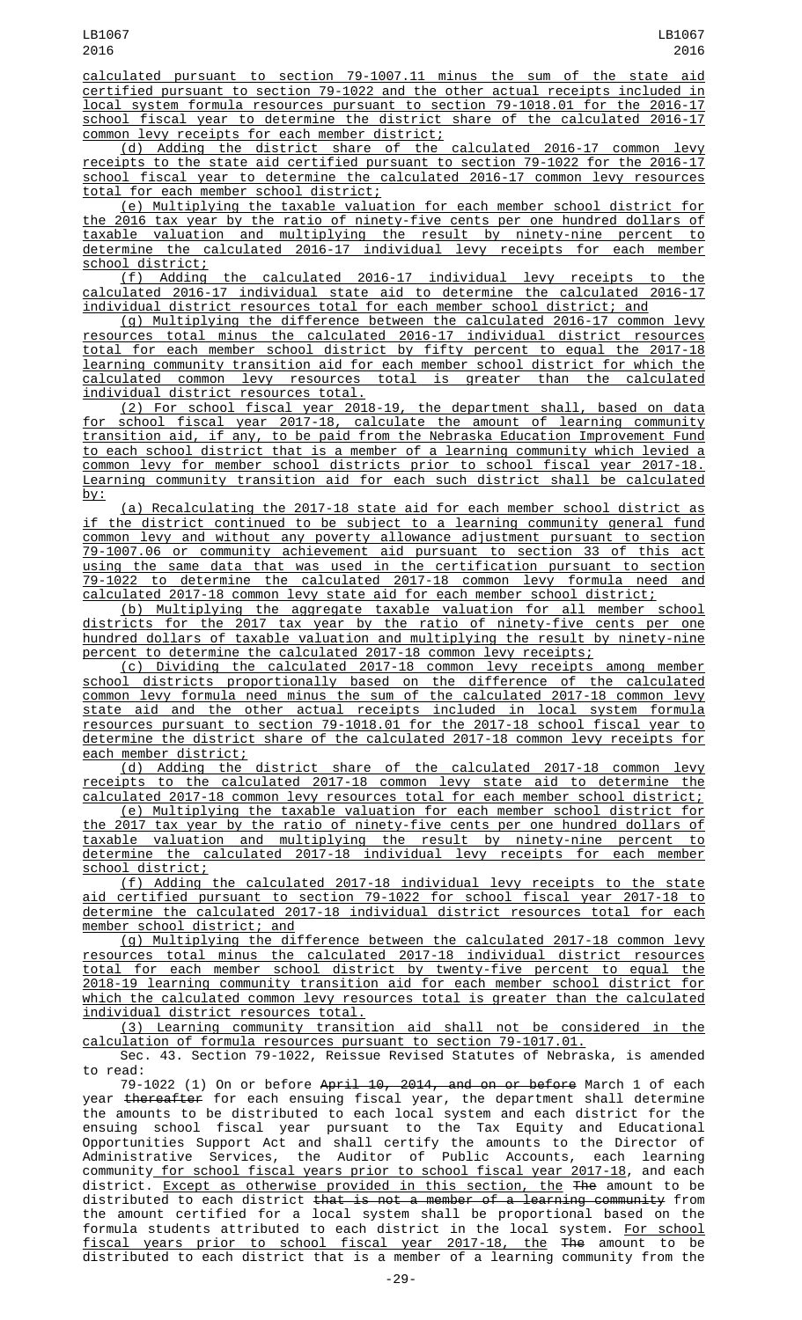calculated pursuant to section 79-1007.11 minus the sum of the state aid certified pursuant to section 79-1022 and the other actual receipts included in local system formula resources pursuant to section 79-1018.01 for the 2016-17 school fiscal year to determine the district share of the calculated 2016-17 common levy receipts for each member district;

(d) Adding the district share of the calculated 2016-17 common levy receipts to the state aid certified pursuant to section 79-1022 for the 2016-17 school fiscal year to determine the calculated 2016-17 common levy resources total for each member school district;

(e) Multiplying the taxable valuation for each member school district for the 2016 tax year by the ratio of ninety-five cents per one hundred dollars of taxable valuation and multiplying the result by ninety-nine percent to determine the calculated 2016-17 individual levy receipts for each member school district;

(f) Adding the calculated 2016-17 individual levy receipts to the calculated 2016-17 individual state aid to determine the calculated 2016-17 individual district resources total for each member school district; and

(g) Multiplying the difference between the calculated 2016-17 common levy resources total minus the calculated 2016-17 individual district resources total for each member school district by fifty percent to equal the 2017-18 learning community transition aid for each member school district for which the calculated common levy resources total is greater than the calculated individual district resources total.

(2) For school fiscal year 2018-19, the department shall, based on data for school fiscal year 2017-18, calculate the amount of learning community transition aid, if any, to be paid from the Nebraska Education Improvement Fund to each school district that is a member of a learning community which levied a common levy for member school districts prior to school fiscal year 2017-18. Learning community transition aid for each such district shall be calculated by:

(a) Recalculating the 2017-18 state aid for each member school district as if the district continued to be subject to a learning community general fund common levy and without any poverty allowance adjustment pursuant to section 79-1007.06 or community achievement aid pursuant to section 33 of this act using the same data that was used in the certification pursuant to section 79-1022 to determine the calculated 2017-18 common levy formula need and calculated 2017-18 common levy state aid for each member school district;

(b) Multiplying the aggregate taxable valuation for all member school districts for the 2017 tax year by the ratio of ninety-five cents per one hundred dollars of taxable valuation and multiplying the result by ninety-nine percent to determine the calculated 2017-18 common levy receipts;

(c) Dividing the calculated 2017-18 common levy receipts among member school districts proportionally based on the difference of the calculated common levy formula need minus the sum of the calculated 2017-18 common levy state aid and the other actual receipts included in local system formula resources pursuant to section 79-1018.01 for the 2017-18 school fiscal year to determine the district share of the calculated 2017-18 common levy receipts for each member district;

(d) Adding the district share of the calculated 2017-18 common levy receipts to the calculated 2017-18 common levy state aid to determine the calculated 2017-18 common levy resources total for each member school district;

(e) Multiplying the taxable valuation for each member school district for the 2017 tax year by the ratio of ninety-five cents per one hundred dollars of taxable valuation and multiplying the result by ninety-nine percent to determine the calculated 2017-18 individual levy receipts for each member school district;

(f) Adding the calculated 2017-18 individual levy receipts to the state aid certified pursuant to section 79-1022 for school fiscal year 2017-18 to determine the calculated 2017-18 individual district resources total for each member school district; and

(g) Multiplying the difference between the calculated 2017-18 common levy resources total minus the calculated 2017-18 individual district resources total for each member school district by twenty-five percent to equal the 2018-19 learning community transition aid for each member school district for which the calculated common levy resources total is greater than the calculated individual district resources total.

(3) Learning community transition aid shall not be considered in the calculation of formula resources pursuant to section 79-1017.01.

Sec. 43. Section 79-1022, Reissue Revised Statutes of Nebraska, is amended to read:

79-1022 (1) On or before <del>April 10, 2014, and on or before</del> March 1 of each year <del>thereafter</del> for each ensuing fiscal year, the department shall determine the amounts to be distributed to each local system and each district for the ensuing school fiscal year pursuant to the Tax Equity and Educational Opportunities Support Act and shall certify the amounts to the Director of Administrative Services, the Auditor of Public Accounts, each learning community for school fiscal years prior to school fiscal year 2017-18, and each district. Except as otherwise provided in this section, the The amount to be distributed to each district that is not a member of a learning community from the amount certified for a local system shall be proportional based on the formula students attributed to each district in the local system. <u>For school</u> fiscal years prior to school fiscal year 2017-18, the The amount to be distributed to each district that is a member of a learning community from the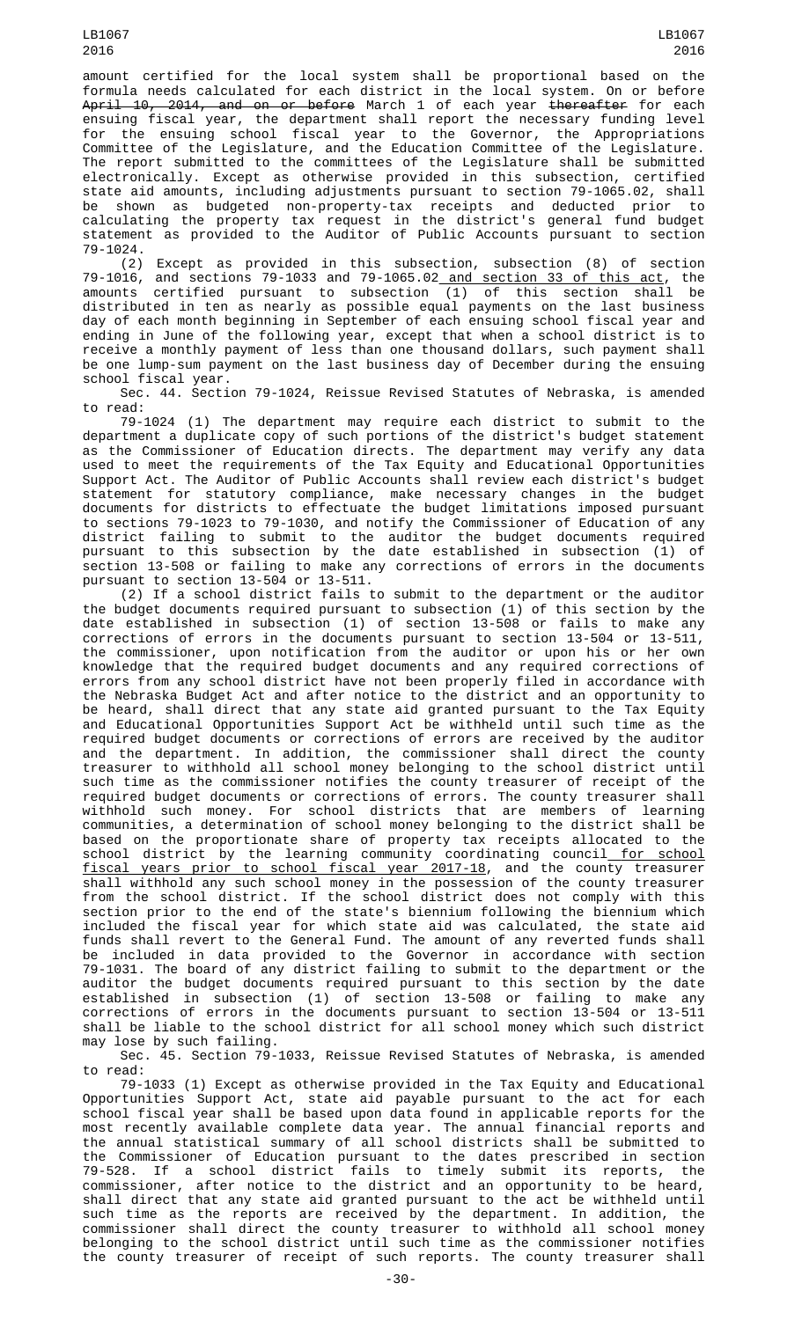amount certified for the local system shall be proportional based on the formula needs calculated for each district in the local system. On or before A<del>pril 10, 2014, and on or before</del> March 1 of each year <del>thereafter</del> for each ensuing fiscal year, the department shall report the necessary funding level for the ensuing school fiscal year to the Governor, the Appropriations Committee of the Legislature, and the Education Committee of the Legislature. The report submitted to the committees of the Legislature shall be submitted electronically. Except as otherwise provided in this subsection, certified state aid amounts, including adjustments pursuant to section 79-1065.02, shall be shown as budgeted non-property-tax receipts and deducted prior to calculating the property tax request in the district's general fund budget statement as provided to the Auditor of Public Accounts pursuant to section 79-1024.

(2) Except as provided in this subsection, subsection (8) of section 79-1016, and sections 79-1033 and 79-1065.02 and section 33 of this act, the amounts certified pursuant to subsection (1) of this section shall be distributed in ten as nearly as possible equal payments on the last business day of each month beginning in September of each ensuing school fiscal year and ending in June of the following year, except that when a school district is to receive a monthly payment of less than one thousand dollars, such payment shall be one lump-sum payment on the last business day of December during the ensuing school fiscal year.

Sec. 44. Section 79-1024, Reissue Revised Statutes of Nebraska, is amended to read:

79-1024 (1) The department may require each district to submit to the department a duplicate copy of such portions of the district's budget statement as the Commissioner of Education directs. The department may verify any data used to meet the requirements of the Tax Equity and Educational Opportunities Support Act. The Auditor of Public Accounts shall review each district's budget statement for statutory compliance, make necessary changes in the budget documents for districts to effectuate the budget limitations imposed pursuant to sections 79-1023 to 79-1030, and notify the Commissioner of Education of any district failing to submit to the auditor the budget documents required pursuant to this subsection by the date established in subsection (1) of section 13-508 or failing to make any corrections of errors in the documents pursuant to section 13-504 or 13-511.

(2) If a school district fails to submit to the department or the auditor the budget documents required pursuant to subsection (1) of this section by the date established in subsection (1) of section 13-508 or fails to make any corrections of errors in the documents pursuant to section 13-504 or 13-511, the commissioner, upon notification from the auditor or upon his or her own knowledge that the required budget documents and any required corrections of errors from any school district have not been properly filed in accordance with the Nebraska Budget Act and after notice to the district and an opportunity to be heard, shall direct that any state aid granted pursuant to the Tax Equity and Educational Opportunities Support Act be withheld until such time as the required budget documents or corrections of errors are received by the auditor and the department. In addition, the commissioner shall direct the county treasurer to withhold all school money belonging to the school district until such time as the commissioner notifies the county treasurer of receipt of the required budget documents or corrections of errors. The county treasurer shall withhold such money. For school districts that are members of learning communities, a determination of school money belonging to the district shall be based on the proportionate share of property tax receipts allocated to the school district by the learning community coordinating council<u> for school</u> fiscal years prior to school fiscal year 2017-18, and the county treasurer shall withhold any such school money in the possession of the county treasurer from the school district. If the school district does not comply with this section prior to the end of the state's biennium following the biennium which included the fiscal year for which state aid was calculated, the state aid funds shall revert to the General Fund. The amount of any reverted funds shall be included in data provided to the Governor in accordance with section 79-1031. The board of any district failing to submit to the department or the auditor the budget documents required pursuant to this section by the date established in subsection (1) of section 13-508 or failing to make any corrections of errors in the documents pursuant to section 13-504 or 13-511 shall be liable to the school district for all school money which such district may lose by such failing.

Sec. 45. Section 79-1033, Reissue Revised Statutes of Nebraska, is amended to read:

79-1033 (1) Except as otherwise provided in the Tax Equity and Educational Opportunities Support Act, state aid payable pursuant to the act for each school fiscal year shall be based upon data found in applicable reports for the most recently available complete data year. The annual financial reports and the annual statistical summary of all school districts shall be submitted to the Commissioner of Education pursuant to the dates prescribed in section 79-528. If a school district fails to timely submit its reports, the commissioner, after notice to the district and an opportunity to be heard, shall direct that any state aid granted pursuant to the act be withheld until such time as the reports are received by the department. In addition, the commissioner shall direct the county treasurer to withhold all school money belonging to the school district until such time as the commissioner notifies the county treasurer of receipt of such reports. The county treasurer shall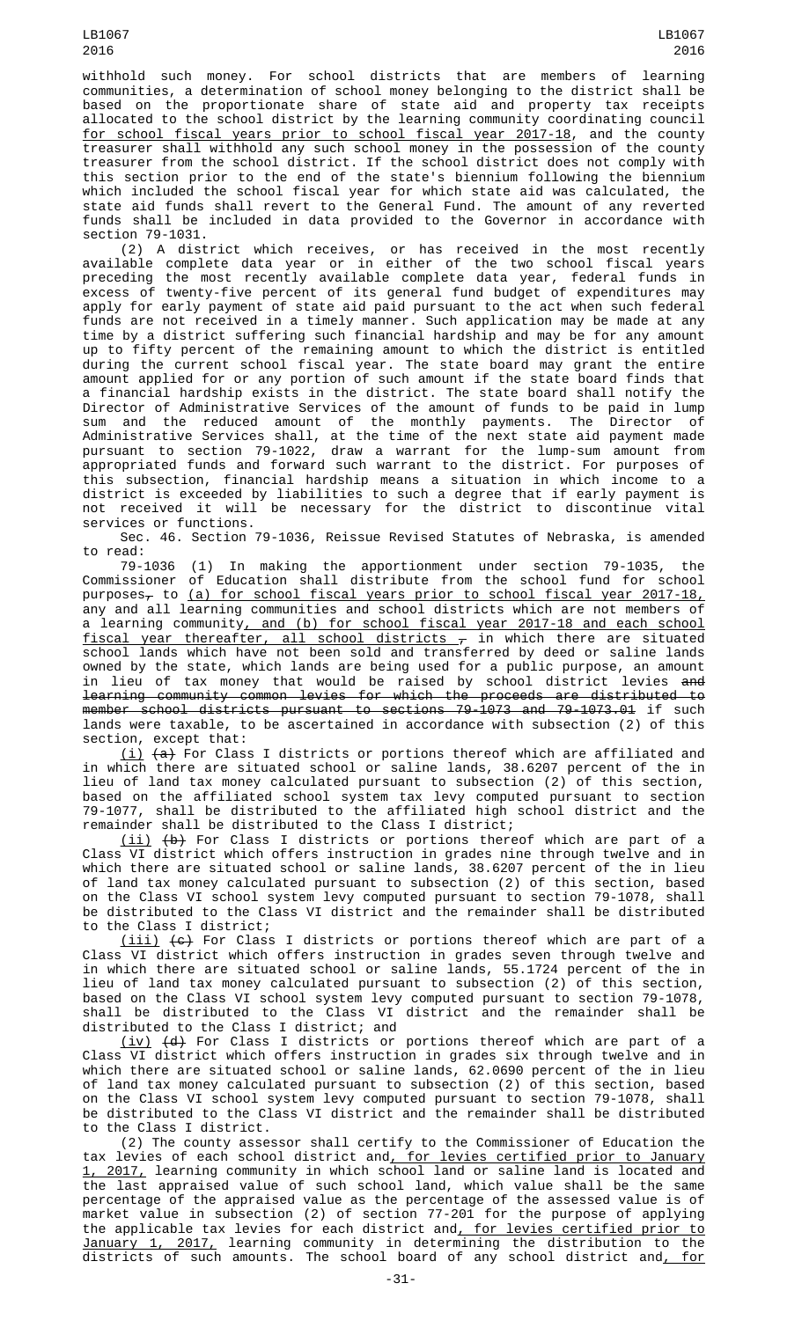withhold such money. For school districts that are members of learning communities, a determination of school money belonging to the district shall be based on the proportionate share of state aid and property tax receipts allocated to the school district by the learning community coordinating council for school fiscal years prior to school fiscal year 2017-18, and the county treasurer shall withhold any such school money in the possession of the county treasurer from the school district. If the school district does not comply with this section prior to the end of the state's biennium following the biennium which included the school fiscal year for which state aid was calculated, the state aid funds shall revert to the General Fund. The amount of any reverted funds shall be included in data provided to the Governor in accordance with section 79-1031.

(2) A district which receives, or has received in the most recently available complete data year or in either of the two school fiscal years preceding the most recently available complete data year, federal funds in excess of twenty-five percent of its general fund budget of expenditures may apply for early payment of state aid paid pursuant to the act when such federal funds are not received in a timely manner. Such application may be made at any time by a district suffering such financial hardship and may be for any amount up to fifty percent of the remaining amount to which the district is entitled during the current school fiscal year. The state board may grant the entire amount applied for or any portion of such amount if the state board finds that a financial hardship exists in the district. The state board shall notify the Director of Administrative Services of the amount of funds to be paid in lump sum and the reduced amount of the monthly payments. The Director of Administrative Services shall, at the time of the next state aid payment made pursuant to section 79-1022, draw a warrant for the lump-sum amount from appropriated funds and forward such warrant to the district. For purposes of this subsection, financial hardship means a situation in which income to a district is exceeded by liabilities to such a degree that if early payment is not received it will be necessary for the district to discontinue vital services or functions.

Sec. 46. Section 79-1036, Reissue Revised Statutes of Nebraska, is amended to read:

79-1036 (1) In making the apportionment under section 79-1035, the Commissioner of Education shall distribute from the school fund for school  $p$ urposes<sub> $\tau$ </sub> to (a) for school fiscal years prior to school fiscal year 2017-18, any and all learning communities and school districts which are not members of a learning community<u>, and (b) for school fiscal year 2017-18 and each school</u> fiscal year thereafter, all school districts  $\overline{\tau}$  in which there are situated school lands which have not been sold and transferred by deed or saline lands owned by the state, which lands are being used for a public purpose, an amount in lieu of tax money that would be raised by school district levies and learning community common levies for which the proceeds are distributed to member school districts pursuant to sections 79-1073 and 79-1073.01 if such lands were taxable, to be ascertained in accordance with subsection (2) of this section, except that:

(i) (a) For Class I districts or portions thereof which are affiliated and in which there are situated school or saline lands, 38.6207 percent of the in lieu of land tax money calculated pursuant to subsection (2) of this section, based on the affiliated school system tax levy computed pursuant to section 79-1077, shall be distributed to the affiliated high school district and the remainder shall be distributed to the Class I district;

(ii) (b) For Class I districts or portions thereof which are part of a Class VI district which offers instruction in grades nine through twelve and in which there are situated school or saline lands, 38.6207 percent of the in lieu of land tax money calculated pursuant to subsection (2) of this section, based on the Class VI school system levy computed pursuant to section 79-1078, shall be distributed to the Class VI district and the remainder shall be distributed to the Class I district;

(iii) (c) For Class I districts or portions thereof which are part of a Class VI district which offers instruction in grades seven through twelve and in which there are situated school or saline lands, 55.1724 percent of the in lieu of land tax money calculated pursuant to subsection (2) of this section, based on the Class VI school system levy computed pursuant to section 79-1078, shall be distributed to the Class VI district and the remainder shall be distributed to the Class I district; and

(iv) (d) For Class I districts or portions thereof which are part of a Class VI district which offers instruction in grades six through twelve and in which there are situated school or saline lands, 62.0690 percent of the in lieu of land tax money calculated pursuant to subsection (2) of this section, based on the Class VI school system levy computed pursuant to section 79-1078, shall be distributed to the Class VI district and the remainder shall be distributed to the Class I district.

(2) The county assessor shall certify to the Commissioner of Education the tax levies of each school district and<u>, for levies certified prior to January</u> 1, 2017, learning community in which school land or saline land is located and the last appraised value of such school land, which value shall be the same percentage of the appraised value as the percentage of the assessed value is of market value in subsection (2) of section 77-201 for the purpose of applying the applicable tax levies for each district and, for levies certified prior to January 1, 2017, learning community in determining the distribution to the districts of such amounts. The school board of any school district and<u>, for</u>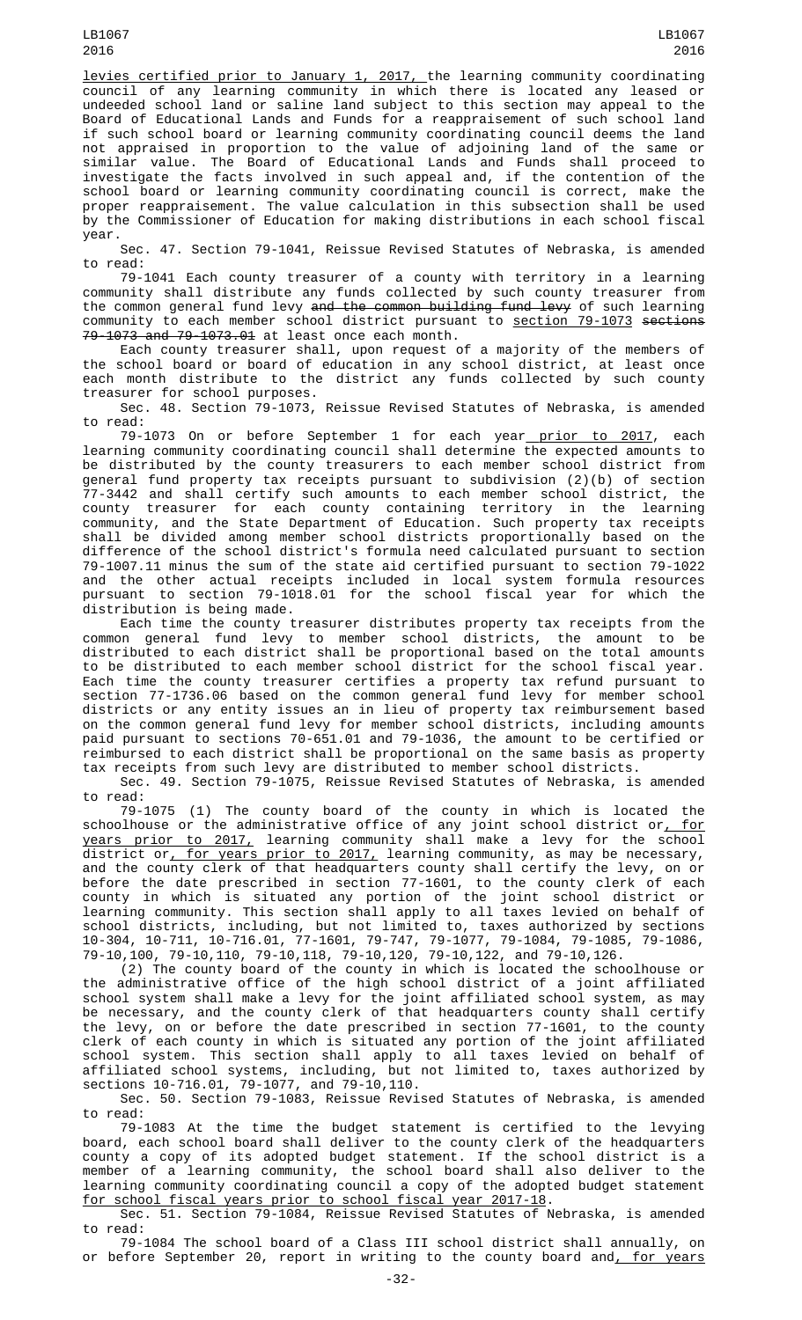levies certified prior to January 1, 2017, the learning community coordinating council of any learning community in which there is located any leased or undeeded school land or saline land subject to this section may appeal to the Board of Educational Lands and Funds for a reappraisement of such school land if such school board or learning community coordinating council deems the land not appraised in proportion to the value of adjoining land of the same or similar value. The Board of Educational Lands and Funds shall proceed to investigate the facts involved in such appeal and, if the contention of the school board or learning community coordinating council is correct, make the proper reappraisement. The value calculation in this subsection shall be used by the Commissioner of Education for making distributions in each school fiscal year.

Sec. 47. Section 79-1041, Reissue Revised Statutes of Nebraska, is amended to read:

79-1041 Each county treasurer of a county with territory in a learning community shall distribute any funds collected by such county treasurer from the common general fund levy <del>and the common building fund levy</del> of such learning community to each member school district pursuant to <u>section 79-1073</u> <del>sections</del> 79-1073 and 79-1073.01 at least once each month.

Each county treasurer shall, upon request of a majority of the members of the school board or board of education in any school district, at least once each month distribute to the district any funds collected by such county treasurer for school purposes.

Sec. 48. Section 79-1073, Reissue Revised Statutes of Nebraska, is amended to read:

79-1073 On or before September 1 for each year<u> prior to 2017</u>, each learning community coordinating council shall determine the expected amounts to be distributed by the county treasurers to each member school district from general fund property tax receipts pursuant to subdivision (2)(b) of section 77-3442 and shall certify such amounts to each member school district, the county treasurer for each county containing territory in the learning community, and the State Department of Education. Such property tax receipts shall be divided among member school districts proportionally based on the difference of the school district's formula need calculated pursuant to section 79-1007.11 minus the sum of the state aid certified pursuant to section 79-1022 and the other actual receipts included in local system formula resources pursuant to section 79-1018.01 for the school fiscal year for which the distribution is being made.

Each time the county treasurer distributes property tax receipts from the common general fund levy to member school districts, the amount to be distributed to each district shall be proportional based on the total amounts to be distributed to each member school district for the school fiscal year. Each time the county treasurer certifies a property tax refund pursuant to section 77-1736.06 based on the common general fund levy for member school districts or any entity issues an in lieu of property tax reimbursement based on the common general fund levy for member school districts, including amounts paid pursuant to sections 70-651.01 and 79-1036, the amount to be certified or reimbursed to each district shall be proportional on the same basis as property tax receipts from such levy are distributed to member school districts.

Sec. 49. Section 79-1075, Reissue Revised Statutes of Nebraska, is amended to read:

79-1075 (1) The county board of the county in which is located the schoolhouse or the administrative office of any joint school district or<u>, for</u> years prior to 2017, learning community shall make a levy for the school district or<u>, for years prior to 2017,</u> learning community, as may be necessary, and the county clerk of that headquarters county shall certify the levy, on or before the date prescribed in section 77-1601, to the county clerk of each county in which is situated any portion of the joint school district or learning community. This section shall apply to all taxes levied on behalf of school districts, including, but not limited to, taxes authorized by sections 10-304, 10-711, 10-716.01, 77-1601, 79-747, 79-1077, 79-1084, 79-1085, 79-1086, 79-10,100, 79-10,110, 79-10,118, 79-10,120, 79-10,122, and 79-10,126.

(2) The county board of the county in which is located the schoolhouse or the administrative office of the high school district of a joint affiliated school system shall make a levy for the joint affiliated school system, as may be necessary, and the county clerk of that headquarters county shall certify the levy, on or before the date prescribed in section 77-1601, to the county clerk of each county in which is situated any portion of the joint affiliated school system. This section shall apply to all taxes levied on behalf of affiliated school systems, including, but not limited to, taxes authorized by sections 10-716.01, 79-1077, and 79-10,110.

Sec. 50. Section 79-1083, Reissue Revised Statutes of Nebraska, is amended to read:

79-1083 At the time the budget statement is certified to the levying board, each school board shall deliver to the county clerk of the headquarters county a copy of its adopted budget statement. If the school district is a member of a learning community, the school board shall also deliver to the learning community coordinating council a copy of the adopted budget statement for school fiscal years prior to school fiscal year 2017-18.

Sec. 51. Section 79-1084, Reissue Revised Statutes of Nebraska, is amended to read:

79-1084 The school board of a Class III school district shall annually, on or before September 20, report in writing to the county board and, for years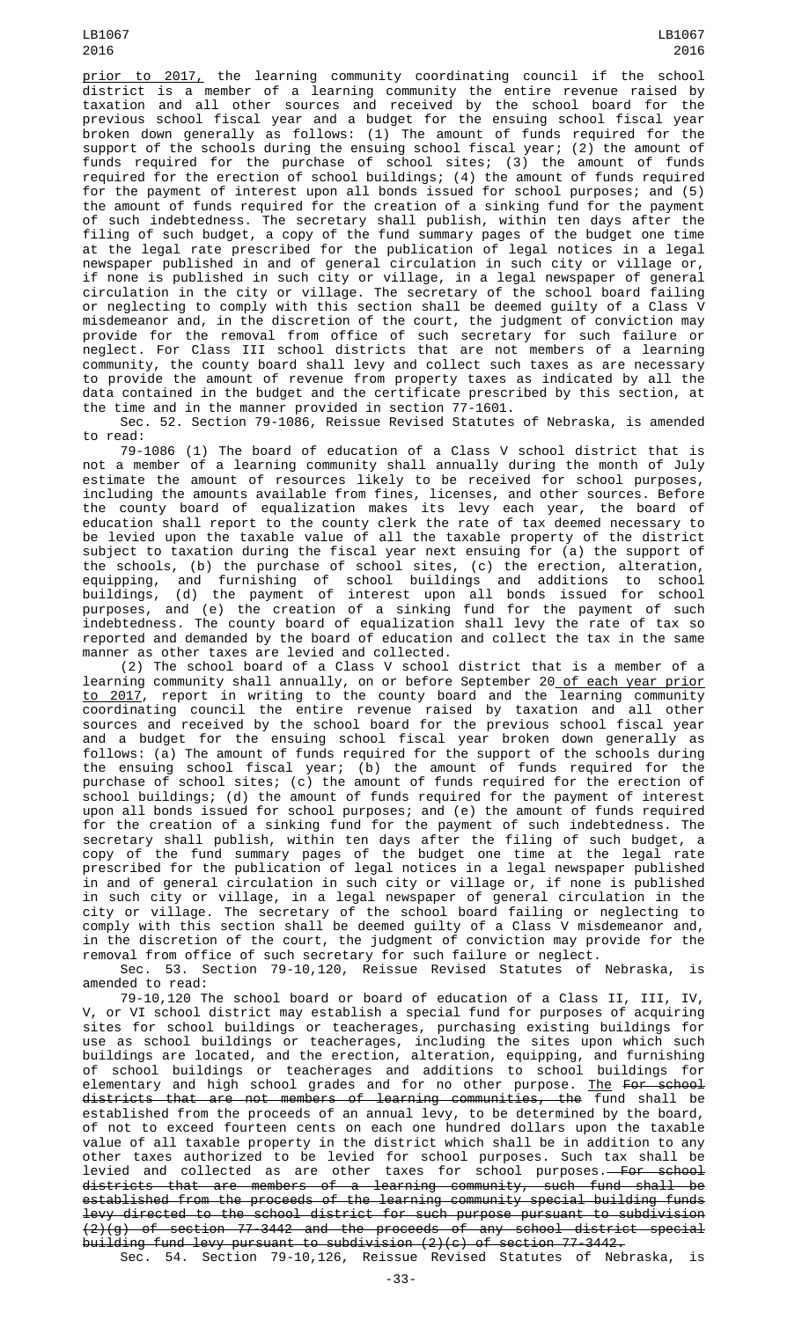LB1067 2016

prior to 2017, the learning community coordinating council if the school district is a member of a learning community the entire revenue raised by taxation and all other sources and received by the school board for the previous school fiscal year and a budget for the ensuing school fiscal year broken down generally as follows: (1) The amount of funds required for the support of the schools during the ensuing school fiscal year; (2) the amount of funds required for the purchase of school sites; (3) the amount of funds required for the erection of school buildings; (4) the amount of funds required for the payment of interest upon all bonds issued for school purposes; and (5) the amount of funds required for the creation of a sinking fund for the payment of such indebtedness. The secretary shall publish, within ten days after the filing of such budget, a copy of the fund summary pages of the budget one time at the legal rate prescribed for the publication of legal notices in a legal newspaper published in and of general circulation in such city or village or, if none is published in such city or village, in a legal newspaper of general circulation in the city or village. The secretary of the school board failing or neglecting to comply with this section shall be deemed guilty of a Class V misdemeanor and, in the discretion of the court, the judgment of conviction may provide for the removal from office of such secretary for such failure or neglect. For Class III school districts that are not members of a learning community, the county board shall levy and collect such taxes as are necessary to provide the amount of revenue from property taxes as indicated by all the data contained in the budget and the certificate prescribed by this section, at the time and in the manner provided in section 77-1601.

Sec. 52. Section 79-1086, Reissue Revised Statutes of Nebraska, is amended to read:

79-1086 (1) The board of education of a Class V school district that is not a member of a learning community shall annually during the month of July estimate the amount of resources likely to be received for school purposes, including the amounts available from fines, licenses, and other sources. Before the county board of equalization makes its levy each year, the board of education shall report to the county clerk the rate of tax deemed necessary to be levied upon the taxable value of all the taxable property of the district subject to taxation during the fiscal year next ensuing for (a) the support of the schools, (b) the purchase of school sites, (c) the erection, alteration, equipping, and furnishing of school buildings and additions to school buildings, (d) the payment of interest upon all bonds issued for school purposes, and (e) the creation of a sinking fund for the payment of such indebtedness. The county board of equalization shall levy the rate of tax so reported and demanded by the board of education and collect the tax in the same manner as other taxes are levied and collected.

(2) The school board of a Class V school district that is a member of a learning community shall annually, on or before September 20<u> of each year prior</u> <u>to 2017</u>, report in writing to the county board and the learning community coordinating council the entire revenue raised by taxation and all other sources and received by the school board for the previous school fiscal year and a budget for the ensuing school fiscal year broken down generally as follows: (a) The amount of funds required for the support of the schools during the ensuing school fiscal year; (b) the amount of funds required for the purchase of school sites; (c) the amount of funds required for the erection of school buildings; (d) the amount of funds required for the payment of interest upon all bonds issued for school purposes; and (e) the amount of funds required for the creation of a sinking fund for the payment of such indebtedness. The secretary shall publish, within ten days after the filing of such budget, a copy of the fund summary pages of the budget one time at the legal rate prescribed for the publication of legal notices in a legal newspaper published in and of general circulation in such city or village or, if none is published in such city or village, in a legal newspaper of general circulation in the city or village. The secretary of the school board failing or neglecting to comply with this section shall be deemed guilty of a Class V misdemeanor and, in the discretion of the court, the judgment of conviction may provide for the removal from office of such secretary for such failure or neglect.

Sec. 53. Section 79-10,120, Reissue Revised Statutes of Nebraska, is amended to read:

79-10,120 The school board or board of education of a Class II, III, IV, V, or VI school district may establish a special fund for purposes of acquiring sites for school buildings or teacherages, purchasing existing buildings for use as school buildings or teacherages, including the sites upon which such buildings are located, and the erection, alteration, equipping, and furnishing of school buildings or teacherages and additions to school buildings for elementary and high school grades and for no other purpose. <u>The</u> <del>For school</del> districts that are not members of learning communities, the fund shall be established from the proceeds of an annual levy, to be determined by the board, of not to exceed fourteen cents on each one hundred dollars upon the taxable value of all taxable property in the district which shall be in addition to any other taxes authorized to be levied for school purposes. Such tax shall be levied and collected as are other taxes for school purposes.<del>—For school</del> districts that are members of a learning community, such fund shall be established from the proceeds of the learning community special building funds levy directed to the school district for such purpose pursuant to subdivision (2)(g) of section 77-3442 and the proceeds of any school district special building fund levy pursuant to subdivision (2)(c) of section 77-3442. Sec. 54. Section 79-10,126, Reissue Revised Statutes of Nebraska, is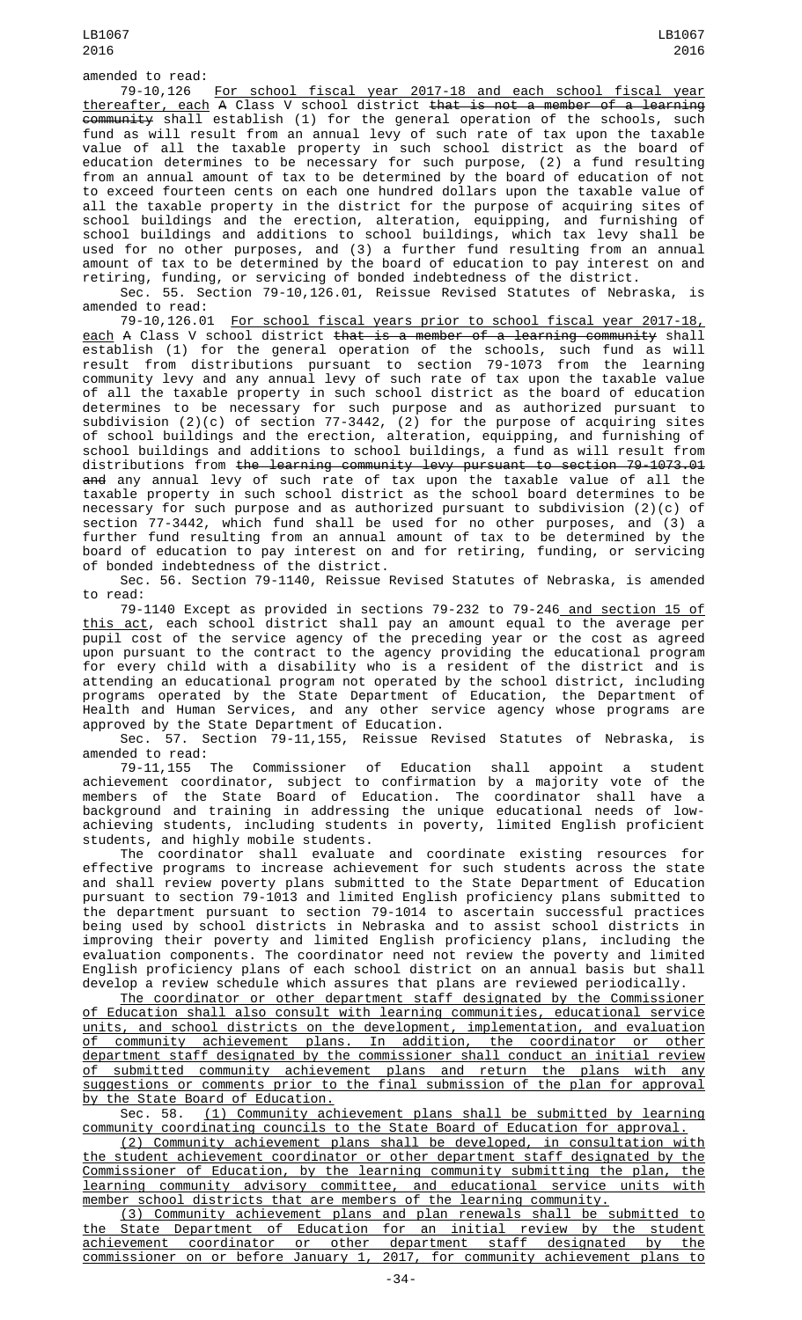LB1067 2016

amended to read:

79-10,126 For school fiscal year 2017-18 and each school fiscal year <u>thereafter, each</u> A Class V school district <del>that is not a member of a learning</del> community shall establish (1) for the general operation of the schools, such fund as will result from an annual levy of such rate of tax upon the taxable value of all the taxable property in such school district as the board of education determines to be necessary for such purpose, (2) a fund resulting from an annual amount of tax to be determined by the board of education of not to exceed fourteen cents on each one hundred dollars upon the taxable value of all the taxable property in the district for the purpose of acquiring sites of school buildings and the erection, alteration, equipping, and furnishing of school buildings and additions to school buildings, which tax levy shall be used for no other purposes, and (3) a further fund resulting from an annual amount of tax to be determined by the board of education to pay interest on and retiring, funding, or servicing of bonded indebtedness of the district.

Sec. 55. Section 79-10,126.01, Reissue Revised Statutes of Nebraska, is amended to read:

79-10,126.01 For school fiscal years prior to school fiscal year 2017-18, <u>each</u> A Class V school district <del>that is a member of a learning community</del> shall establish (1) for the general operation of the schools, such fund as will result from distributions pursuant to section 79-1073 from the learning community levy and any annual levy of such rate of tax upon the taxable value of all the taxable property in such school district as the board of education determines to be necessary for such purpose and as authorized pursuant to subdivision (2)(c) of section 77-3442, (2) for the purpose of acquiring sites of school buildings and the erection, alteration, equipping, and furnishing of school buildings and additions to school buildings, a fund as will result from distributions from the learning community levy pursuant to section 79-1073.01 <del>and</del> any annual levy of such rate of tax upon the taxable value of all the taxable property in such school district as the school board determines to be necessary for such purpose and as authorized pursuant to subdivision (2)(c) of section 77-3442, which fund shall be used for no other purposes, and (3) a further fund resulting from an annual amount of tax to be determined by the board of education to pay interest on and for retiring, funding, or servicing of bonded indebtedness of the district.

Sec. 56. Section 79-1140, Reissue Revised Statutes of Nebraska, is amended to read:

79-1140 Except as provided in sections 79-232 to 79-246<u> and section 15 of</u> <u>this act</u>, each school district shall pay an amount equal to the average per pupil cost of the service agency of the preceding year or the cost as agreed upon pursuant to the contract to the agency providing the educational program for every child with a disability who is a resident of the district and is attending an educational program not operated by the school district, including programs operated by the State Department of Education, the Department of Health and Human Services, and any other service agency whose programs are approved by the State Department of Education.

Sec. 57. Section 79-11,155, Reissue Revised Statutes of Nebraska, is<br>amended to read: amended to read:

79-11,155 The Commissioner of Education shall appoint a student achievement coordinator, subject to confirmation by a majority vote of the members of the State Board of Education. The coordinator shall have a background and training in addressing the unique educational needs of lowachieving students, including students in poverty, limited English proficient students, and highly mobile students.

The coordinator shall evaluate and coordinate existing resources for effective programs to increase achievement for such students across the state and shall review poverty plans submitted to the State Department of Education pursuant to section 79-1013 and limited English proficiency plans submitted to the department pursuant to section 79-1014 to ascertain successful practices being used by school districts in Nebraska and to assist school districts in improving their poverty and limited English proficiency plans, including the evaluation components. The coordinator need not review the poverty and limited English proficiency plans of each school district on an annual basis but shall develop a review schedule which assures that plans are reviewed periodically.

The coordinator or other department staff designated by the Commissioner of Education shall also consult with learning communities, educational service units, and school districts on the development, implementation, and evaluation of community achievement plans. In addition, the coordinator or other department staff designated by the commissioner shall conduct an initial review of submitted community achievement plans and return the plans with any suggestions or comments prior to the final submission of the plan for approval

by the State Board of Education.<br>Sec. 58. <u>(1) Communit</u>y ac (1) Community achievement plans shall be submitted by learning community coordinating councils to the State Board of Education for approval.

(2) Community achievement plans shall be developed, in consultation with the student achievement coordinator or other department staff designated by the Commissioner of Education, by the learning community submitting the plan, the learning community advisory committee, and educational service units with member school districts that are members of the learning community.

(3) Community achievement plans and plan renewals shall be submitted to the State Department of Education for an initial review by the student achievement coordinator or other department staff designated by the commissioner on or before January 1, 2017, for community achievement plans to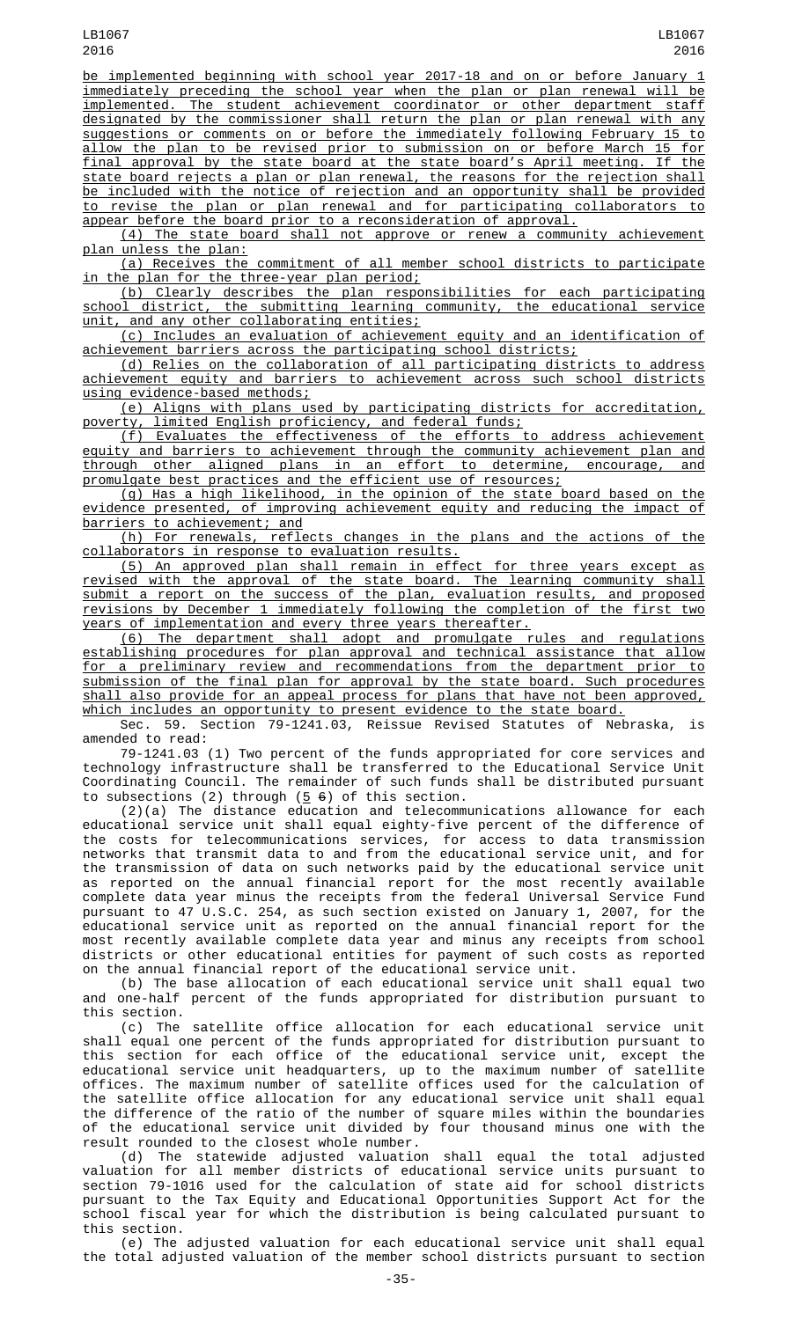be implemented beginning with school year 2017-18 and on or before January immediately preceding the school year when the plan or plan renewal will be implemented. The student achievement coordinator or other department staff designated by the commissioner shall return the plan or plan renewal with any suggestions or comments on or before the immediately following February 15 to allow the plan to be revised prior to submission on or before March 15 for final approval by the state board at the state board's April meeting. If the state board rejects a plan or plan renewal, the reasons for the rejection shall be included with the notice of rejection and an opportunity shall be provided to revise the plan or plan renewal and for participating collaborators to appear before the board prior to a reconsideration of approval.

(4) The state board shall not approve or renew a community achievement plan unless the plan:

(a) Receives the commitment of all member school districts to participate in the plan for the three-year plan period;

(b) Clearly describes the plan responsibilities for each participating school district, the submitting learning community, the educational service unit, and any other collaborating entities;

(c) Includes an evaluation of achievement equity and an identification of achievement barriers across the participating school districts;

(d) Relies on the collaboration of all participating districts to address achievement equity and barriers to achievement across such school districts using evidence-based methods;

(e) Aligns with plans used by participating districts for accreditation, poverty, limited English proficiency, and federal funds;

(f) Evaluates the effectiveness of the efforts to address achievement equity and barriers to achievement through the community achievement plan and through other aligned plans in an effort to determine, encourage, and promulgate best practices and the efficient use of resources;

(g) Has a high likelihood, in the opinion of the state board based on the evidence presented, of improving achievement equity and reducing the impact of barriers to achievement; and

(h) For renewals, reflects changes in the plans and the actions of the collaborators in response to evaluation results.

(5) An approved plan shall remain in effect for three years except as revised with the approval of the state board. The learning community shall submit a report on the success of the plan, evaluation results, and proposed revisions by December 1 immediately following the completion of the first two years of implementation and every three years thereafter.

(6) The department shall adopt and promulgate rules and regulations establishing procedures for plan approval and technical assistance that allow for a preliminary review and recommendations from the department prior to submission of the final plan for approval by the state board. Such procedures shall also provide for an appeal process for plans that have not been approved, which includes an opportunity to present evidence to the state board.

Sec. 59. Section 79-1241.03, Reissue Revised Statutes of Nebraska, is amended to read:

79-1241.03 (1) Two percent of the funds appropriated for core services and technology infrastructure shall be transferred to the Educational Service Unit Coordinating Council. The remainder of such funds shall be distributed pursuant to subsections (2) through ( $\frac{5}{5}$   $\frac{6}{5}$ ) of this section.

(2)(a) The distance education and telecommunications allowance for each educational service unit shall equal eighty-five percent of the difference of the costs for telecommunications services, for access to data transmission networks that transmit data to and from the educational service unit, and for the transmission of data on such networks paid by the educational service unit as reported on the annual financial report for the most recently available complete data year minus the receipts from the federal Universal Service Fund pursuant to 47 U.S.C. 254, as such section existed on January 1, 2007, for the educational service unit as reported on the annual financial report for the most recently available complete data year and minus any receipts from school districts or other educational entities for payment of such costs as reported on the annual financial report of the educational service unit.

(b) The base allocation of each educational service unit shall equal two and one-half percent of the funds appropriated for distribution pursuant to this section.

(c) The satellite office allocation for each educational service unit shall equal one percent of the funds appropriated for distribution pursuant to this section for each office of the educational service unit, except the educational service unit headquarters, up to the maximum number of satellite offices. The maximum number of satellite offices used for the calculation of the satellite office allocation for any educational service unit shall equal the difference of the ratio of the number of square miles within the boundaries of the educational service unit divided by four thousand minus one with the result rounded to the closest whole number.

(d) The statewide adjusted valuation shall equal the total adjusted valuation for all member districts of educational service units pursuant to section 79-1016 used for the calculation of state aid for school districts pursuant to the Tax Equity and Educational Opportunities Support Act for the school fiscal year for which the distribution is being calculated pursuant to this section.

(e) The adjusted valuation for each educational service unit shall equal the total adjusted valuation of the member school districts pursuant to section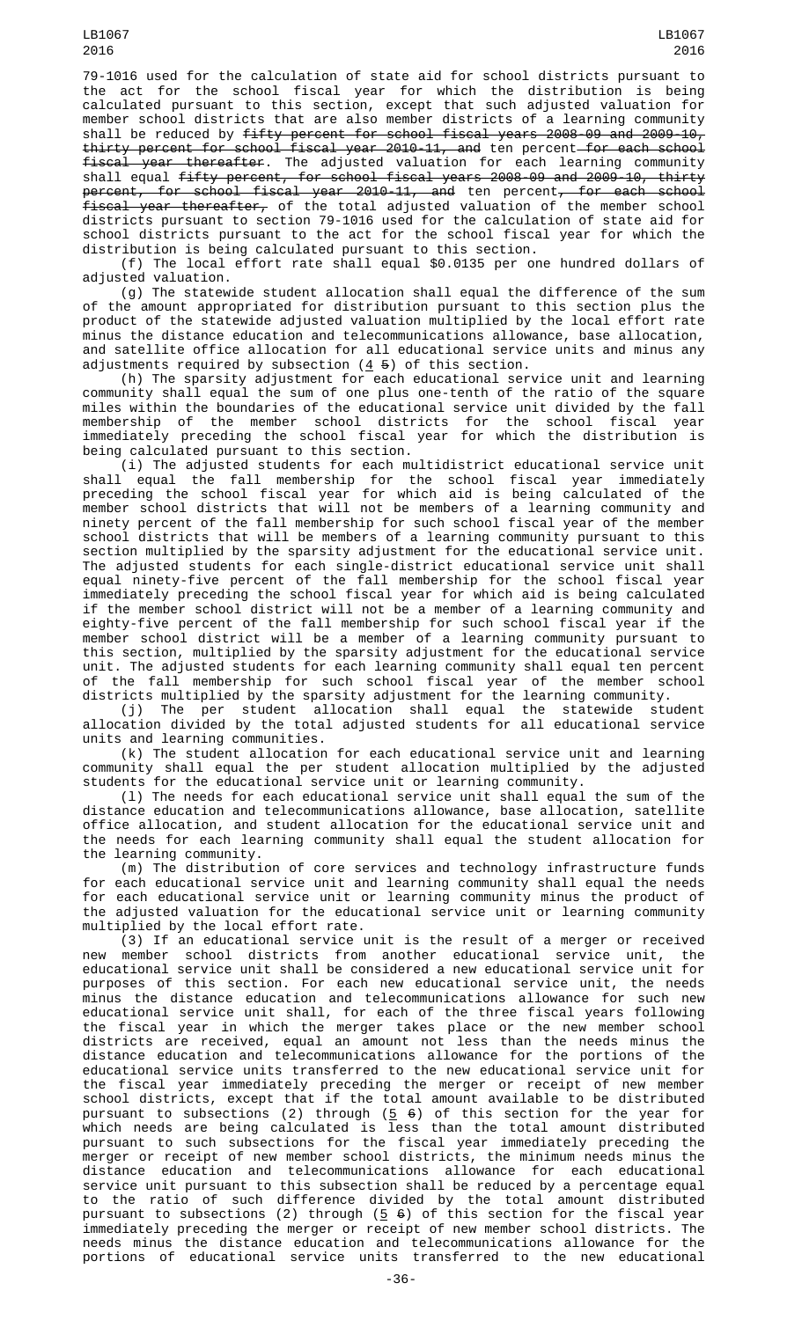79-1016 used for the calculation of state aid for school districts pursuant to the act for the school fiscal year for which the distribution is being calculated pursuant to this section, except that such adjusted valuation for member school districts that are also member districts of a learning community shall be reduced by fifty percent for school fiscal years 2008-09 and 2009-10, thirty percent for school fiscal year 2010-11, and ten percent for each school fiscal year thereafter. The adjusted valuation for each learning community shall equal fifty percent, for school fiscal years 2008-09 and 2009-10, thirty p<del>ercent, for school fiscal year 2010-11, and</del> ten percent<del>, for each school</del> fiscal year thereafter, of the total adjusted valuation of the member school districts pursuant to section 79-1016 used for the calculation of state aid for school districts pursuant to the act for the school fiscal year for which the distribution is being calculated pursuant to this section.

(f) The local effort rate shall equal \$0.0135 per one hundred dollars of adjusted valuation.

(g) The statewide student allocation shall equal the difference of the sum of the amount appropriated for distribution pursuant to this section plus the product of the statewide adjusted valuation multiplied by the local effort rate minus the distance education and telecommunications allowance, base allocation, and satellite office allocation for all educational service units and minus any adjustments required by subsection  $(4\;5)$  of this section.

(h) The sparsity adjustment for each educational service unit and learning community shall equal the sum of one plus one-tenth of the ratio of the square miles within the boundaries of the educational service unit divided by the fall membership of the member school districts for the school fiscal year immediately preceding the school fiscal year for which the distribution is being calculated pursuant to this section.

(i) The adjusted students for each multidistrict educational service unit shall equal the fall membership for the school fiscal year immediately preceding the school fiscal year for which aid is being calculated of the member school districts that will not be members of a learning community and ninety percent of the fall membership for such school fiscal year of the member school districts that will be members of a learning community pursuant to this section multiplied by the sparsity adjustment for the educational service unit. The adjusted students for each single-district educational service unit shall equal ninety-five percent of the fall membership for the school fiscal year immediately preceding the school fiscal year for which aid is being calculated if the member school district will not be a member of a learning community and eighty-five percent of the fall membership for such school fiscal year if the member school district will be a member of a learning community pursuant to this section, multiplied by the sparsity adjustment for the educational service unit. The adjusted students for each learning community shall equal ten percent of the fall membership for such school fiscal year of the member school districts multiplied by the sparsity adjustment for the learning community.

(j) The per student allocation shall equal the statewide student allocation divided by the total adjusted students for all educational service units and learning communities.

(k) The student allocation for each educational service unit and learning community shall equal the per student allocation multiplied by the adjusted students for the educational service unit or learning community.

(l) The needs for each educational service unit shall equal the sum of the distance education and telecommunications allowance, base allocation, satellite office allocation, and student allocation for the educational service unit and the needs for each learning community shall equal the student allocation for the learning community.

(m) The distribution of core services and technology infrastructure funds for each educational service unit and learning community shall equal the needs for each educational service unit or learning community minus the product of the adjusted valuation for the educational service unit or learning community multiplied by the local effort rate.

(3) If an educational service unit is the result of a merger or received new member school districts from another educational service unit, the educational service unit shall be considered a new educational service unit for purposes of this section. For each new educational service unit, the needs minus the distance education and telecommunications allowance for such new educational service unit shall, for each of the three fiscal years following the fiscal year in which the merger takes place or the new member school districts are received, equal an amount not less than the needs minus the distance education and telecommunications allowance for the portions of the educational service units transferred to the new educational service unit for the fiscal year immediately preceding the merger or receipt of new member school districts, except that if the total amount available to be distributed pursuant to subsections (2) through (<u>5</u> <del>6</del>) of this section for the year for which needs are being calculated is less than the total amount distributed pursuant to such subsections for the fiscal year immediately preceding the merger or receipt of new member school districts, the minimum needs minus the distance education and telecommunications allowance for each educational service unit pursuant to this subsection shall be reduced by a percentage equal to the ratio of such difference divided by the total amount distributed pursuant to subsections (2) through (5 6) of this section for the fiscal year immediately preceding the merger or receipt of new member school districts. The needs minus the distance education and telecommunications allowance for the portions of educational service units transferred to the new educational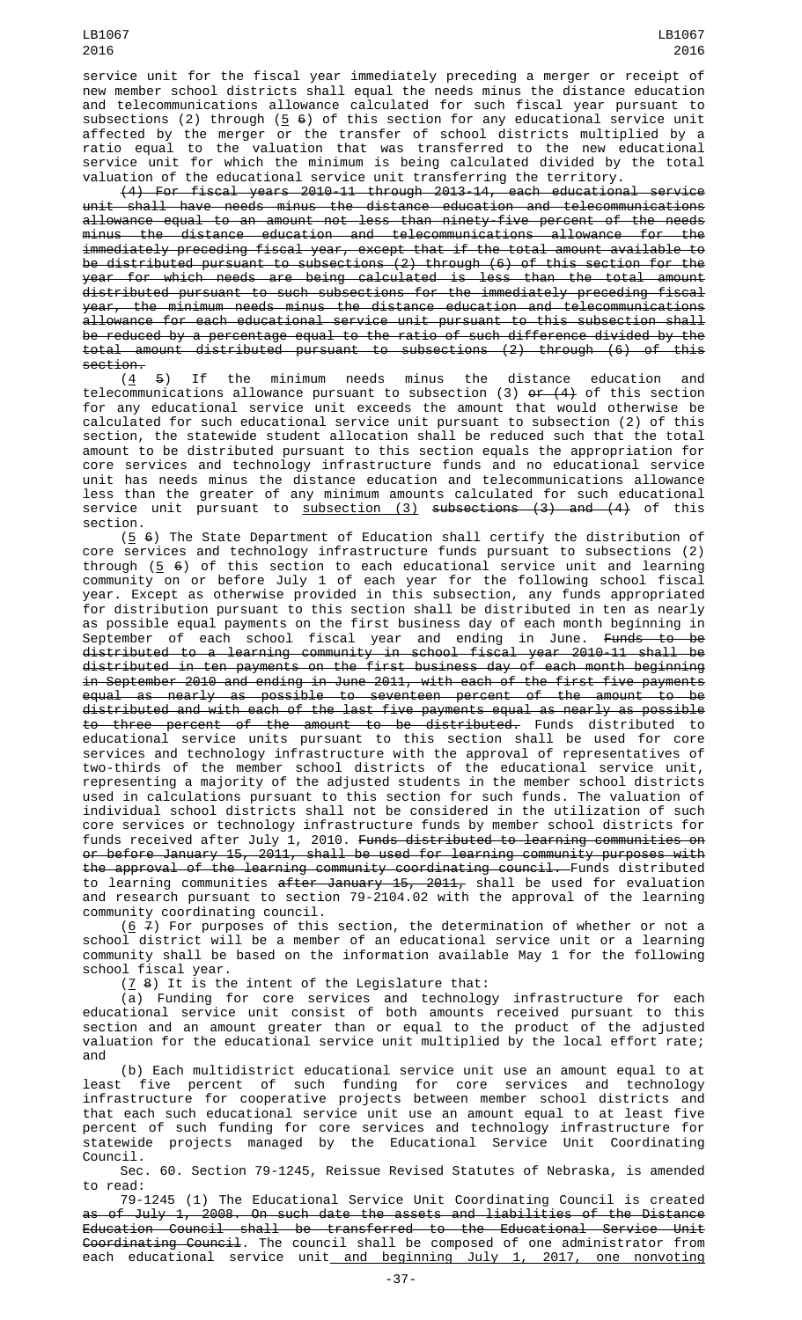service unit for the fiscal year immediately preceding a merger or receipt of new member school districts shall equal the needs minus the distance education and telecommunications allowance calculated for such fiscal year pursuant to subsections (2) through (<u>5</u>  $\rm{6)}$  of this section for any educational service unit affected by the merger or the transfer of school districts multiplied by a ratio equal to the valuation that was transferred to the new educational service unit for which the minimum is being calculated divided by the total valuation of the educational service unit transferring the territory.

(4) For fiscal years 2010-11 through 2013-14, each educational service  $unit$  shall have needs minus the distance education and telecommunications allowance equal to an amount not less than ninety-five percent of the needs minus the distance education and telecommunications allowance for the immediately preceding fiscal year, except that if the total amount available to be distributed pursuant to subsections (2) through (6) of this section for the year for which needs are being calculated is less than the total amount distributed pursuant to such subsections for the immediately preceding fiscal year, the minimum needs minus the distance education and telecommunications allowance for each educational service unit pursuant to this subsection shall be reduced by a percentage equal to the ratio of such difference divided by the total amount distributed pursuant to subsections (2) through (6) of this section.

 $(4, 5)$  If the minimum needs minus the distance education and telecommunications allowance pursuant to subsection (3) <del>or (4)</del> of this section for any educational service unit exceeds the amount that would otherwise be calculated for such educational service unit pursuant to subsection (2) of this section, the statewide student allocation shall be reduced such that the total amount to be distributed pursuant to this section equals the appropriation for core services and technology infrastructure funds and no educational service unit has needs minus the distance education and telecommunications allowance less than the greater of any minimum amounts calculated for such educational service unit pursuant to <u>subsection (3)</u> <del>subsections (3) and (4)</del> of this section.

 $(5, 6)$  The State Department of Education shall certify the distribution of core services and technology infrastructure funds pursuant to subsections (2) through ( $\overline{5}$   $\overline{6}$ ) of this section to each educational service unit and learning community on or before July 1 of each year for the following school fiscal year. Except as otherwise provided in this subsection, any funds appropriated for distribution pursuant to this section shall be distributed in ten as nearly as possible equal payments on the first business day of each month beginning in September of each school fiscal year and ending in June. Funds to distributed to a learning community in school fiscal year 2010-11 shall be distributed in ten payments on the first business day of each month beginning in September 2010 and ending in June 2011, with each of the first five payments equal as nearly as possible to seventeen percent of the amount to be distributed and with each of the last five payments equal as nearly as possible to three percent of the amount to be distributed. Funds distributed to educational service units pursuant to this section shall be used for core services and technology infrastructure with the approval of representatives of two-thirds of the member school districts of the educational service unit, representing a majority of the adjusted students in the member school districts used in calculations pursuant to this section for such funds. The valuation of individual school districts shall not be considered in the utilization of such core services or technology infrastructure funds by member school districts for funds received after July 1, 2010. Funds distributed to learning communities on or before January 15, 2011, shall be used for learning community purposes with the approval of the learning community coordinating council. Funds distributed to learning communities <del>after January 15, 2011,</del> shall be used for evaluation and research pursuant to section 79-2104.02 with the approval of the learning community coordinating council.

(<u>6</u>  $\neq$ ) For purposes of this section, the determination of whether or not a school district will be a member of an educational service unit or a learning community shall be based on the information available May 1 for the following school fiscal year.

 $(7 8)$  It is the intent of the Legislature that:

(a) Funding for core services and technology infrastructure for each educational service unit consist of both amounts received pursuant to this section and an amount greater than or equal to the product of the adjusted valuation for the educational service unit multiplied by the local effort rate; and

(b) Each multidistrict educational service unit use an amount equal to at least five percent of such funding for core services and technology infrastructure for cooperative projects between member school districts and that each such educational service unit use an amount equal to at least five percent of such funding for core services and technology infrastructure for statewide projects managed by the Educational Service Unit Coordinating Council.

Sec. 60. Section 79-1245, Reissue Revised Statutes of Nebraska, is amended to read:

79-1245 (1) The Educational Service Unit Coordinating Council is created as of July 1, 2008. On such date the assets and liabilities of the Distance Education Council shall be transferred to the Educational Service Unit Coordinating Council. The council shall be composed of one administrator from each educational service unit and beginning July 1, 2017, one nonvoting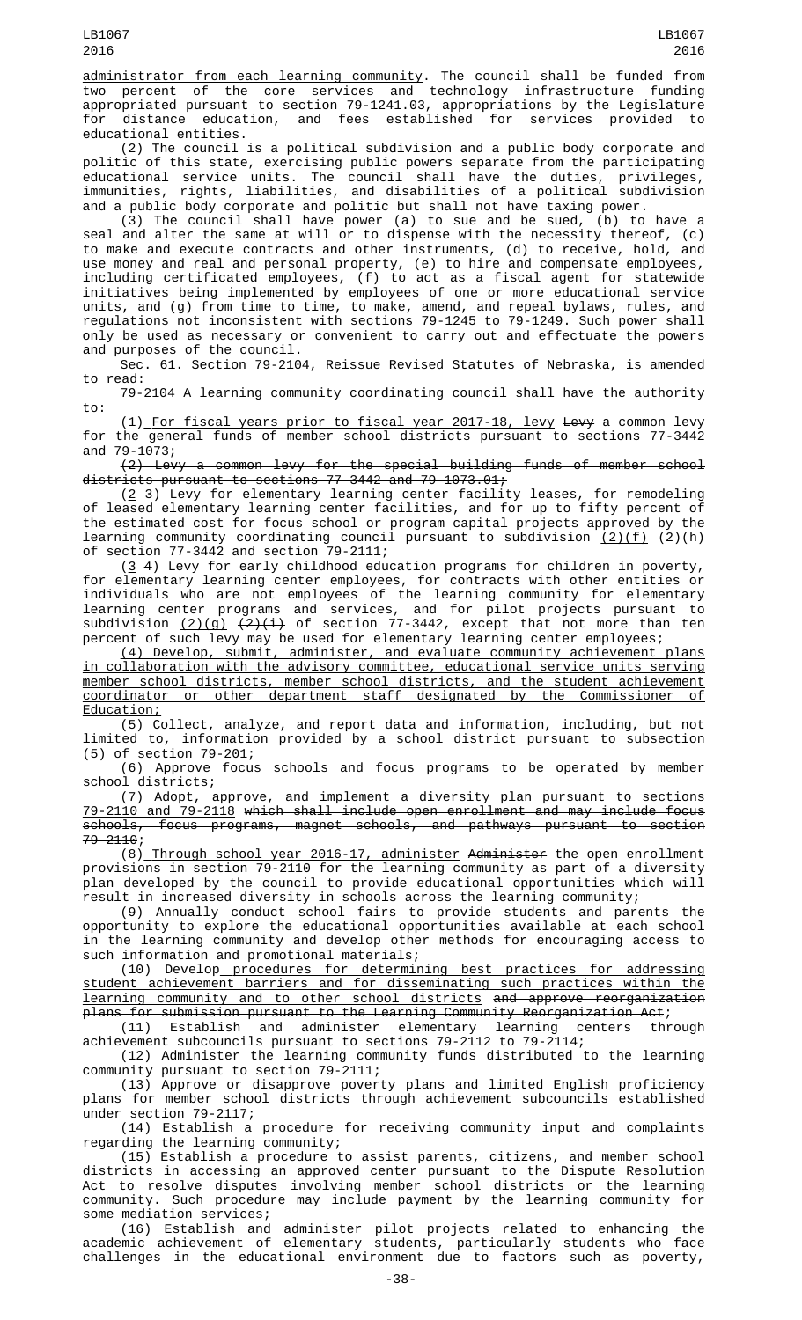administrator from each learning community. The council shall be funded from two percent of the core services and technology infrastructure funding appropriated pursuant to section 79-1241.03, appropriations by the Legislature for distance education, and fees established for services provided to educational entities.

(2) The council is a political subdivision and a public body corporate and politic of this state, exercising public powers separate from the participating educational service units. The council shall have the duties, privileges, immunities, rights, liabilities, and disabilities of a political subdivision and a public body corporate and politic but shall not have taxing power.

(3) The council shall have power (a) to sue and be sued, (b) to have a seal and alter the same at will or to dispense with the necessity thereof, (c) to make and execute contracts and other instruments, (d) to receive, hold, and use money and real and personal property, (e) to hire and compensate employees, including certificated employees, (f) to act as a fiscal agent for statewide initiatives being implemented by employees of one or more educational service units, and (g) from time to time, to make, amend, and repeal bylaws, rules, and regulations not inconsistent with sections 79-1245 to 79-1249. Such power shall only be used as necessary or convenient to carry out and effectuate the powers and purposes of the council.

Sec. 61. Section 79-2104, Reissue Revised Statutes of Nebraska, is amended to read:

79-2104 A learning community coordinating council shall have the authority to:

(1) For fiscal years prior to fiscal year 2017-18, levy Levy a common levy for the general funds of member school districts pursuant to sections 77-3442 and 79-1073;

(2) Levy a common levy for the special building funds of member school districts pursuant to sections 77-3442 and 79-1073.01;

 $(2, 3)$  Levy for elementary learning center facility leases, for remodeling of leased elementary learning center facilities, and for up to fifty percent of the estimated cost for focus school or program capital projects approved by the learning community coordinating council pursuant to subdivision <u>(2)(f)</u> <del>(2)(h)</del> of section 77-3442 and section 79-2111;

(3 4) Levy for early childhood education programs for children in poverty, for elementary learning center employees, for contracts with other entities or individuals who are not employees of the learning community for elementary learning center programs and services, and for pilot projects pursuant to subdivision <u>(2)(g)</u> <del>(2)(i)</del> of section 77-3442, except that not more than ten percent of such levy may be used for elementary learning center employees;

(4) Develop, submit, administer, and evaluate community achievement plans in collaboration with the advisory committee, educational service units serving member school districts, member school districts, and the student achievement coordinator or other department staff designated by the Commissioner of Education;

(5) Collect, analyze, and report data and information, including, but not limited to, information provided by a school district pursuant to subsection (5) of section 79-201;

(6) Approve focus schools and focus programs to be operated by member school districts;

(7) Adopt, approve, and implement a diversity plan pursuant to sections 79-2110 and 79-2118 which shall include open enrollment and may include focus schools, focus programs, magnet schools, and pathways pursuant to section 79-2110;

(8) Through school year 2016-17, administer Administer the open enrollment provisions in section 79-2110 for the learning community as part of a diversity plan developed by the council to provide educational opportunities which will result in increased diversity in schools across the learning community;

(9) Annually conduct school fairs to provide students and parents the opportunity to explore the educational opportunities available at each school in the learning community and develop other methods for encouraging access to such information and promotional materials;

(10) Develop procedures for determining best practices for addressing student achievement barriers and for disseminating such practices within the learning community and to other school districts and approve reorganization plans for submission pursuant to the Learning Community Reorganization Act;

(11) Establish and administer elementary learning centers through achievement subcouncils pursuant to sections 79-2112 to 79-2114;

(12) Administer the learning community funds distributed to the learning community pursuant to section 79-2111;

(13) Approve or disapprove poverty plans and limited English proficiency plans for member school districts through achievement subcouncils established under section 79-2117;

(14) Establish a procedure for receiving community input and complaints regarding the learning community;

(15) Establish a procedure to assist parents, citizens, and member school districts in accessing an approved center pursuant to the Dispute Resolution Act to resolve disputes involving member school districts or the learning community. Such procedure may include payment by the learning community for some mediation services;

(16) Establish and administer pilot projects related to enhancing the academic achievement of elementary students, particularly students who face challenges in the educational environment due to factors such as poverty,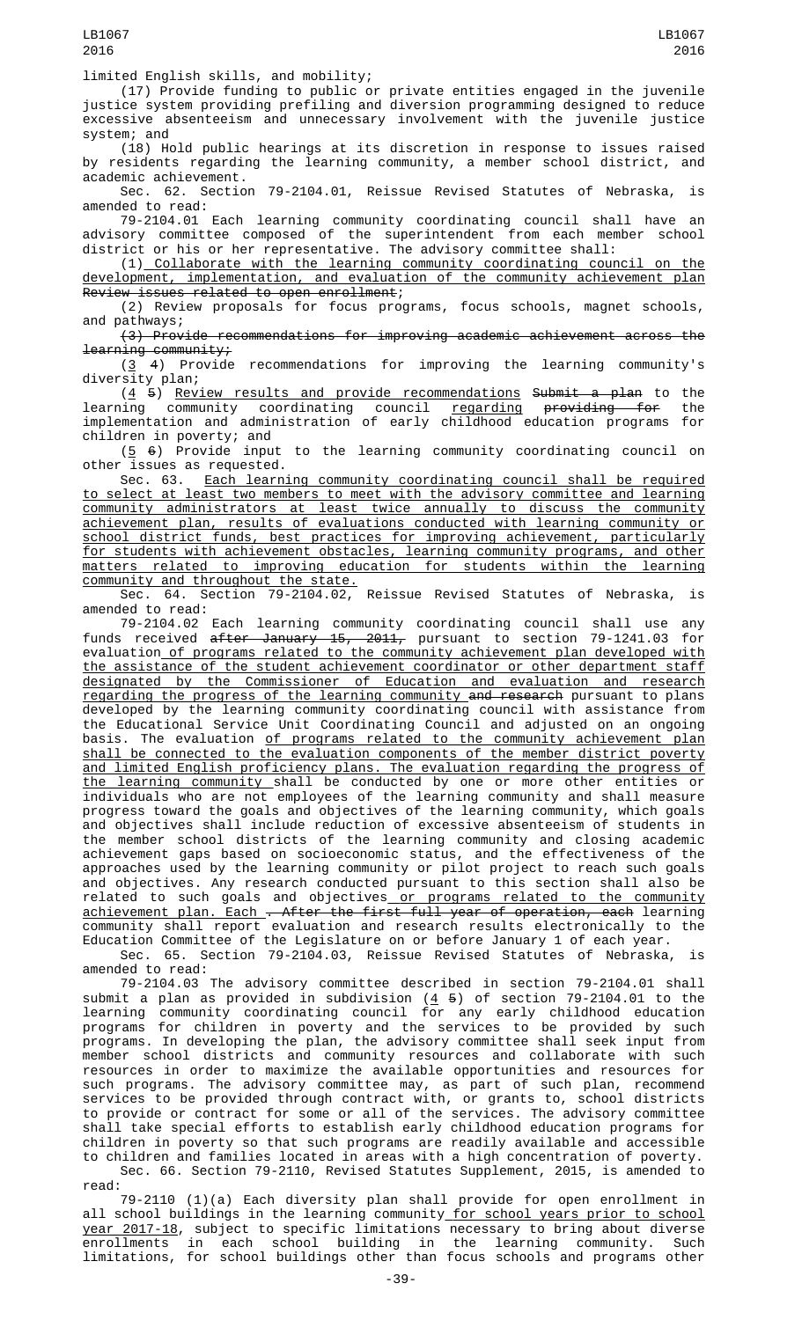(17) Provide funding to public or private entities engaged in the juvenile justice system providing prefiling and diversion programming designed to reduce excessive absenteeism and unnecessary involvement with the juvenile justice system; and

(18) Hold public hearings at its discretion in response to issues raised by residents regarding the learning community, a member school district, and academic achievement.

Sec. 62. Section 79-2104.01, Reissue Revised Statutes of Nebraska, is amended to read:

79-2104.01 Each learning community coordinating council shall have an advisory committee composed of the superintendent from each member school district or his or her representative. The advisory committee shall:

(1) Collaborate with the learning community coordinating council on the development, implementation, and evaluation of the community achievement plan Review issues related to open enrollment;

(2) Review proposals for focus programs, focus schools, magnet schools, and pathways;

(3) Provide recommendations for improving academic achievement across the learning community;

(3 4) Provide recommendations for improving the learning community's diversity plan;

(4 5) Review results and provide recommendations Submit a plan to the learning community coordinating council <u>regarding</u> <del>providing for</del> the implementation and administration of early childhood education programs for children in poverty; and

 $(5 6)$  Provide input to the learning community coordinating council on other issues as requested.

Sec. 63. Each learning community coordinating council shall be required to select at least two members to meet with the advisory committee and learning community administrators at least twice annually to discuss the community achievement plan, results of evaluations conducted with learning community or school district funds, best practices for improving achievement, particularly for students with achievement obstacles, learning community programs, and other matters related to improving education for students within the learning community and throughout the state.

Sec. 64. Section 79-2104.02, Reissue Revised Statutes of Nebraska, is amended to read:

79-2104.02 Each learning community coordinating council shall use any funds received after January 15, 2011, pursuant to section 79-1241.03 for evaluation <u>of programs related to the community achievement plan developed with</u> the assistance of the student achievement coordinator or other department staff designated by the Commissioner of Education and evaluation and research regarding the progress of the learning community and research pursuant to plans developed by the learning community coordinating council with assistance from the Educational Service Unit Coordinating Council and adjusted on an ongoing basis. The evaluation <u>of programs related to the community achievement plan</u> shall be connected to the evaluation components of the member district poverty and limited English proficiency plans. The evaluation regarding the progress of the learning community shall be conducted by one or more other entities or individuals who are not employees of the learning community and shall measure progress toward the goals and objectives of the learning community, which goals and objectives shall include reduction of excessive absenteeism of students in the member school districts of the learning community and closing academic achievement gaps based on socioeconomic status, and the effectiveness of the approaches used by the learning community or pilot project to reach such goals and objectives. Any research conducted pursuant to this section shall also be related to such goals and objectives<u> or programs related to the community</u> <u>achievement plan. Each . After the first full year of operation, each</u> learning community shall report evaluation and research results electronically to the Education Committee of the Legislature on or before January 1 of each year.

Sec. 65. Section 79-2104.03, Reissue Revised Statutes of Nebraska, is amended to read:

79-2104.03 The advisory committee described in section 79-2104.01 shall submit a plan as provided in subdivision (4 5) of section 79-2104.01 to the learning community coordinating council for any early childhood education programs for children in poverty and the services to be provided by such programs. In developing the plan, the advisory committee shall seek input from member school districts and community resources and collaborate with such resources in order to maximize the available opportunities and resources for such programs. The advisory committee may, as part of such plan, recommend services to be provided through contract with, or grants to, school districts to provide or contract for some or all of the services. The advisory committee shall take special efforts to establish early childhood education programs for children in poverty so that such programs are readily available and accessible to children and families located in areas with a high concentration of poverty.

Sec. 66. Section 79-2110, Revised Statutes Supplement, 2015, is amended to read:

79-2110 (1)(a) Each diversity plan shall provide for open enrollment in all school buildings in the learning community<u> for school years prior to school</u> <u>year 2017-18</u>, subject to specific limitations necessary to bring about diverse enrollments in each school building in the learning community. Such limitations, for school buildings other than focus schools and programs other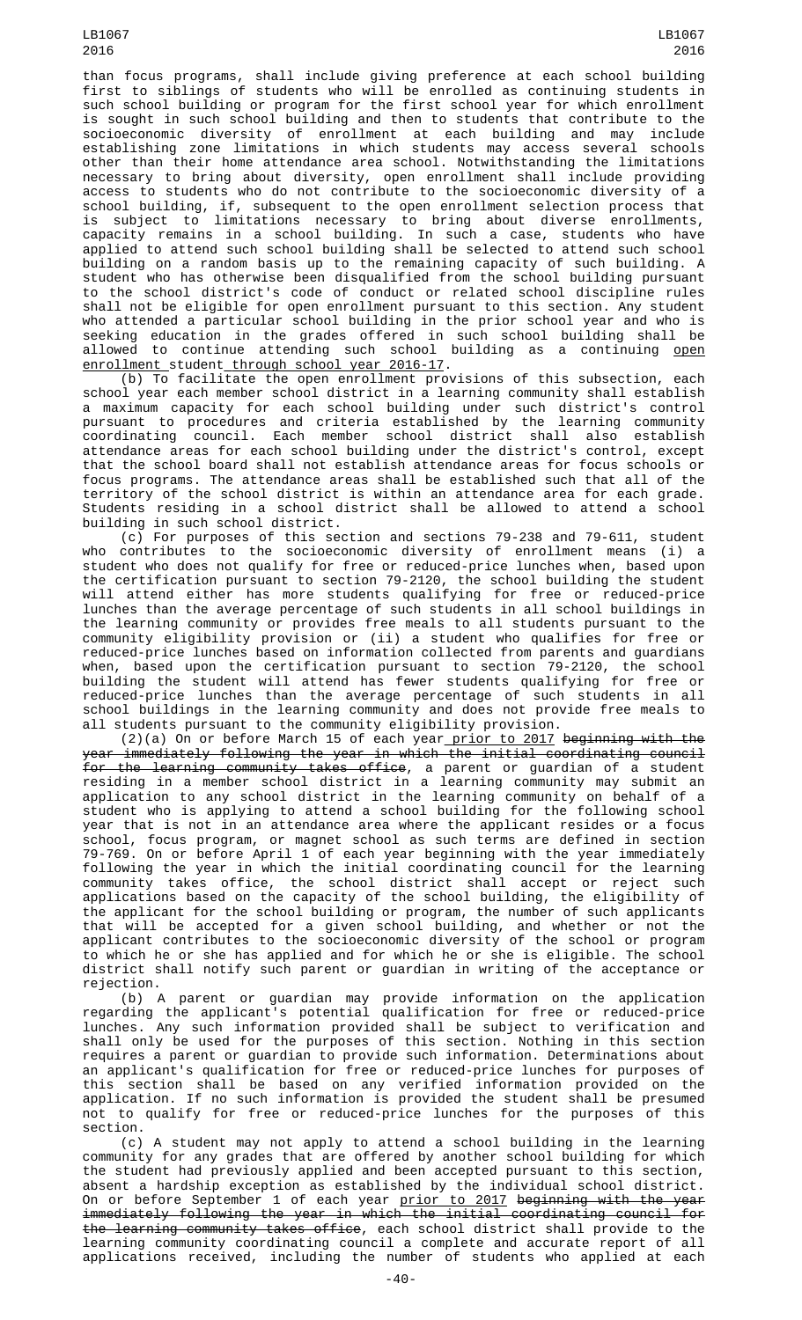than focus programs, shall include giving preference at each school building first to siblings of students who will be enrolled as continuing students in such school building or program for the first school year for which enrollment is sought in such school building and then to students that contribute to the socioeconomic diversity of enrollment at each building and may include establishing zone limitations in which students may access several schools other than their home attendance area school. Notwithstanding the limitations necessary to bring about diversity, open enrollment shall include providing<br>access to students who do not contribute to the socioeconomic diversity of a access to students who do not contribute to the socioeconomic diversity of a school building, if, subsequent to the open enrollment selection process that is subject to limitations necessary to bring about diverse enrollments, capacity remains in a school building. In such a case, students who have applied to attend such school building shall be selected to attend such school building on a random basis up to the remaining capacity of such building. A student who has otherwise been disqualified from the school building pursuant to the school district's code of conduct or related school discipline rules shall not be eligible for open enrollment pursuant to this section. Any student who attended a particular school building in the prior school year and who is seeking education in the grades offered in such school building shall be allowed to continue attending such school building as a continuing <u>open</u> enrollment student through school year 2016-17.

(b) To facilitate the open enrollment provisions of this subsection, each school year each member school district in a learning community shall establish a maximum capacity for each school building under such district's control pursuant to procedures and criteria established by the learning community coordinating council. Each member school district shall also establish attendance areas for each school building under the district's control, except that the school board shall not establish attendance areas for focus schools or focus programs. The attendance areas shall be established such that all of the territory of the school district is within an attendance area for each grade. Students residing in a school district shall be allowed to attend a school building in such school district.

(c) For purposes of this section and sections 79-238 and 79-611, student who contributes to the socioeconomic diversity of enrollment means (i) a student who does not qualify for free or reduced-price lunches when, based upon the certification pursuant to section 79-2120, the school building the student will attend either has more students qualifying for free or reduced-price lunches than the average percentage of such students in all school buildings in the learning community or provides free meals to all students pursuant to the community eligibility provision or (ii) a student who qualifies for free or reduced-price lunches based on information collected from parents and guardians when, based upon the certification pursuant to section 79-2120, the school building the student will attend has fewer students qualifying for free or reduced-price lunches than the average percentage of such students in all school buildings in the learning community and does not provide free meals to all students pursuant to the community eligibility provision.

 $(2)(a)$  On or before March 15 of each year prior to 2017 beginning with the immediately following the year in which the initial coordinating council year immediately following the year in which the initial coordinating council for the learning community takes office, a parent or guardian of a student residing in a member school district in a learning community may submit an application to any school district in the learning community on behalf of a student who is applying to attend a school building for the following school year that is not in an attendance area where the applicant resides or a focus school, focus program, or magnet school as such terms are defined in section 79-769. On or before April 1 of each year beginning with the year immediately following the year in which the initial coordinating council for the learning community takes office, the school district shall accept or reject such applications based on the capacity of the school building, the eligibility of the applicant for the school building or program, the number of such applicants that will be accepted for a given school building, and whether or not the applicant contributes to the socioeconomic diversity of the school or program to which he or she has applied and for which he or she is eligible. The school district shall notify such parent or guardian in writing of the acceptance or rejection.

(b) A parent or guardian may provide information on the application regarding the applicant's potential qualification for free or reduced-price lunches. Any such information provided shall be subject to verification and shall only be used for the purposes of this section. Nothing in this section requires a parent or guardian to provide such information. Determinations about an applicant's qualification for free or reduced-price lunches for purposes of this section shall be based on any verified information provided on the application. If no such information is provided the student shall be presumed not to qualify for free or reduced-price lunches for the purposes of this section.

(c) A student may not apply to attend a school building in the learning community for any grades that are offered by another school building for which the student had previously applied and been accepted pursuant to this section, absent a hardship exception as established by the individual school district. On or before September 1 of each year <u>prior to 2017</u> <del>beginning with the year</del> immediately following the year in which the initial coordinating council for the learning community takes office, each school district shall provide to the learning community coordinating council a complete and accurate report of all applications received, including the number of students who applied at each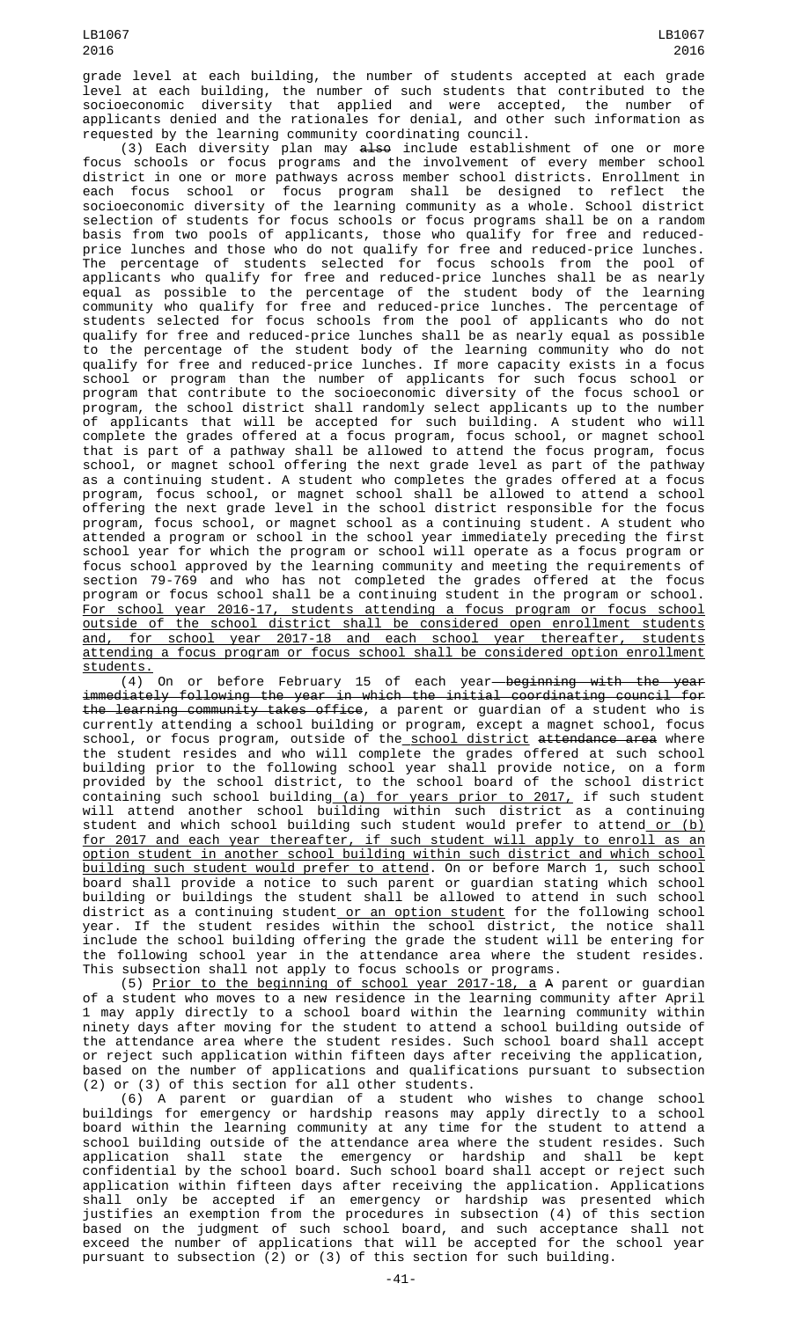grade level at each building, the number of students accepted at each grade level at each building, the number of such students that contributed to the socioeconomic diversity that applied and were accepted, the number of applicants denied and the rationales for denial, and other such information as requested by the learning community coordinating council.

(3) Each diversity plan may <del>also</del> include establishment of one or more focus schools or focus programs and the involvement of every member school district in one or more pathways across member school districts. Enrollment in each focus school or focus program shall be designed to reflect the socioeconomic diversity of the learning community as a whole. School district selection of students for focus schools or focus programs shall be on a random basis from two pools of applicants, those who qualify for free and reducedprice lunches and those who do not qualify for free and reduced-price lunches. The percentage of students selected for focus schools from the pool of applicants who qualify for free and reduced-price lunches shall be as nearly equal as possible to the percentage of the student body of the learning community who qualify for free and reduced-price lunches. The percentage of students selected for focus schools from the pool of applicants who do not qualify for free and reduced-price lunches shall be as nearly equal as possible to the percentage of the student body of the learning community who do not qualify for free and reduced-price lunches. If more capacity exists in a focus school or program than the number of applicants for such focus school or program that contribute to the socioeconomic diversity of the focus school or program, the school district shall randomly select applicants up to the number of applicants that will be accepted for such building. A student who will complete the grades offered at a focus program, focus school, or magnet school that is part of a pathway shall be allowed to attend the focus program, focus school, or magnet school offering the next grade level as part of the pathway as a continuing student. A student who completes the grades offered at a focus program, focus school, or magnet school shall be allowed to attend a school offering the next grade level in the school district responsible for the focus program, focus school, or magnet school as a continuing student. A student who attended a program or school in the school year immediately preceding the first school year for which the program or school will operate as a focus program or focus school approved by the learning community and meeting the requirements of section 79-769 and who has not completed the grades offered at the focus program or focus school shall be a continuing student in the program or school. For school year 2016-17, students attending a focus program or focus school outside of the school district shall be considered open enrollment students and, for school year 2017-18 and each school year thereafter, students attending a focus program or focus school shall be considered option enrollment

 $\frac{\text{students.}}{(4)}$ On or before February 15 of each year-beginning with the year immediately following the year in which the initial coordinating council for the learning community takes office, a parent or guardian of a student who is currently attending a school building or program, except a magnet school, focus school, or focus program, outside of the<u> school district</u> <del>attendance area</del> where the student resides and who will complete the grades offered at such school building prior to the following school year shall provide notice, on a form provided by the school district, to the school board of the school district containing such school buildin<u>g (a) for years prior to 2017,</u> if such student will attend another school building within such district as a continuing student and which school building such student would prefer to attend\_<u>or (b)</u> for 2017 and each year thereafter, if such student will apply to enroll as an option student in another school building within such district and which school building such student would prefer to attend. On or before March 1, such school board shall provide a notice to such parent or guardian stating which school building or buildings the student shall be allowed to attend in such school district as a continuing student<u> or an option student</u> for the following school year. If the student resides within the school district, the notice shall include the school building offering the grade the student will be entering for the following school year in the attendance area where the student resides. This subsection shall not apply to focus schools or programs.

(5) Prior to the beginning of school year 2017-18, a A parent or guardian of a student who moves to a new residence in the learning community after April 1 may apply directly to a school board within the learning community within ninety days after moving for the student to attend a school building outside of the attendance area where the student resides. Such school board shall accept or reject such application within fifteen days after receiving the application, based on the number of applications and qualifications pursuant to subsection (2) or (3) of this section for all other students.

(6) A parent or guardian of a student who wishes to change school buildings for emergency or hardship reasons may apply directly to a school board within the learning community at any time for the student to attend a school building outside of the attendance area where the student resides. Such application shall state the emergency or hardship and shall be kept confidential by the school board. Such school board shall accept or reject such application within fifteen days after receiving the application. Applications shall only be accepted if an emergency or hardship was presented which justifies an exemption from the procedures in subsection (4) of this section based on the judgment of such school board, and such acceptance shall not exceed the number of applications that will be accepted for the school year pursuant to subsection (2) or (3) of this section for such building.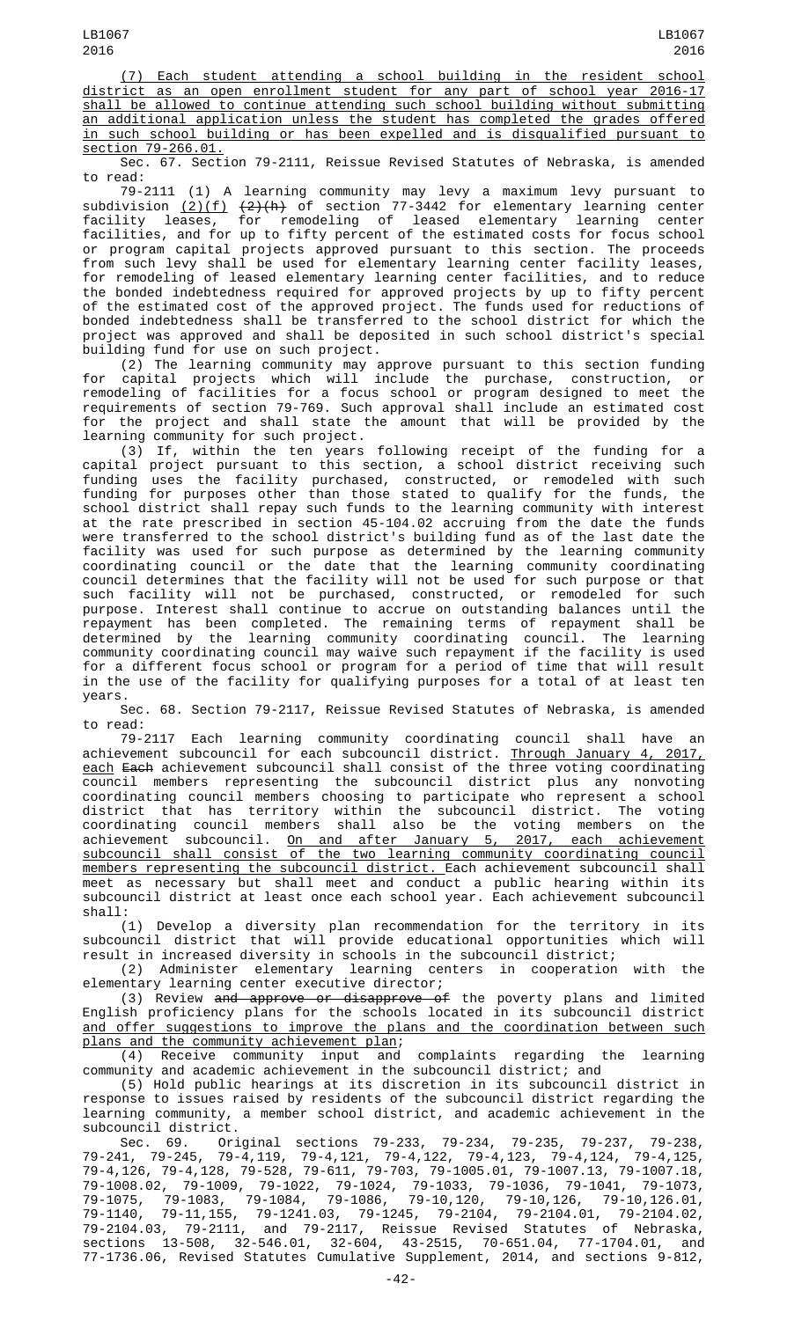(7) Each student attending a school building in the resident school district as an open enrollment student for any part of school year 2016-17 shall be allowed to continue attending such school building without submitting an additional application unless the student has completed the grades offered in such school building or has been expelled and is disqualified pursuant to section 79-266.01.

Sec. 67. Section 79-2111, Reissue Revised Statutes of Nebraska, is amended to read:

79-2111 (1) A learning community may levy a maximum levy pursuant to subdivision  $(2)(f)$   $(2)(h)$  of section 77-3442 for elementary learning center facility leases, for remodeling of leased elementary learning center facilities, and for up to fifty percent of the estimated costs for focus school or program capital projects approved pursuant to this section. The proceeds from such levy shall be used for elementary learning center facility leases, for remodeling of leased elementary learning center facilities, and to reduce the bonded indebtedness required for approved projects by up to fifty percent of the estimated cost of the approved project. The funds used for reductions of bonded indebtedness shall be transferred to the school district for which the project was approved and shall be deposited in such school district's special building fund for use on such project.

(2) The learning community may approve pursuant to this section funding for capital projects which will include the purchase, construction, or remodeling of facilities for a focus school or program designed to meet the requirements of section 79-769. Such approval shall include an estimated cost for the project and shall state the amount that will be provided by the learning community for such project.

(3) If, within the ten years following receipt of the funding for a capital project pursuant to this section, a school district receiving such funding uses the facility purchased, constructed, or remodeled with such funding for purposes other than those stated to qualify for the funds, the school district shall repay such funds to the learning community with interest at the rate prescribed in section 45-104.02 accruing from the date the funds were transferred to the school district's building fund as of the last date the facility was used for such purpose as determined by the learning community coordinating council or the date that the learning community coordinating council determines that the facility will not be used for such purpose or that such facility will not be purchased, constructed, or remodeled for such purpose. Interest shall continue to accrue on outstanding balances until the repayment has been completed. The remaining terms of repayment shall be determined by the learning community coordinating council. The learning community coordinating council may waive such repayment if the facility is used for a different focus school or program for a period of time that will result in the use of the facility for qualifying purposes for a total of at least ten years.

Sec. 68. Section 79-2117, Reissue Revised Statutes of Nebraska, is amended to read:

79-2117 Each learning community coordinating council shall have an achievement subcouncil for each subcouncil district. Through January 4, 2017, each Each achievement subcouncil shall consist of the three voting coordinating council members representing the subcouncil district plus any nonvoting coordinating council members choosing to participate who represent a school district that has territory within the subcouncil district. The voting coordinating council members shall also be the voting members on the achievement subcouncil. <u>On and after January 5, 2017, each achievement</u> subcouncil shall consist of the two learning community coordinating council <u>members representing the subcouncil district. E</u>ach achievement subcouncil shall meet as necessary but shall meet and conduct a public hearing within its subcouncil district at least once each school year. Each achievement subcouncil shall:

(1) Develop a diversity plan recommendation for the territory in its subcouncil district that will provide educational opportunities which will result in increased diversity in schools in the subcouncil district;

(2) Administer elementary learning centers in cooperation with the elementary learning center executive director;

(3) Review and approve or disapprove of the poverty plans and limited English proficiency plans for the schools located in its subcouncil district and offer suggestions to improve the plans and the coordination between such plans and the community achievement plan;

(4) Receive community input and complaints regarding the learning community and academic achievement in the subcouncil district; and

(5) Hold public hearings at its discretion in its subcouncil district in response to issues raised by residents of the subcouncil district regarding the learning community, a member school district, and academic achievement in the subcouncil district.

Sec. 69. Original sections 79-233, 79-234, 79-235, 79-237, 79-238, 79-241, 79-245, 79-4,119, 79-4,121, 79-4,122, 79-4,123, 79-4,124, 79-4,125, 79-4,126, 79-4,128, 79-528, 79-611, 79-703, 79-1005.01, 79-1007.13, 79-1007.18, 79-1008.02, 79-1009, 79-1022, 79-1024, 79-1033, 79-1036, 79-1041, 79-1073, 79-1075, 79-1083, 79-1084, 79-1086, 79-10,120, 79-10,126, 79-10,126.01, 79-1140, 79-11,155, 79-1241.03, 79-1245, 79-2104, 79-2104.01, 79-2104.02, 79-2104.03, 79-2111, and 79-2117, Reissue Revised Statutes of Nebraska, sections 13-508, 32-546.01, 32-604, 43-2515, 70-651.04, 77-1704.01, and 77-1736.06, Revised Statutes Cumulative Supplement, 2014, and sections 9-812,